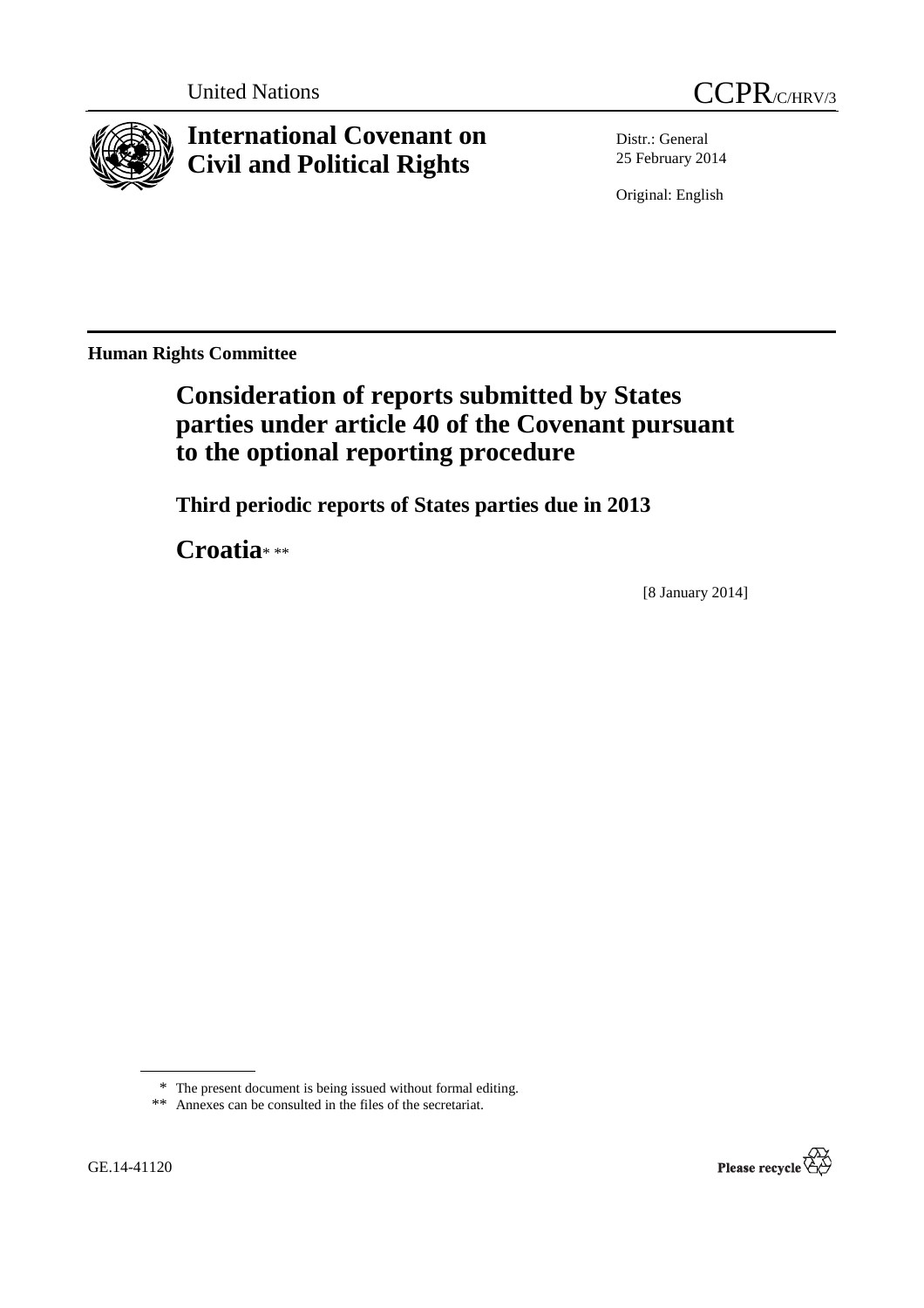

**International Covenant on Civil and Political Rights**

Distr.: General 25 February 2014

Original: English

**Human Rights Committee** 

# **Consideration of reports submitted by States parties under article 40 of the Covenant pursuant to the optional reporting procedure**

 **Third periodic reports of States parties due in 2013** 

 **Croatia**\* \*\*

[8 January 2014]



<sup>\*</sup> The present document is being issued without formal editing.

 <sup>\*\*</sup> Annexes can be consulted in the files of the secretariat.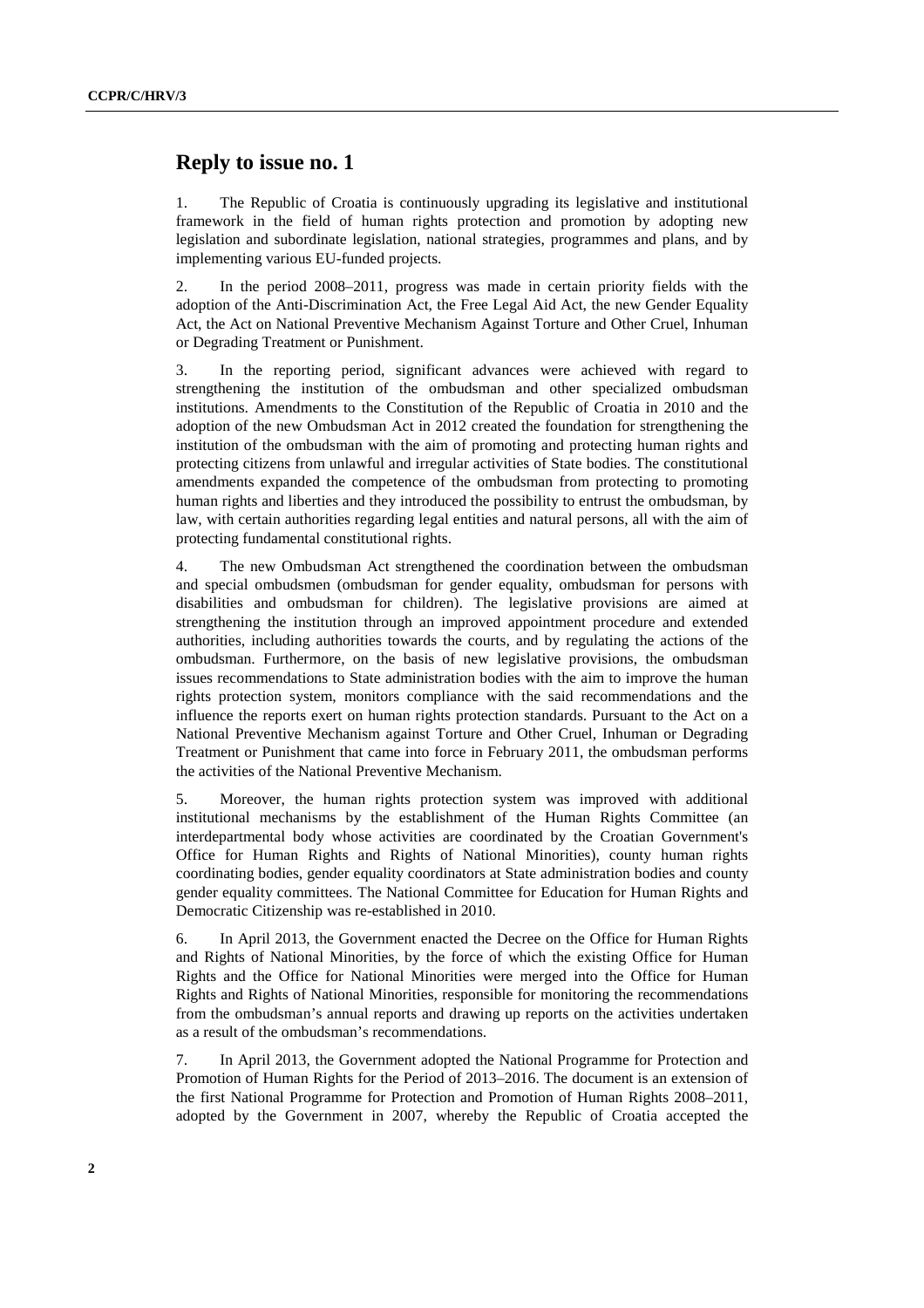# **Reply to issue no. 1**

1. The Republic of Croatia is continuously upgrading its legislative and institutional framework in the field of human rights protection and promotion by adopting new legislation and subordinate legislation, national strategies, programmes and plans, and by implementing various EU-funded projects.

2. In the period 2008–2011, progress was made in certain priority fields with the adoption of the Anti-Discrimination Act, the Free Legal Aid Act, the new Gender Equality Act, the Act on National Preventive Mechanism Against Torture and Other Cruel, Inhuman or Degrading Treatment or Punishment.

3. In the reporting period, significant advances were achieved with regard to strengthening the institution of the ombudsman and other specialized ombudsman institutions. Amendments to the Constitution of the Republic of Croatia in 2010 and the adoption of the new Ombudsman Act in 2012 created the foundation for strengthening the institution of the ombudsman with the aim of promoting and protecting human rights and protecting citizens from unlawful and irregular activities of State bodies. The constitutional amendments expanded the competence of the ombudsman from protecting to promoting human rights and liberties and they introduced the possibility to entrust the ombudsman, by law, with certain authorities regarding legal entities and natural persons, all with the aim of protecting fundamental constitutional rights.

4. The new Ombudsman Act strengthened the coordination between the ombudsman and special ombudsmen (ombudsman for gender equality, ombudsman for persons with disabilities and ombudsman for children). The legislative provisions are aimed at strengthening the institution through an improved appointment procedure and extended authorities, including authorities towards the courts, and by regulating the actions of the ombudsman. Furthermore, on the basis of new legislative provisions, the ombudsman issues recommendations to State administration bodies with the aim to improve the human rights protection system, monitors compliance with the said recommendations and the influence the reports exert on human rights protection standards. Pursuant to the Act on a National Preventive Mechanism against Torture and Other Cruel, Inhuman or Degrading Treatment or Punishment that came into force in February 2011, the ombudsman performs the activities of the National Preventive Mechanism.

5. Moreover, the human rights protection system was improved with additional institutional mechanisms by the establishment of the Human Rights Committee (an interdepartmental body whose activities are coordinated by the Croatian Government's Office for Human Rights and Rights of National Minorities), county human rights coordinating bodies, gender equality coordinators at State administration bodies and county gender equality committees. The National Committee for Education for Human Rights and Democratic Citizenship was re-established in 2010.

6. In April 2013, the Government enacted the Decree on the Office for Human Rights and Rights of National Minorities, by the force of which the existing Office for Human Rights and the Office for National Minorities were merged into the Office for Human Rights and Rights of National Minorities, responsible for monitoring the recommendations from the ombudsman's annual reports and drawing up reports on the activities undertaken as a result of the ombudsman's recommendations.

7. In April 2013, the Government adopted the National Programme for Protection and Promotion of Human Rights for the Period of 2013–2016. The document is an extension of the first National Programme for Protection and Promotion of Human Rights 2008–2011, adopted by the Government in 2007, whereby the Republic of Croatia accepted the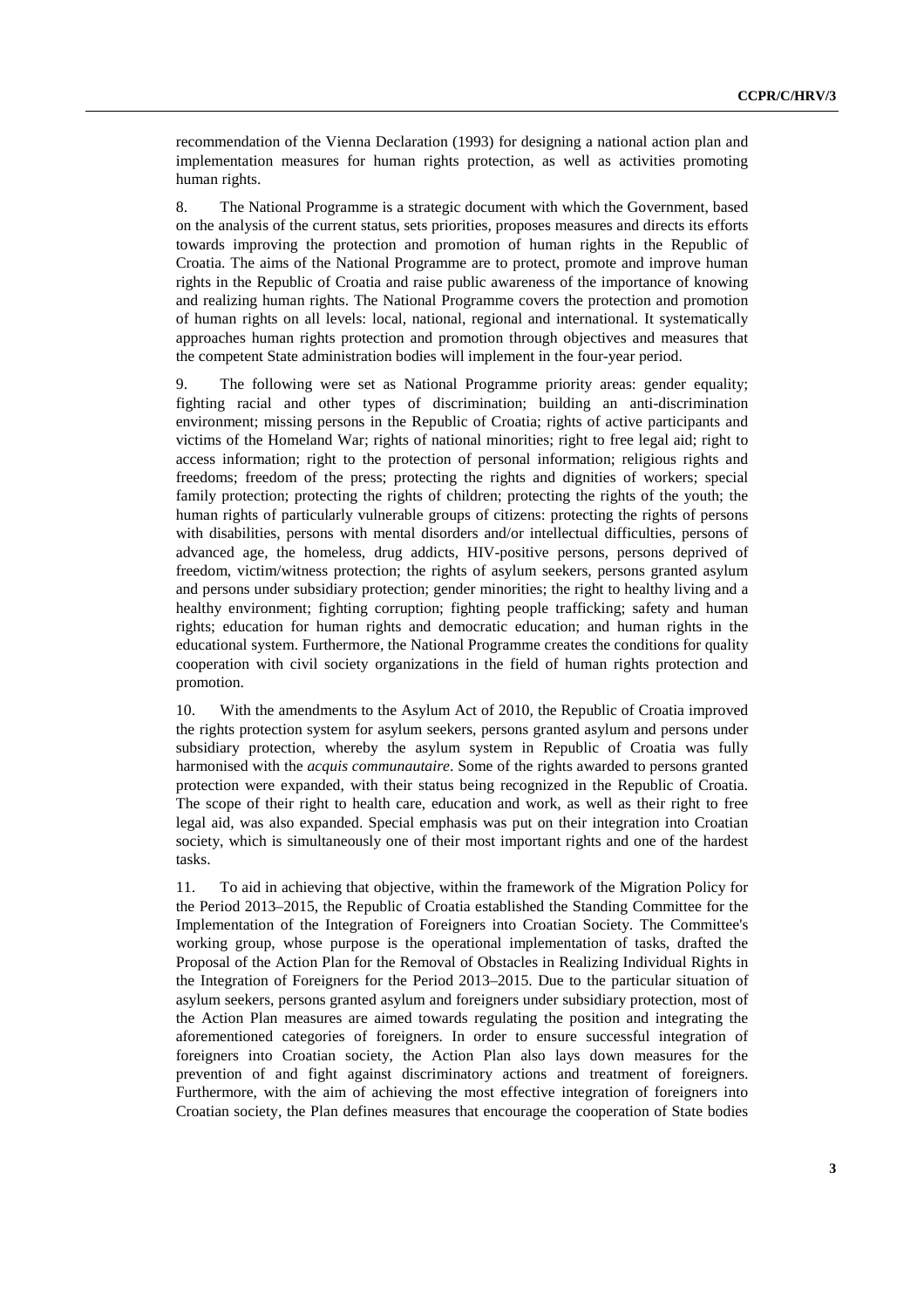recommendation of the Vienna Declaration (1993) for designing a national action plan and implementation measures for human rights protection, as well as activities promoting human rights.

8. The National Programme is a strategic document with which the Government, based on the analysis of the current status, sets priorities, proposes measures and directs its efforts towards improving the protection and promotion of human rights in the Republic of Croatia. The aims of the National Programme are to protect, promote and improve human rights in the Republic of Croatia and raise public awareness of the importance of knowing and realizing human rights. The National Programme covers the protection and promotion of human rights on all levels: local, national, regional and international. It systematically approaches human rights protection and promotion through objectives and measures that the competent State administration bodies will implement in the four-year period.

9. The following were set as National Programme priority areas: gender equality; fighting racial and other types of discrimination; building an anti-discrimination environment; missing persons in the Republic of Croatia; rights of active participants and victims of the Homeland War; rights of national minorities; right to free legal aid; right to access information; right to the protection of personal information; religious rights and freedoms; freedom of the press; protecting the rights and dignities of workers; special family protection; protecting the rights of children; protecting the rights of the youth; the human rights of particularly vulnerable groups of citizens: protecting the rights of persons with disabilities, persons with mental disorders and/or intellectual difficulties, persons of advanced age, the homeless, drug addicts, HIV-positive persons, persons deprived of freedom, victim/witness protection; the rights of asylum seekers, persons granted asylum and persons under subsidiary protection; gender minorities; the right to healthy living and a healthy environment; fighting corruption; fighting people trafficking; safety and human rights; education for human rights and democratic education; and human rights in the educational system. Furthermore, the National Programme creates the conditions for quality cooperation with civil society organizations in the field of human rights protection and promotion.

10. With the amendments to the Asylum Act of 2010, the Republic of Croatia improved the rights protection system for asylum seekers, persons granted asylum and persons under subsidiary protection, whereby the asylum system in Republic of Croatia was fully harmonised with the *acquis communautaire*. Some of the rights awarded to persons granted protection were expanded, with their status being recognized in the Republic of Croatia. The scope of their right to health care, education and work, as well as their right to free legal aid, was also expanded. Special emphasis was put on their integration into Croatian society, which is simultaneously one of their most important rights and one of the hardest tasks.

11. To aid in achieving that objective, within the framework of the Migration Policy for the Period 2013–2015, the Republic of Croatia established the Standing Committee for the Implementation of the Integration of Foreigners into Croatian Society. The Committee's working group, whose purpose is the operational implementation of tasks, drafted the Proposal of the Action Plan for the Removal of Obstacles in Realizing Individual Rights in the Integration of Foreigners for the Period 2013–2015. Due to the particular situation of asylum seekers, persons granted asylum and foreigners under subsidiary protection, most of the Action Plan measures are aimed towards regulating the position and integrating the aforementioned categories of foreigners. In order to ensure successful integration of foreigners into Croatian society, the Action Plan also lays down measures for the prevention of and fight against discriminatory actions and treatment of foreigners. Furthermore, with the aim of achieving the most effective integration of foreigners into Croatian society, the Plan defines measures that encourage the cooperation of State bodies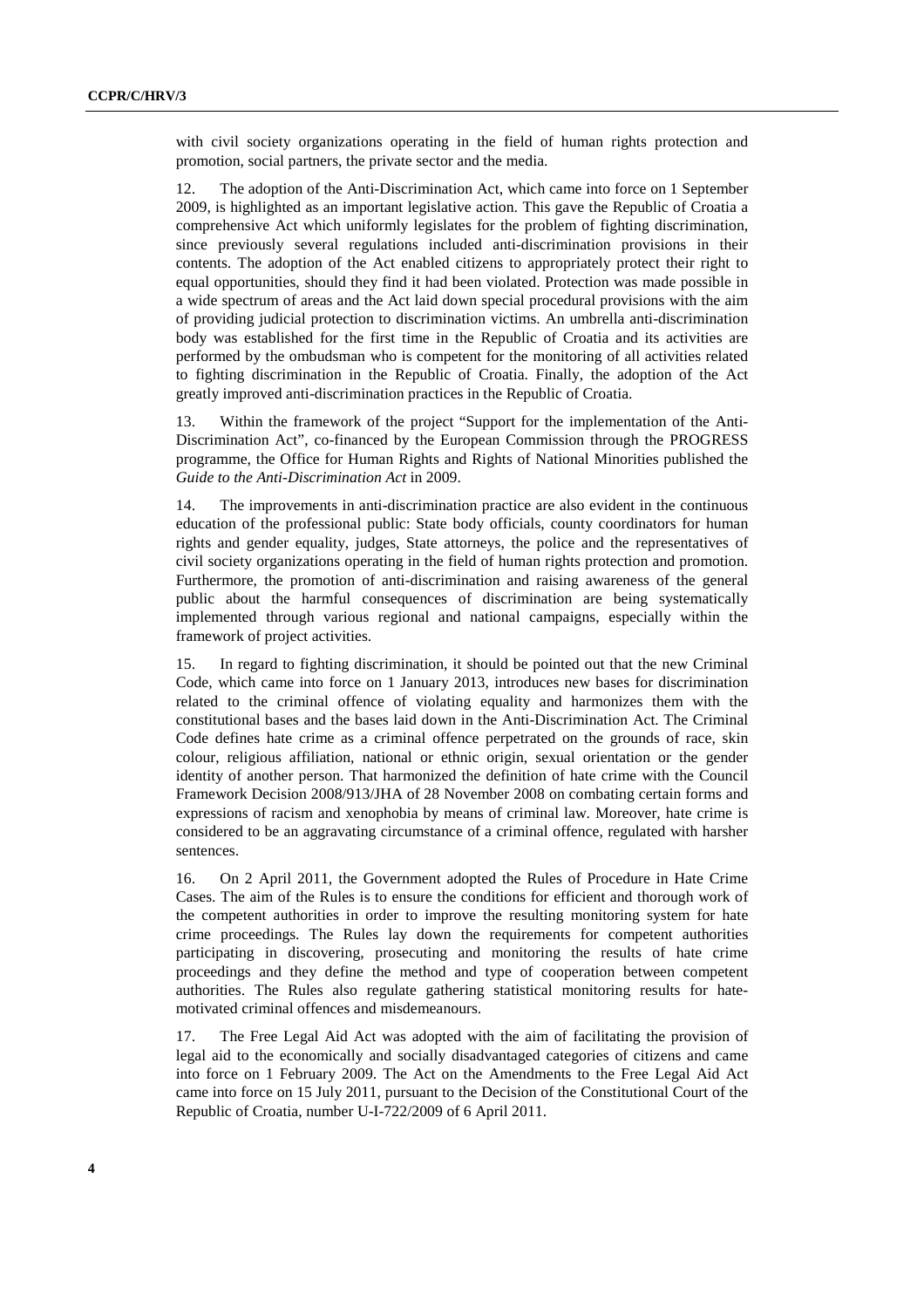with civil society organizations operating in the field of human rights protection and promotion, social partners, the private sector and the media.

12. The adoption of the Anti-Discrimination Act, which came into force on 1 September 2009, is highlighted as an important legislative action. This gave the Republic of Croatia a comprehensive Act which uniformly legislates for the problem of fighting discrimination, since previously several regulations included anti-discrimination provisions in their contents. The adoption of the Act enabled citizens to appropriately protect their right to equal opportunities, should they find it had been violated. Protection was made possible in a wide spectrum of areas and the Act laid down special procedural provisions with the aim of providing judicial protection to discrimination victims. An umbrella anti-discrimination body was established for the first time in the Republic of Croatia and its activities are performed by the ombudsman who is competent for the monitoring of all activities related to fighting discrimination in the Republic of Croatia. Finally, the adoption of the Act greatly improved anti-discrimination practices in the Republic of Croatia.

13. Within the framework of the project "Support for the implementation of the Anti-Discrimination Act", co-financed by the European Commission through the PROGRESS programme, the Office for Human Rights and Rights of National Minorities published the *Guide to the Anti-Discrimination Act* in 2009.

14. The improvements in anti-discrimination practice are also evident in the continuous education of the professional public: State body officials, county coordinators for human rights and gender equality, judges, State attorneys, the police and the representatives of civil society organizations operating in the field of human rights protection and promotion. Furthermore, the promotion of anti-discrimination and raising awareness of the general public about the harmful consequences of discrimination are being systematically implemented through various regional and national campaigns, especially within the framework of project activities.

15. In regard to fighting discrimination, it should be pointed out that the new Criminal Code, which came into force on 1 January 2013, introduces new bases for discrimination related to the criminal offence of violating equality and harmonizes them with the constitutional bases and the bases laid down in the Anti-Discrimination Act. The Criminal Code defines hate crime as a criminal offence perpetrated on the grounds of race, skin colour, religious affiliation, national or ethnic origin, sexual orientation or the gender identity of another person. That harmonized the definition of hate crime with the Council Framework Decision 2008/913/JHA of 28 November 2008 on combating certain forms and expressions of racism and xenophobia by means of criminal law. Moreover, hate crime is considered to be an aggravating circumstance of a criminal offence, regulated with harsher sentences.

16. On 2 April 2011, the Government adopted the Rules of Procedure in Hate Crime Cases. The aim of the Rules is to ensure the conditions for efficient and thorough work of the competent authorities in order to improve the resulting monitoring system for hate crime proceedings. The Rules lay down the requirements for competent authorities participating in discovering, prosecuting and monitoring the results of hate crime proceedings and they define the method and type of cooperation between competent authorities. The Rules also regulate gathering statistical monitoring results for hatemotivated criminal offences and misdemeanours.

17. The Free Legal Aid Act was adopted with the aim of facilitating the provision of legal aid to the economically and socially disadvantaged categories of citizens and came into force on 1 February 2009. The Act on the Amendments to the Free Legal Aid Act came into force on 15 July 2011, pursuant to the Decision of the Constitutional Court of the Republic of Croatia, number U-I-722/2009 of 6 April 2011.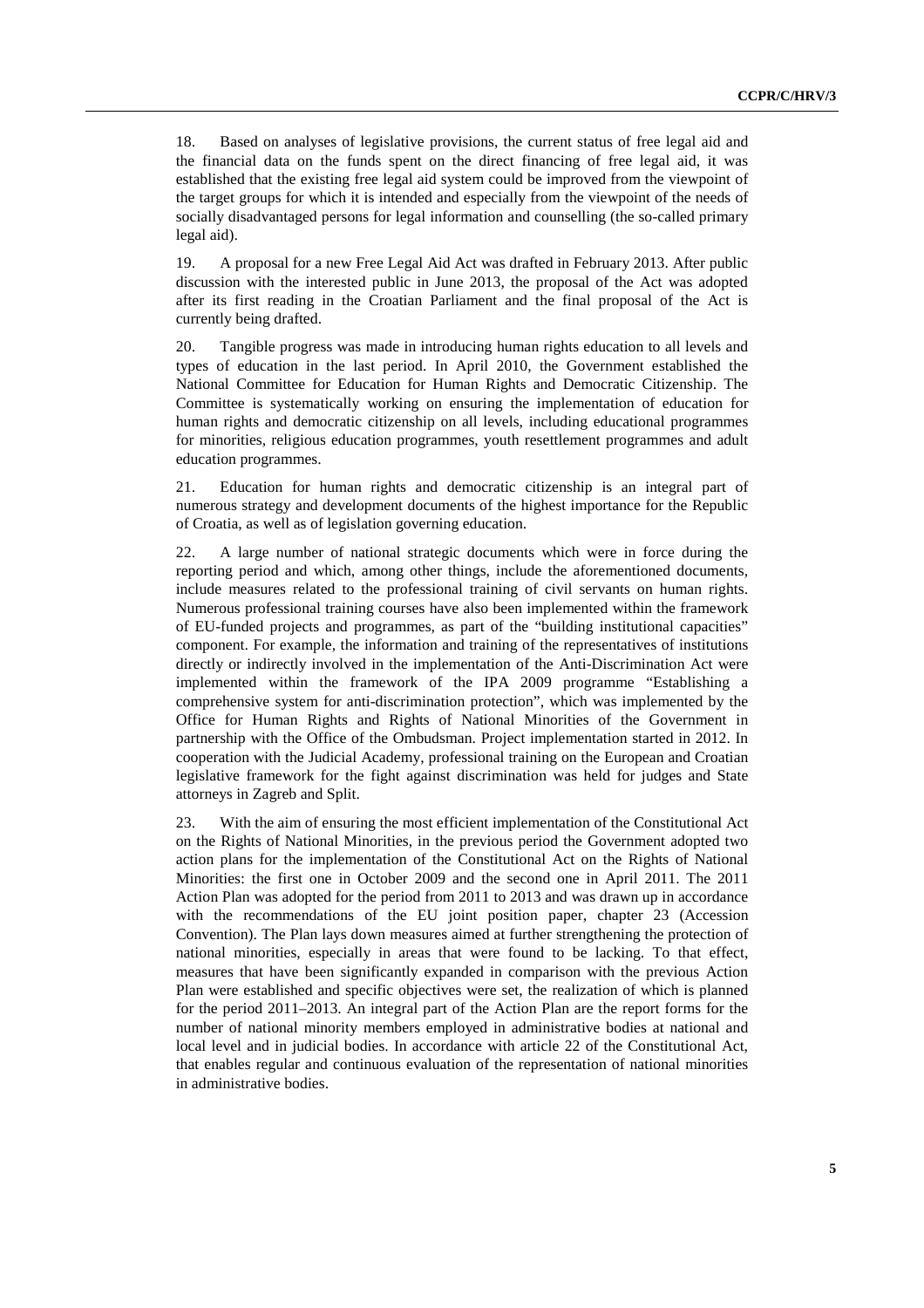18. Based on analyses of legislative provisions, the current status of free legal aid and the financial data on the funds spent on the direct financing of free legal aid, it was established that the existing free legal aid system could be improved from the viewpoint of the target groups for which it is intended and especially from the viewpoint of the needs of socially disadvantaged persons for legal information and counselling (the so-called primary legal aid).

19. A proposal for a new Free Legal Aid Act was drafted in February 2013. After public discussion with the interested public in June 2013, the proposal of the Act was adopted after its first reading in the Croatian Parliament and the final proposal of the Act is currently being drafted.

20. Tangible progress was made in introducing human rights education to all levels and types of education in the last period. In April 2010, the Government established the National Committee for Education for Human Rights and Democratic Citizenship. The Committee is systematically working on ensuring the implementation of education for human rights and democratic citizenship on all levels, including educational programmes for minorities, religious education programmes, youth resettlement programmes and adult education programmes.

21. Education for human rights and democratic citizenship is an integral part of numerous strategy and development documents of the highest importance for the Republic of Croatia, as well as of legislation governing education.

22. A large number of national strategic documents which were in force during the reporting period and which, among other things, include the aforementioned documents, include measures related to the professional training of civil servants on human rights. Numerous professional training courses have also been implemented within the framework of EU-funded projects and programmes, as part of the "building institutional capacities" component. For example, the information and training of the representatives of institutions directly or indirectly involved in the implementation of the Anti-Discrimination Act were implemented within the framework of the IPA 2009 programme "Establishing a comprehensive system for anti-discrimination protection", which was implemented by the Office for Human Rights and Rights of National Minorities of the Government in partnership with the Office of the Ombudsman. Project implementation started in 2012. In cooperation with the Judicial Academy, professional training on the European and Croatian legislative framework for the fight against discrimination was held for judges and State attorneys in Zagreb and Split.

23. With the aim of ensuring the most efficient implementation of the Constitutional Act on the Rights of National Minorities, in the previous period the Government adopted two action plans for the implementation of the Constitutional Act on the Rights of National Minorities: the first one in October 2009 and the second one in April 2011. The 2011 Action Plan was adopted for the period from 2011 to 2013 and was drawn up in accordance with the recommendations of the EU joint position paper, chapter 23 (Accession Convention). The Plan lays down measures aimed at further strengthening the protection of national minorities, especially in areas that were found to be lacking. To that effect, measures that have been significantly expanded in comparison with the previous Action Plan were established and specific objectives were set, the realization of which is planned for the period 2011–2013. An integral part of the Action Plan are the report forms for the number of national minority members employed in administrative bodies at national and local level and in judicial bodies. In accordance with article 22 of the Constitutional Act, that enables regular and continuous evaluation of the representation of national minorities in administrative bodies.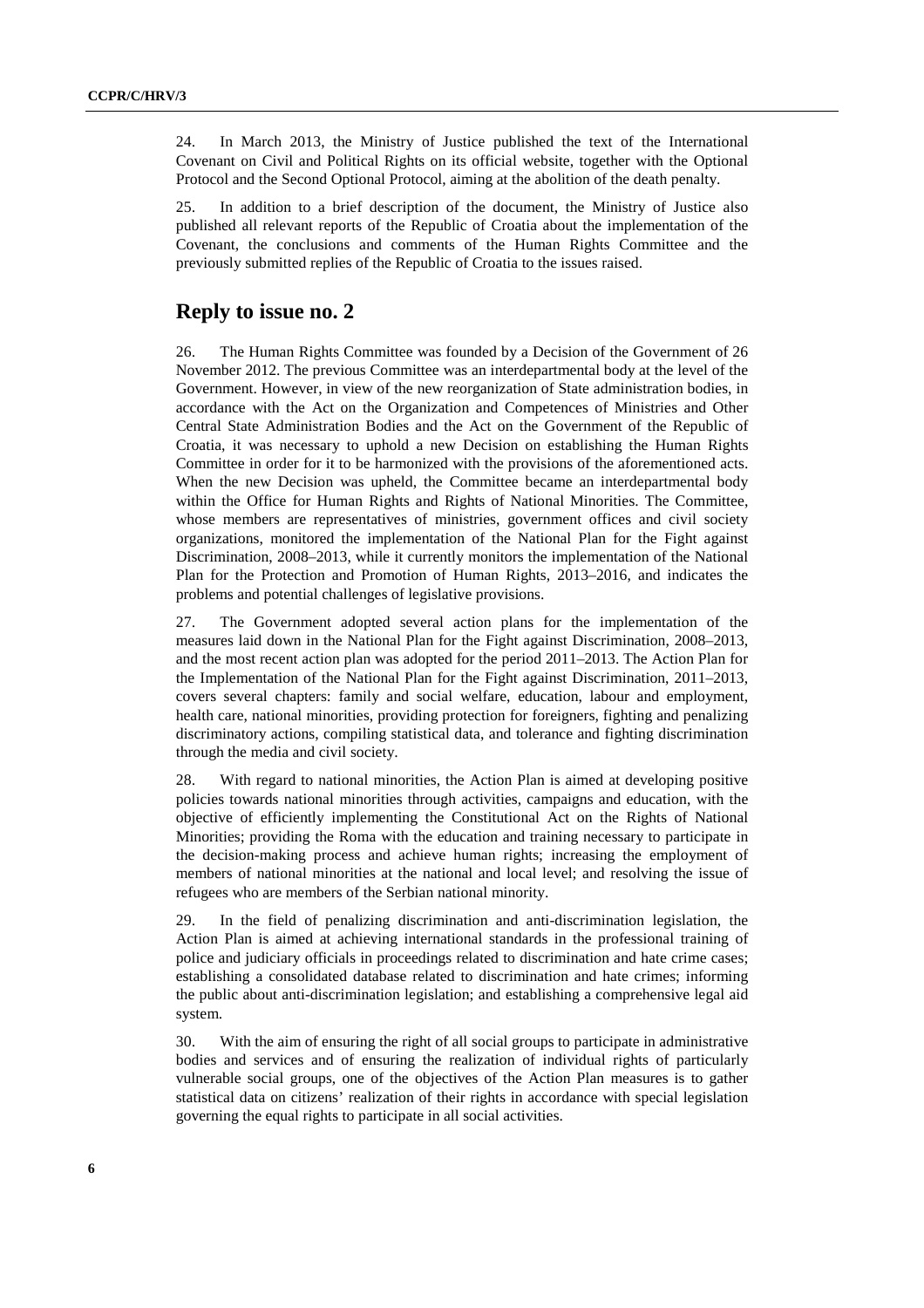24. In March 2013, the Ministry of Justice published the text of the International Covenant on Civil and Political Rights on its official website, together with the Optional Protocol and the Second Optional Protocol, aiming at the abolition of the death penalty.

25. In addition to a brief description of the document, the Ministry of Justice also published all relevant reports of the Republic of Croatia about the implementation of the Covenant, the conclusions and comments of the Human Rights Committee and the previously submitted replies of the Republic of Croatia to the issues raised.

#### **Reply to issue no. 2**

26. The Human Rights Committee was founded by a Decision of the Government of 26 November 2012. The previous Committee was an interdepartmental body at the level of the Government. However, in view of the new reorganization of State administration bodies, in accordance with the Act on the Organization and Competences of Ministries and Other Central State Administration Bodies and the Act on the Government of the Republic of Croatia, it was necessary to uphold a new Decision on establishing the Human Rights Committee in order for it to be harmonized with the provisions of the aforementioned acts. When the new Decision was upheld, the Committee became an interdepartmental body within the Office for Human Rights and Rights of National Minorities. The Committee, whose members are representatives of ministries, government offices and civil society organizations, monitored the implementation of the National Plan for the Fight against Discrimination, 2008–2013, while it currently monitors the implementation of the National Plan for the Protection and Promotion of Human Rights, 2013–2016, and indicates the problems and potential challenges of legislative provisions.

27. The Government adopted several action plans for the implementation of the measures laid down in the National Plan for the Fight against Discrimination, 2008–2013, and the most recent action plan was adopted for the period 2011–2013. The Action Plan for the Implementation of the National Plan for the Fight against Discrimination, 2011–2013, covers several chapters: family and social welfare, education, labour and employment, health care, national minorities, providing protection for foreigners, fighting and penalizing discriminatory actions, compiling statistical data, and tolerance and fighting discrimination through the media and civil society.

28. With regard to national minorities, the Action Plan is aimed at developing positive policies towards national minorities through activities, campaigns and education, with the objective of efficiently implementing the Constitutional Act on the Rights of National Minorities; providing the Roma with the education and training necessary to participate in the decision-making process and achieve human rights; increasing the employment of members of national minorities at the national and local level; and resolving the issue of refugees who are members of the Serbian national minority.

29. In the field of penalizing discrimination and anti-discrimination legislation, the Action Plan is aimed at achieving international standards in the professional training of police and judiciary officials in proceedings related to discrimination and hate crime cases; establishing a consolidated database related to discrimination and hate crimes; informing the public about anti-discrimination legislation; and establishing a comprehensive legal aid system.

30. With the aim of ensuring the right of all social groups to participate in administrative bodies and services and of ensuring the realization of individual rights of particularly vulnerable social groups, one of the objectives of the Action Plan measures is to gather statistical data on citizens' realization of their rights in accordance with special legislation governing the equal rights to participate in all social activities.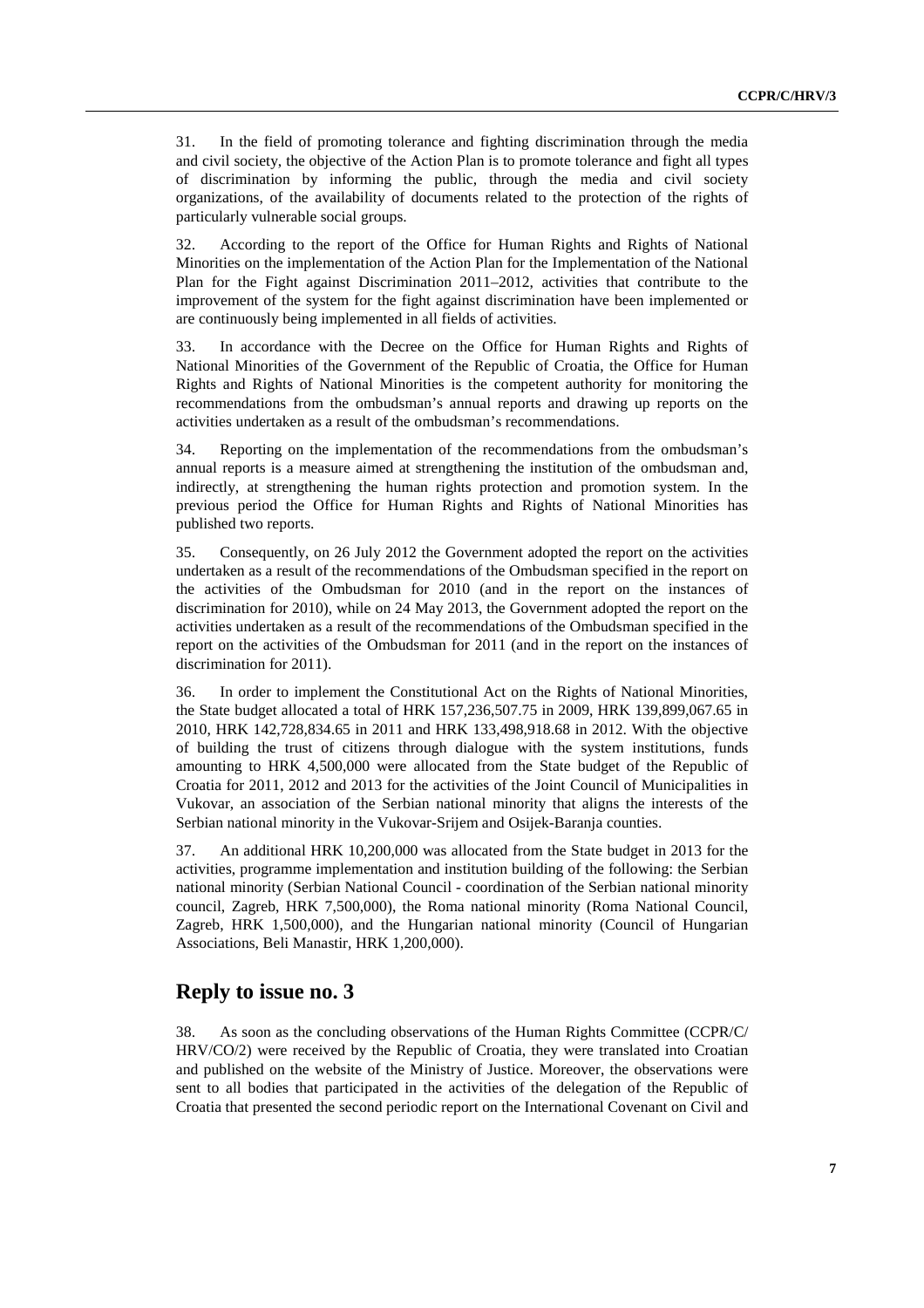31. In the field of promoting tolerance and fighting discrimination through the media and civil society, the objective of the Action Plan is to promote tolerance and fight all types of discrimination by informing the public, through the media and civil society organizations, of the availability of documents related to the protection of the rights of particularly vulnerable social groups.

32. According to the report of the Office for Human Rights and Rights of National Minorities on the implementation of the Action Plan for the Implementation of the National Plan for the Fight against Discrimination 2011–2012, activities that contribute to the improvement of the system for the fight against discrimination have been implemented or are continuously being implemented in all fields of activities.

33. In accordance with the Decree on the Office for Human Rights and Rights of National Minorities of the Government of the Republic of Croatia, the Office for Human Rights and Rights of National Minorities is the competent authority for monitoring the recommendations from the ombudsman's annual reports and drawing up reports on the activities undertaken as a result of the ombudsman's recommendations.

34. Reporting on the implementation of the recommendations from the ombudsman's annual reports is a measure aimed at strengthening the institution of the ombudsman and, indirectly, at strengthening the human rights protection and promotion system. In the previous period the Office for Human Rights and Rights of National Minorities has published two reports.

35. Consequently, on 26 July 2012 the Government adopted the report on the activities undertaken as a result of the recommendations of the Ombudsman specified in the report on the activities of the Ombudsman for 2010 (and in the report on the instances of discrimination for 2010), while on 24 May 2013, the Government adopted the report on the activities undertaken as a result of the recommendations of the Ombudsman specified in the report on the activities of the Ombudsman for 2011 (and in the report on the instances of discrimination for 2011).

36. In order to implement the Constitutional Act on the Rights of National Minorities, the State budget allocated a total of HRK 157,236,507.75 in 2009, HRK 139,899,067.65 in 2010, HRK 142,728,834.65 in 2011 and HRK 133,498,918.68 in 2012. With the objective of building the trust of citizens through dialogue with the system institutions, funds amounting to HRK 4,500,000 were allocated from the State budget of the Republic of Croatia for 2011, 2012 and 2013 for the activities of the Joint Council of Municipalities in Vukovar, an association of the Serbian national minority that aligns the interests of the Serbian national minority in the Vukovar-Srijem and Osijek-Baranja counties.

37. An additional HRK 10,200,000 was allocated from the State budget in 2013 for the activities, programme implementation and institution building of the following: the Serbian national minority (Serbian National Council - coordination of the Serbian national minority council, Zagreb, HRK 7,500,000), the Roma national minority (Roma National Council, Zagreb, HRK 1,500,000), and the Hungarian national minority (Council of Hungarian Associations, Beli Manastir, HRK 1,200,000).

#### **Reply to issue no. 3**

38. As soon as the concluding observations of the Human Rights Committee (CCPR/C/ HRV/CO/2) were received by the Republic of Croatia, they were translated into Croatian and published on the website of the Ministry of Justice. Moreover, the observations were sent to all bodies that participated in the activities of the delegation of the Republic of Croatia that presented the second periodic report on the International Covenant on Civil and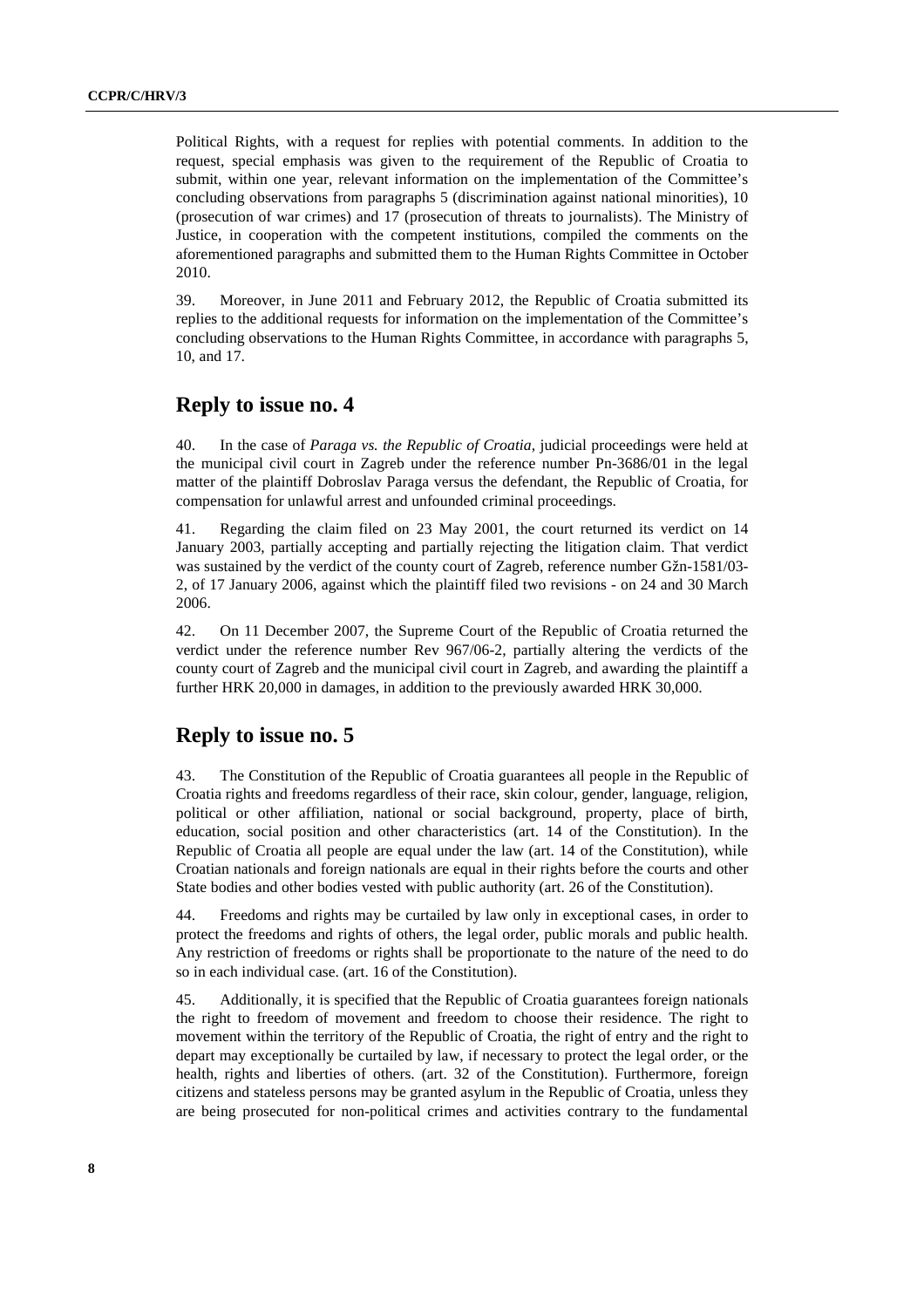Political Rights, with a request for replies with potential comments. In addition to the request, special emphasis was given to the requirement of the Republic of Croatia to submit, within one year, relevant information on the implementation of the Committee's concluding observations from paragraphs 5 (discrimination against national minorities), 10 (prosecution of war crimes) and 17 (prosecution of threats to journalists). The Ministry of Justice, in cooperation with the competent institutions, compiled the comments on the aforementioned paragraphs and submitted them to the Human Rights Committee in October 2010.

39. Moreover, in June 2011 and February 2012, the Republic of Croatia submitted its replies to the additional requests for information on the implementation of the Committee's concluding observations to the Human Rights Committee, in accordance with paragraphs 5, 10, and 17.

# **Reply to issue no. 4**

40. In the case of *Paraga vs. the Republic of Croatia*, judicial proceedings were held at the municipal civil court in Zagreb under the reference number Pn-3686/01 in the legal matter of the plaintiff Dobroslav Paraga versus the defendant, the Republic of Croatia, for compensation for unlawful arrest and unfounded criminal proceedings.

41. Regarding the claim filed on 23 May 2001, the court returned its verdict on 14 January 2003, partially accepting and partially rejecting the litigation claim. That verdict was sustained by the verdict of the county court of Zagreb, reference number Gžn-1581/03- 2, of 17 January 2006, against which the plaintiff filed two revisions - on 24 and 30 March 2006.

42. On 11 December 2007, the Supreme Court of the Republic of Croatia returned the verdict under the reference number Rev 967/06-2, partially altering the verdicts of the county court of Zagreb and the municipal civil court in Zagreb, and awarding the plaintiff a further HRK 20,000 in damages, in addition to the previously awarded HRK 30,000.

#### **Reply to issue no. 5**

43. The Constitution of the Republic of Croatia guarantees all people in the Republic of Croatia rights and freedoms regardless of their race, skin colour, gender, language, religion, political or other affiliation, national or social background, property, place of birth, education, social position and other characteristics (art. 14 of the Constitution). In the Republic of Croatia all people are equal under the law (art. 14 of the Constitution), while Croatian nationals and foreign nationals are equal in their rights before the courts and other State bodies and other bodies vested with public authority (art. 26 of the Constitution).

44. Freedoms and rights may be curtailed by law only in exceptional cases, in order to protect the freedoms and rights of others, the legal order, public morals and public health. Any restriction of freedoms or rights shall be proportionate to the nature of the need to do so in each individual case. (art. 16 of the Constitution).

45. Additionally, it is specified that the Republic of Croatia guarantees foreign nationals the right to freedom of movement and freedom to choose their residence. The right to movement within the territory of the Republic of Croatia, the right of entry and the right to depart may exceptionally be curtailed by law, if necessary to protect the legal order, or the health, rights and liberties of others. (art. 32 of the Constitution). Furthermore, foreign citizens and stateless persons may be granted asylum in the Republic of Croatia, unless they are being prosecuted for non-political crimes and activities contrary to the fundamental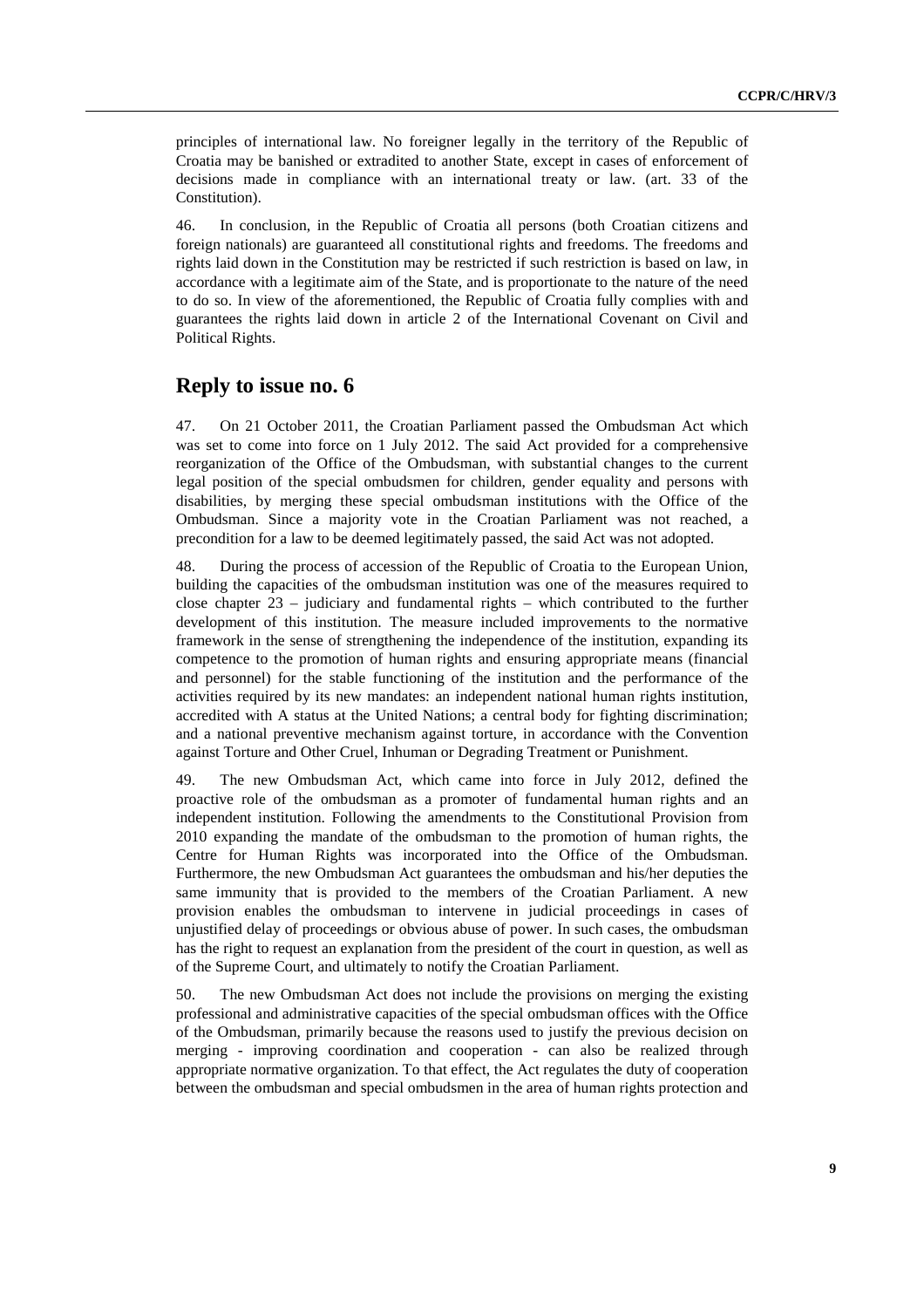principles of international law. No foreigner legally in the territory of the Republic of Croatia may be banished or extradited to another State, except in cases of enforcement of decisions made in compliance with an international treaty or law. (art. 33 of the Constitution).

46. In conclusion, in the Republic of Croatia all persons (both Croatian citizens and foreign nationals) are guaranteed all constitutional rights and freedoms. The freedoms and rights laid down in the Constitution may be restricted if such restriction is based on law, in accordance with a legitimate aim of the State, and is proportionate to the nature of the need to do so. In view of the aforementioned, the Republic of Croatia fully complies with and guarantees the rights laid down in article 2 of the International Covenant on Civil and Political Rights.

#### **Reply to issue no. 6**

47. On 21 October 2011, the Croatian Parliament passed the Ombudsman Act which was set to come into force on 1 July 2012. The said Act provided for a comprehensive reorganization of the Office of the Ombudsman, with substantial changes to the current legal position of the special ombudsmen for children, gender equality and persons with disabilities, by merging these special ombudsman institutions with the Office of the Ombudsman. Since a majority vote in the Croatian Parliament was not reached, a precondition for a law to be deemed legitimately passed, the said Act was not adopted.

48. During the process of accession of the Republic of Croatia to the European Union, building the capacities of the ombudsman institution was one of the measures required to close chapter 23 – judiciary and fundamental rights – which contributed to the further development of this institution. The measure included improvements to the normative framework in the sense of strengthening the independence of the institution, expanding its competence to the promotion of human rights and ensuring appropriate means (financial and personnel) for the stable functioning of the institution and the performance of the activities required by its new mandates: an independent national human rights institution, accredited with A status at the United Nations; a central body for fighting discrimination; and a national preventive mechanism against torture, in accordance with the Convention against Torture and Other Cruel, Inhuman or Degrading Treatment or Punishment.

49. The new Ombudsman Act, which came into force in July 2012, defined the proactive role of the ombudsman as a promoter of fundamental human rights and an independent institution. Following the amendments to the Constitutional Provision from 2010 expanding the mandate of the ombudsman to the promotion of human rights, the Centre for Human Rights was incorporated into the Office of the Ombudsman. Furthermore, the new Ombudsman Act guarantees the ombudsman and his/her deputies the same immunity that is provided to the members of the Croatian Parliament. A new provision enables the ombudsman to intervene in judicial proceedings in cases of unjustified delay of proceedings or obvious abuse of power. In such cases, the ombudsman has the right to request an explanation from the president of the court in question, as well as of the Supreme Court, and ultimately to notify the Croatian Parliament.

50. The new Ombudsman Act does not include the provisions on merging the existing professional and administrative capacities of the special ombudsman offices with the Office of the Ombudsman, primarily because the reasons used to justify the previous decision on merging - improving coordination and cooperation - can also be realized through appropriate normative organization. To that effect, the Act regulates the duty of cooperation between the ombudsman and special ombudsmen in the area of human rights protection and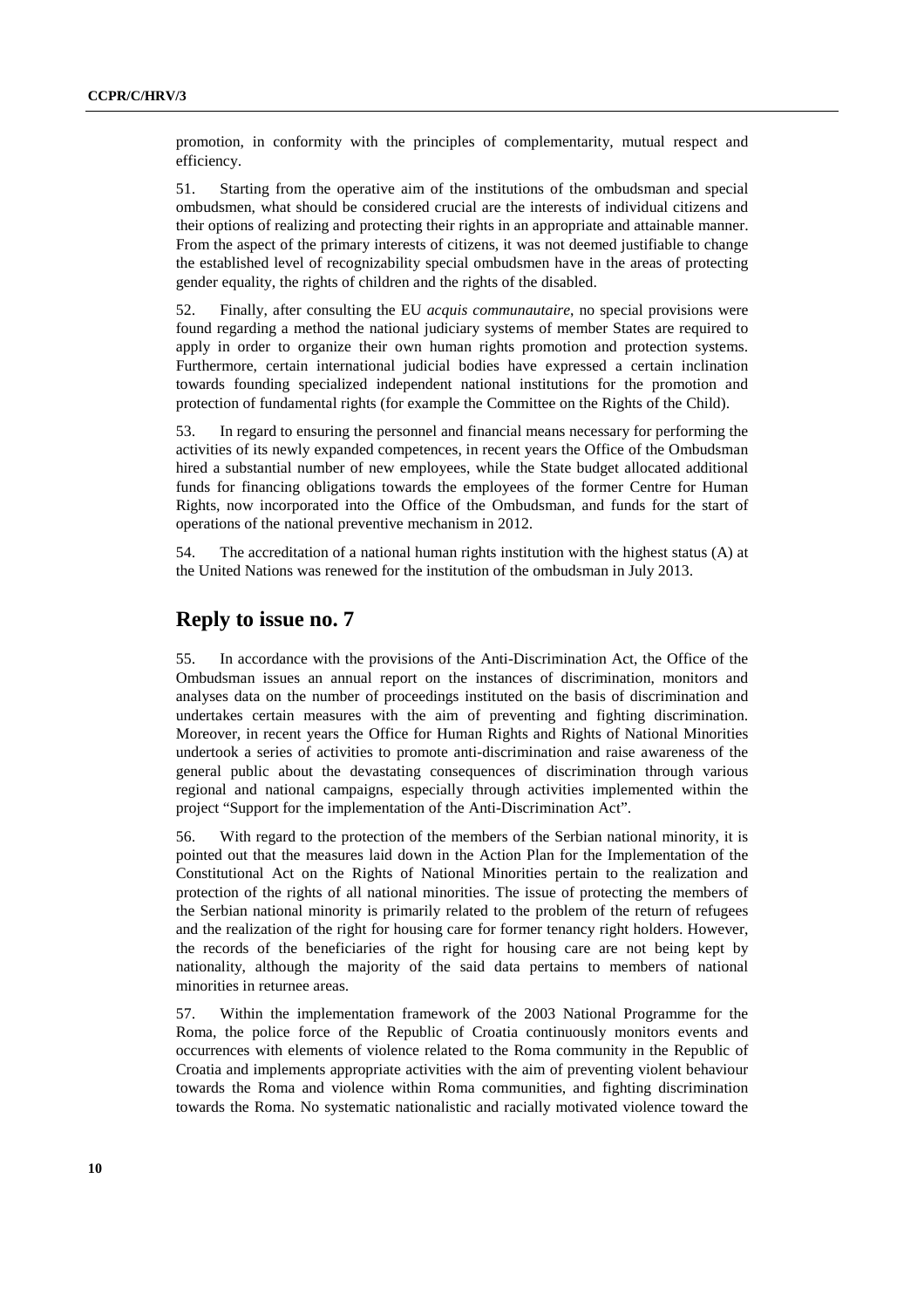promotion, in conformity with the principles of complementarity, mutual respect and efficiency.

51. Starting from the operative aim of the institutions of the ombudsman and special ombudsmen, what should be considered crucial are the interests of individual citizens and their options of realizing and protecting their rights in an appropriate and attainable manner. From the aspect of the primary interests of citizens, it was not deemed justifiable to change the established level of recognizability special ombudsmen have in the areas of protecting gender equality, the rights of children and the rights of the disabled.

52. Finally, after consulting the EU *acquis communautaire*, no special provisions were found regarding a method the national judiciary systems of member States are required to apply in order to organize their own human rights promotion and protection systems. Furthermore, certain international judicial bodies have expressed a certain inclination towards founding specialized independent national institutions for the promotion and protection of fundamental rights (for example the Committee on the Rights of the Child).

53. In regard to ensuring the personnel and financial means necessary for performing the activities of its newly expanded competences, in recent years the Office of the Ombudsman hired a substantial number of new employees, while the State budget allocated additional funds for financing obligations towards the employees of the former Centre for Human Rights, now incorporated into the Office of the Ombudsman, and funds for the start of operations of the national preventive mechanism in 2012.

54. The accreditation of a national human rights institution with the highest status (A) at the United Nations was renewed for the institution of the ombudsman in July 2013.

### **Reply to issue no. 7**

55. In accordance with the provisions of the Anti-Discrimination Act, the Office of the Ombudsman issues an annual report on the instances of discrimination, monitors and analyses data on the number of proceedings instituted on the basis of discrimination and undertakes certain measures with the aim of preventing and fighting discrimination. Moreover, in recent years the Office for Human Rights and Rights of National Minorities undertook a series of activities to promote anti-discrimination and raise awareness of the general public about the devastating consequences of discrimination through various regional and national campaigns, especially through activities implemented within the project "Support for the implementation of the Anti-Discrimination Act".

56. With regard to the protection of the members of the Serbian national minority, it is pointed out that the measures laid down in the Action Plan for the Implementation of the Constitutional Act on the Rights of National Minorities pertain to the realization and protection of the rights of all national minorities. The issue of protecting the members of the Serbian national minority is primarily related to the problem of the return of refugees and the realization of the right for housing care for former tenancy right holders. However, the records of the beneficiaries of the right for housing care are not being kept by nationality, although the majority of the said data pertains to members of national minorities in returnee areas.

57. Within the implementation framework of the 2003 National Programme for the Roma, the police force of the Republic of Croatia continuously monitors events and occurrences with elements of violence related to the Roma community in the Republic of Croatia and implements appropriate activities with the aim of preventing violent behaviour towards the Roma and violence within Roma communities, and fighting discrimination towards the Roma. No systematic nationalistic and racially motivated violence toward the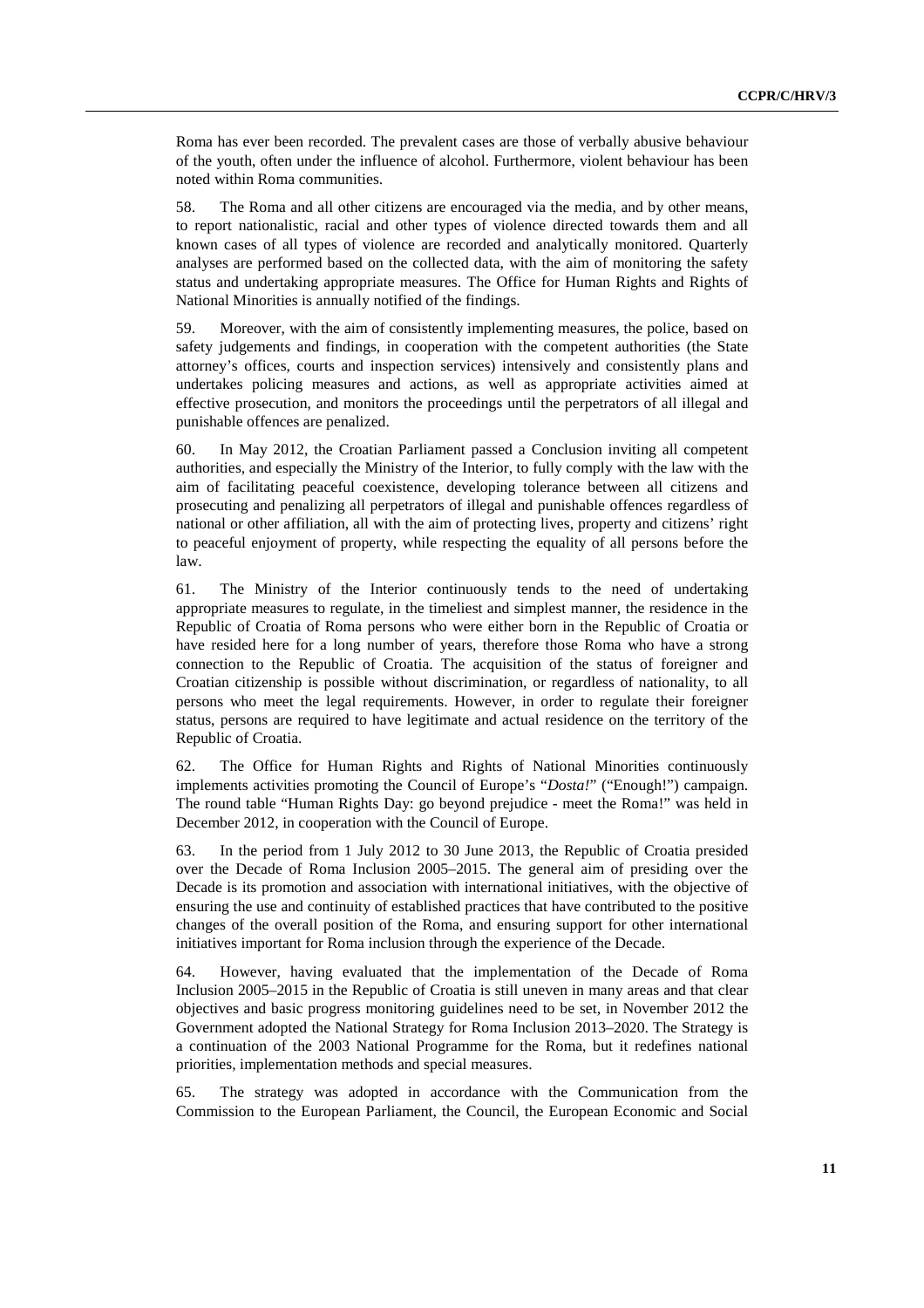Roma has ever been recorded. The prevalent cases are those of verbally abusive behaviour of the youth, often under the influence of alcohol. Furthermore, violent behaviour has been noted within Roma communities.

58. The Roma and all other citizens are encouraged via the media, and by other means, to report nationalistic, racial and other types of violence directed towards them and all known cases of all types of violence are recorded and analytically monitored. Quarterly analyses are performed based on the collected data, with the aim of monitoring the safety status and undertaking appropriate measures. The Office for Human Rights and Rights of National Minorities is annually notified of the findings.

59. Moreover, with the aim of consistently implementing measures, the police, based on safety judgements and findings, in cooperation with the competent authorities (the State attorney's offices, courts and inspection services) intensively and consistently plans and undertakes policing measures and actions, as well as appropriate activities aimed at effective prosecution, and monitors the proceedings until the perpetrators of all illegal and punishable offences are penalized.

60. In May 2012, the Croatian Parliament passed a Conclusion inviting all competent authorities, and especially the Ministry of the Interior, to fully comply with the law with the aim of facilitating peaceful coexistence, developing tolerance between all citizens and prosecuting and penalizing all perpetrators of illegal and punishable offences regardless of national or other affiliation, all with the aim of protecting lives, property and citizens' right to peaceful enjoyment of property, while respecting the equality of all persons before the law.

61. The Ministry of the Interior continuously tends to the need of undertaking appropriate measures to regulate, in the timeliest and simplest manner, the residence in the Republic of Croatia of Roma persons who were either born in the Republic of Croatia or have resided here for a long number of years, therefore those Roma who have a strong connection to the Republic of Croatia. The acquisition of the status of foreigner and Croatian citizenship is possible without discrimination, or regardless of nationality, to all persons who meet the legal requirements. However, in order to regulate their foreigner status, persons are required to have legitimate and actual residence on the territory of the Republic of Croatia.

62. The Office for Human Rights and Rights of National Minorities continuously implements activities promoting the Council of Europe's "*Dosta!*" ("Enough!") campaign. The round table "Human Rights Day: go beyond prejudice - meet the Roma!" was held in December 2012, in cooperation with the Council of Europe.

63. In the period from 1 July 2012 to 30 June 2013, the Republic of Croatia presided over the Decade of Roma Inclusion 2005–2015. The general aim of presiding over the Decade is its promotion and association with international initiatives, with the objective of ensuring the use and continuity of established practices that have contributed to the positive changes of the overall position of the Roma, and ensuring support for other international initiatives important for Roma inclusion through the experience of the Decade.

64. However, having evaluated that the implementation of the Decade of Roma Inclusion 2005–2015 in the Republic of Croatia is still uneven in many areas and that clear objectives and basic progress monitoring guidelines need to be set, in November 2012 the Government adopted the National Strategy for Roma Inclusion 2013–2020. The Strategy is a continuation of the 2003 National Programme for the Roma, but it redefines national priorities, implementation methods and special measures.

65. The strategy was adopted in accordance with the Communication from the Commission to the European Parliament, the Council, the European Economic and Social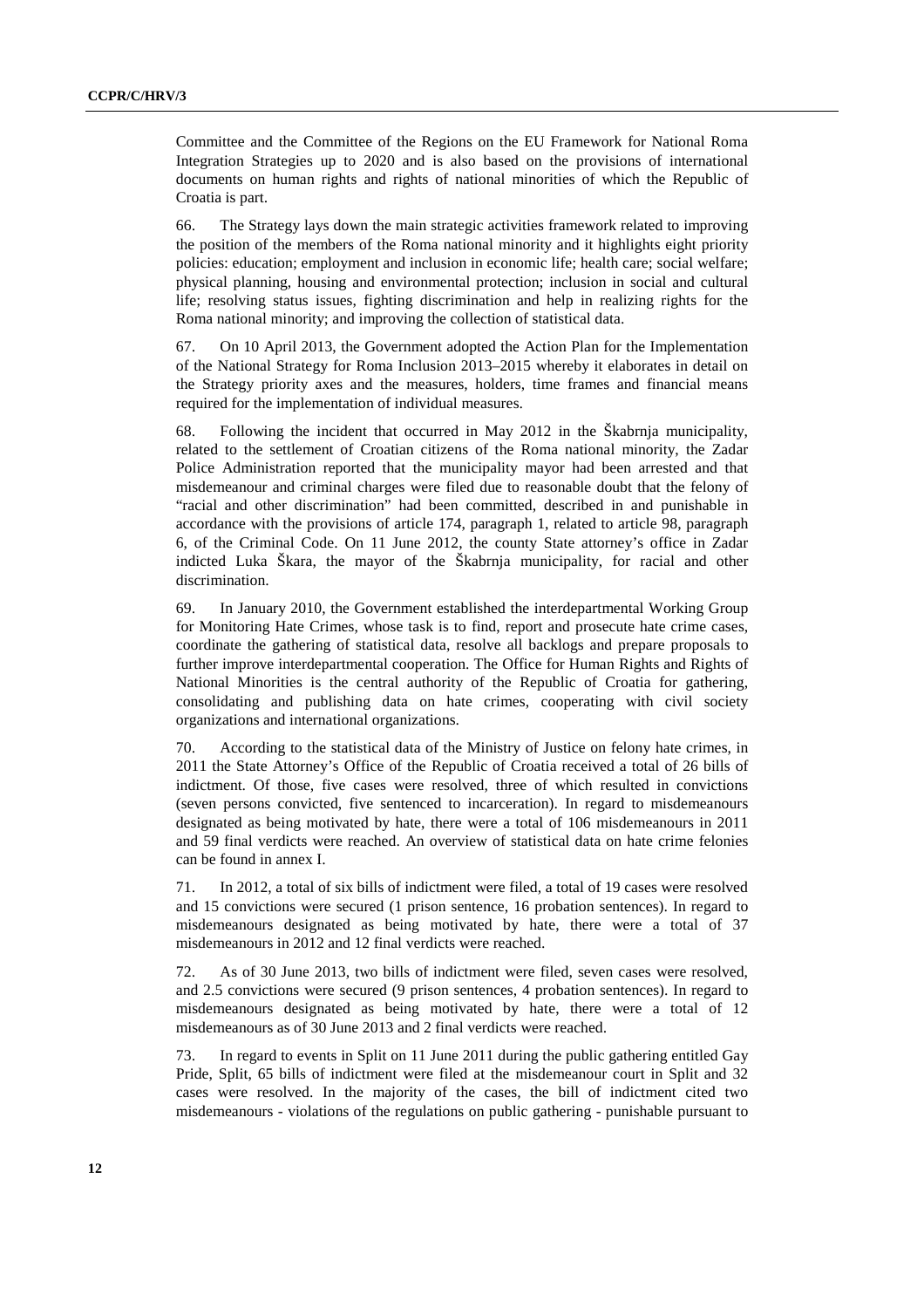Committee and the Committee of the Regions on the EU Framework for National Roma Integration Strategies up to 2020 and is also based on the provisions of international documents on human rights and rights of national minorities of which the Republic of Croatia is part.

66. The Strategy lays down the main strategic activities framework related to improving the position of the members of the Roma national minority and it highlights eight priority policies: education; employment and inclusion in economic life; health care; social welfare; physical planning, housing and environmental protection; inclusion in social and cultural life; resolving status issues, fighting discrimination and help in realizing rights for the Roma national minority; and improving the collection of statistical data.

67. On 10 April 2013, the Government adopted the Action Plan for the Implementation of the National Strategy for Roma Inclusion 2013–2015 whereby it elaborates in detail on the Strategy priority axes and the measures, holders, time frames and financial means required for the implementation of individual measures.

68. Following the incident that occurred in May 2012 in the Škabrnja municipality, related to the settlement of Croatian citizens of the Roma national minority, the Zadar Police Administration reported that the municipality mayor had been arrested and that misdemeanour and criminal charges were filed due to reasonable doubt that the felony of "racial and other discrimination" had been committed, described in and punishable in accordance with the provisions of article 174, paragraph 1, related to article 98, paragraph 6, of the Criminal Code. On 11 June 2012, the county State attorney's office in Zadar indicted Luka Škara, the mayor of the Škabrnja municipality, for racial and other discrimination.

69. In January 2010, the Government established the interdepartmental Working Group for Monitoring Hate Crimes, whose task is to find, report and prosecute hate crime cases, coordinate the gathering of statistical data, resolve all backlogs and prepare proposals to further improve interdepartmental cooperation. The Office for Human Rights and Rights of National Minorities is the central authority of the Republic of Croatia for gathering, consolidating and publishing data on hate crimes, cooperating with civil society organizations and international organizations.

70. According to the statistical data of the Ministry of Justice on felony hate crimes, in 2011 the State Attorney's Office of the Republic of Croatia received a total of 26 bills of indictment. Of those, five cases were resolved, three of which resulted in convictions (seven persons convicted, five sentenced to incarceration). In regard to misdemeanours designated as being motivated by hate, there were a total of 106 misdemeanours in 2011 and 59 final verdicts were reached. An overview of statistical data on hate crime felonies can be found in annex I.

71. In 2012, a total of six bills of indictment were filed, a total of 19 cases were resolved and 15 convictions were secured (1 prison sentence, 16 probation sentences). In regard to misdemeanours designated as being motivated by hate, there were a total of 37 misdemeanours in 2012 and 12 final verdicts were reached.

72. As of 30 June 2013, two bills of indictment were filed, seven cases were resolved, and 2.5 convictions were secured (9 prison sentences, 4 probation sentences). In regard to misdemeanours designated as being motivated by hate, there were a total of 12 misdemeanours as of 30 June 2013 and 2 final verdicts were reached.

73. In regard to events in Split on 11 June 2011 during the public gathering entitled Gay Pride, Split, 65 bills of indictment were filed at the misdemeanour court in Split and 32 cases were resolved. In the majority of the cases, the bill of indictment cited two misdemeanours - violations of the regulations on public gathering - punishable pursuant to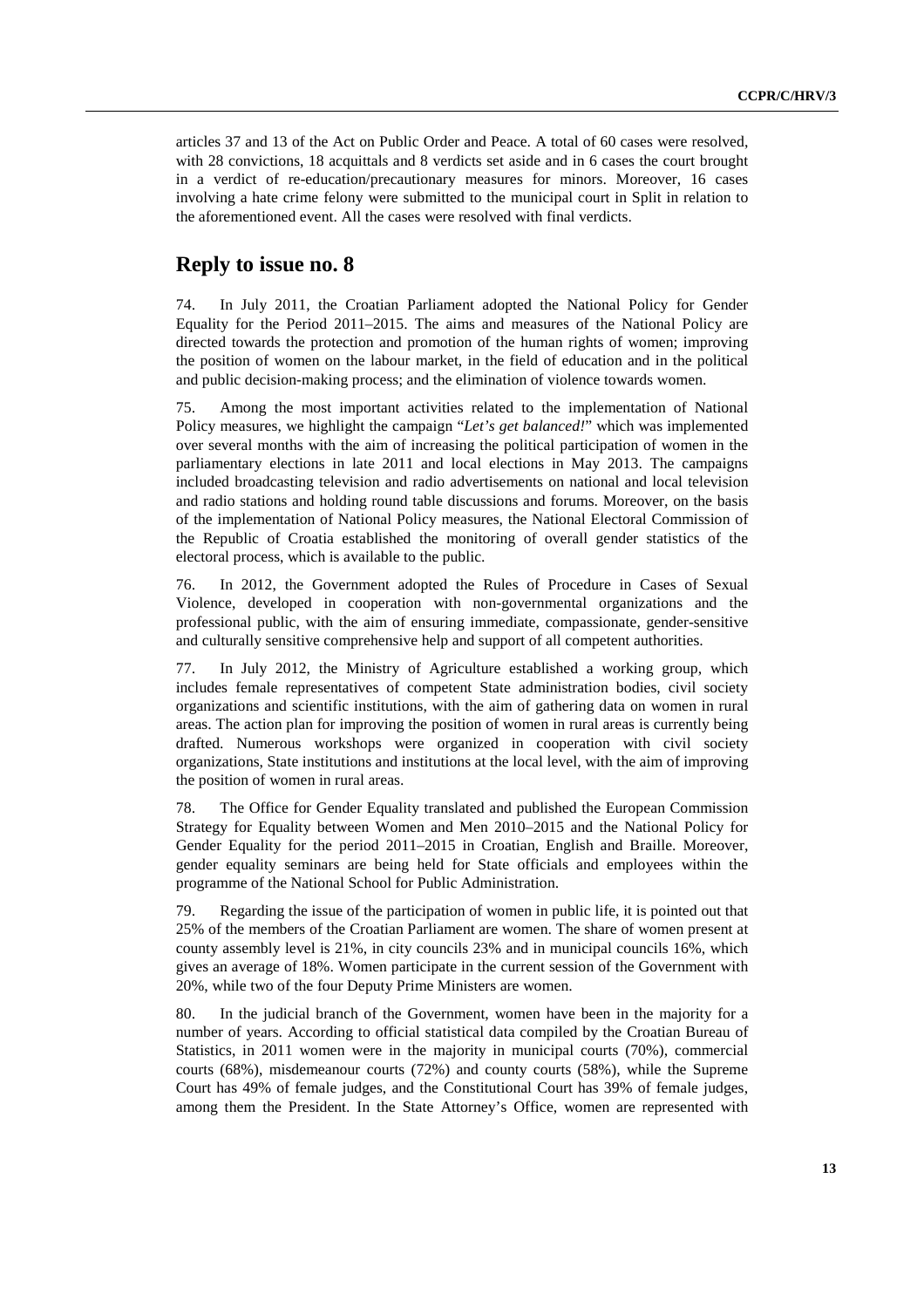articles 37 and 13 of the Act on Public Order and Peace. A total of 60 cases were resolved, with 28 convictions, 18 acquittals and 8 verdicts set aside and in 6 cases the court brought in a verdict of re-education/precautionary measures for minors. Moreover, 16 cases involving a hate crime felony were submitted to the municipal court in Split in relation to the aforementioned event. All the cases were resolved with final verdicts.

# **Reply to issue no. 8**

74. In July 2011, the Croatian Parliament adopted the National Policy for Gender Equality for the Period 2011–2015. The aims and measures of the National Policy are directed towards the protection and promotion of the human rights of women; improving the position of women on the labour market, in the field of education and in the political and public decision-making process; and the elimination of violence towards women.

75. Among the most important activities related to the implementation of National Policy measures, we highlight the campaign "*Let's get balanced!*" which was implemented over several months with the aim of increasing the political participation of women in the parliamentary elections in late 2011 and local elections in May 2013. The campaigns included broadcasting television and radio advertisements on national and local television and radio stations and holding round table discussions and forums. Moreover, on the basis of the implementation of National Policy measures, the National Electoral Commission of the Republic of Croatia established the monitoring of overall gender statistics of the electoral process, which is available to the public.

76. In 2012, the Government adopted the Rules of Procedure in Cases of Sexual Violence, developed in cooperation with non-governmental organizations and the professional public, with the aim of ensuring immediate, compassionate, gender-sensitive and culturally sensitive comprehensive help and support of all competent authorities.

77. In July 2012, the Ministry of Agriculture established a working group, which includes female representatives of competent State administration bodies, civil society organizations and scientific institutions, with the aim of gathering data on women in rural areas. The action plan for improving the position of women in rural areas is currently being drafted. Numerous workshops were organized in cooperation with civil society organizations, State institutions and institutions at the local level, with the aim of improving the position of women in rural areas.

78. The Office for Gender Equality translated and published the European Commission Strategy for Equality between Women and Men 2010–2015 and the National Policy for Gender Equality for the period 2011–2015 in Croatian, English and Braille. Moreover, gender equality seminars are being held for State officials and employees within the programme of the National School for Public Administration.

79. Regarding the issue of the participation of women in public life, it is pointed out that 25% of the members of the Croatian Parliament are women. The share of women present at county assembly level is 21%, in city councils 23% and in municipal councils 16%, which gives an average of 18%. Women participate in the current session of the Government with 20%, while two of the four Deputy Prime Ministers are women.

80. In the judicial branch of the Government, women have been in the majority for a number of years. According to official statistical data compiled by the Croatian Bureau of Statistics, in 2011 women were in the majority in municipal courts (70%), commercial courts (68%), misdemeanour courts (72%) and county courts (58%), while the Supreme Court has 49% of female judges, and the Constitutional Court has 39% of female judges, among them the President. In the State Attorney's Office, women are represented with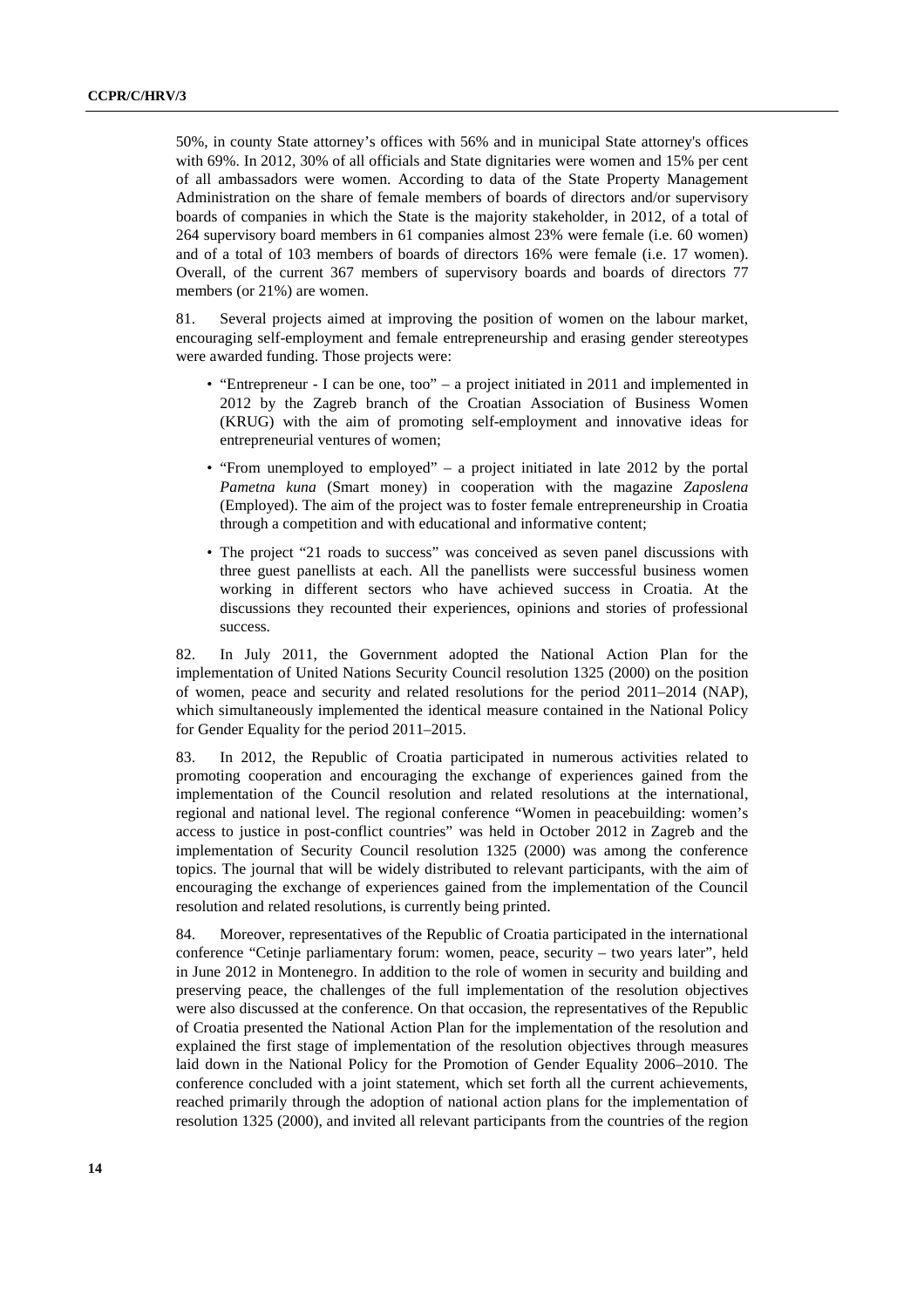50%, in county State attorney's offices with 56% and in municipal State attorney's offices with 69%. In 2012, 30% of all officials and State dignitaries were women and 15% per cent of all ambassadors were women. According to data of the State Property Management Administration on the share of female members of boards of directors and/or supervisory boards of companies in which the State is the majority stakeholder, in 2012, of a total of 264 supervisory board members in 61 companies almost 23% were female (i.e. 60 women) and of a total of 103 members of boards of directors 16% were female (i.e. 17 women). Overall, of the current 367 members of supervisory boards and boards of directors 77 members (or 21%) are women.

81. Several projects aimed at improving the position of women on the labour market, encouraging self-employment and female entrepreneurship and erasing gender stereotypes were awarded funding. Those projects were:

- "Entrepreneur I can be one, too" a project initiated in 2011 and implemented in 2012 by the Zagreb branch of the Croatian Association of Business Women (KRUG) with the aim of promoting self-employment and innovative ideas for entrepreneurial ventures of women;
- "From unemployed to employed" a project initiated in late 2012 by the portal *Pametna kuna* (Smart money) in cooperation with the magazine *Zaposlena* (Employed). The aim of the project was to foster female entrepreneurship in Croatia through a competition and with educational and informative content;
- The project "21 roads to success" was conceived as seven panel discussions with three guest panellists at each. All the panellists were successful business women working in different sectors who have achieved success in Croatia. At the discussions they recounted their experiences, opinions and stories of professional success.

82. In July 2011, the Government adopted the National Action Plan for the implementation of United Nations Security Council resolution 1325 (2000) on the position of women, peace and security and related resolutions for the period 2011–2014 (NAP), which simultaneously implemented the identical measure contained in the National Policy for Gender Equality for the period 2011–2015.

83. In 2012, the Republic of Croatia participated in numerous activities related to promoting cooperation and encouraging the exchange of experiences gained from the implementation of the Council resolution and related resolutions at the international, regional and national level. The regional conference "Women in peacebuilding: women's access to justice in post-conflict countries" was held in October 2012 in Zagreb and the implementation of Security Council resolution 1325 (2000) was among the conference topics. The journal that will be widely distributed to relevant participants, with the aim of encouraging the exchange of experiences gained from the implementation of the Council resolution and related resolutions, is currently being printed.

84. Moreover, representatives of the Republic of Croatia participated in the international conference "Cetinje parliamentary forum: women, peace, security – two years later", held in June 2012 in Montenegro. In addition to the role of women in security and building and preserving peace, the challenges of the full implementation of the resolution objectives were also discussed at the conference. On that occasion, the representatives of the Republic of Croatia presented the National Action Plan for the implementation of the resolution and explained the first stage of implementation of the resolution objectives through measures laid down in the National Policy for the Promotion of Gender Equality 2006–2010. The conference concluded with a joint statement, which set forth all the current achievements, reached primarily through the adoption of national action plans for the implementation of resolution 1325 (2000), and invited all relevant participants from the countries of the region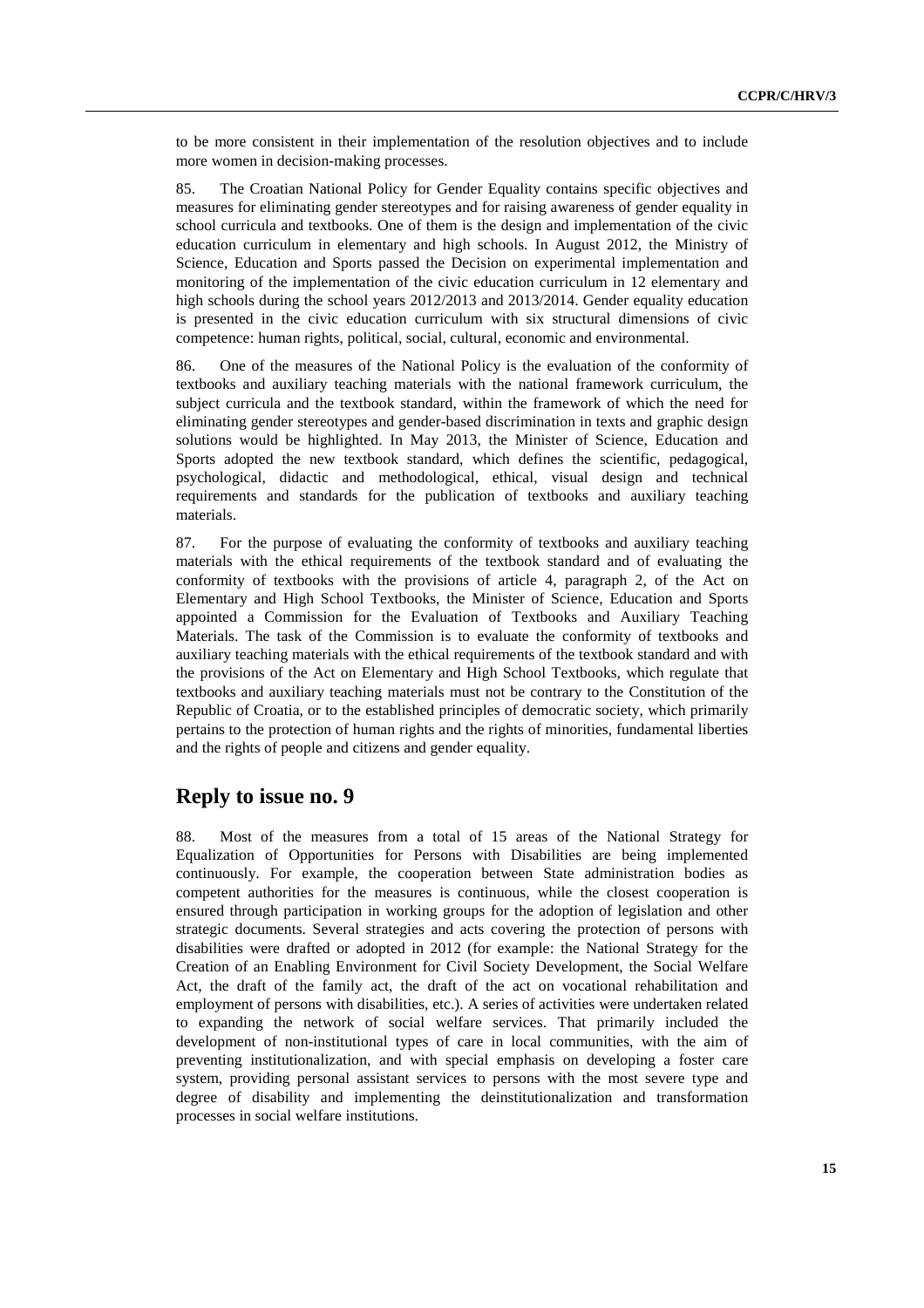to be more consistent in their implementation of the resolution objectives and to include more women in decision-making processes.

85. The Croatian National Policy for Gender Equality contains specific objectives and measures for eliminating gender stereotypes and for raising awareness of gender equality in school curricula and textbooks. One of them is the design and implementation of the civic education curriculum in elementary and high schools. In August 2012, the Ministry of Science, Education and Sports passed the Decision on experimental implementation and monitoring of the implementation of the civic education curriculum in 12 elementary and high schools during the school years 2012/2013 and 2013/2014. Gender equality education is presented in the civic education curriculum with six structural dimensions of civic competence: human rights, political, social, cultural, economic and environmental.

86. One of the measures of the National Policy is the evaluation of the conformity of textbooks and auxiliary teaching materials with the national framework curriculum, the subject curricula and the textbook standard, within the framework of which the need for eliminating gender stereotypes and gender-based discrimination in texts and graphic design solutions would be highlighted. In May 2013, the Minister of Science, Education and Sports adopted the new textbook standard, which defines the scientific, pedagogical, psychological, didactic and methodological, ethical, visual design and technical requirements and standards for the publication of textbooks and auxiliary teaching materials.

87. For the purpose of evaluating the conformity of textbooks and auxiliary teaching materials with the ethical requirements of the textbook standard and of evaluating the conformity of textbooks with the provisions of article 4, paragraph 2, of the Act on Elementary and High School Textbooks, the Minister of Science, Education and Sports appointed a Commission for the Evaluation of Textbooks and Auxiliary Teaching Materials. The task of the Commission is to evaluate the conformity of textbooks and auxiliary teaching materials with the ethical requirements of the textbook standard and with the provisions of the Act on Elementary and High School Textbooks, which regulate that textbooks and auxiliary teaching materials must not be contrary to the Constitution of the Republic of Croatia, or to the established principles of democratic society, which primarily pertains to the protection of human rights and the rights of minorities, fundamental liberties and the rights of people and citizens and gender equality.

#### **Reply to issue no. 9**

88. Most of the measures from a total of 15 areas of the National Strategy for Equalization of Opportunities for Persons with Disabilities are being implemented continuously. For example, the cooperation between State administration bodies as competent authorities for the measures is continuous, while the closest cooperation is ensured through participation in working groups for the adoption of legislation and other strategic documents. Several strategies and acts covering the protection of persons with disabilities were drafted or adopted in 2012 (for example: the National Strategy for the Creation of an Enabling Environment for Civil Society Development, the Social Welfare Act, the draft of the family act, the draft of the act on vocational rehabilitation and employment of persons with disabilities, etc.). A series of activities were undertaken related to expanding the network of social welfare services. That primarily included the development of non-institutional types of care in local communities, with the aim of preventing institutionalization, and with special emphasis on developing a foster care system, providing personal assistant services to persons with the most severe type and degree of disability and implementing the deinstitutionalization and transformation processes in social welfare institutions.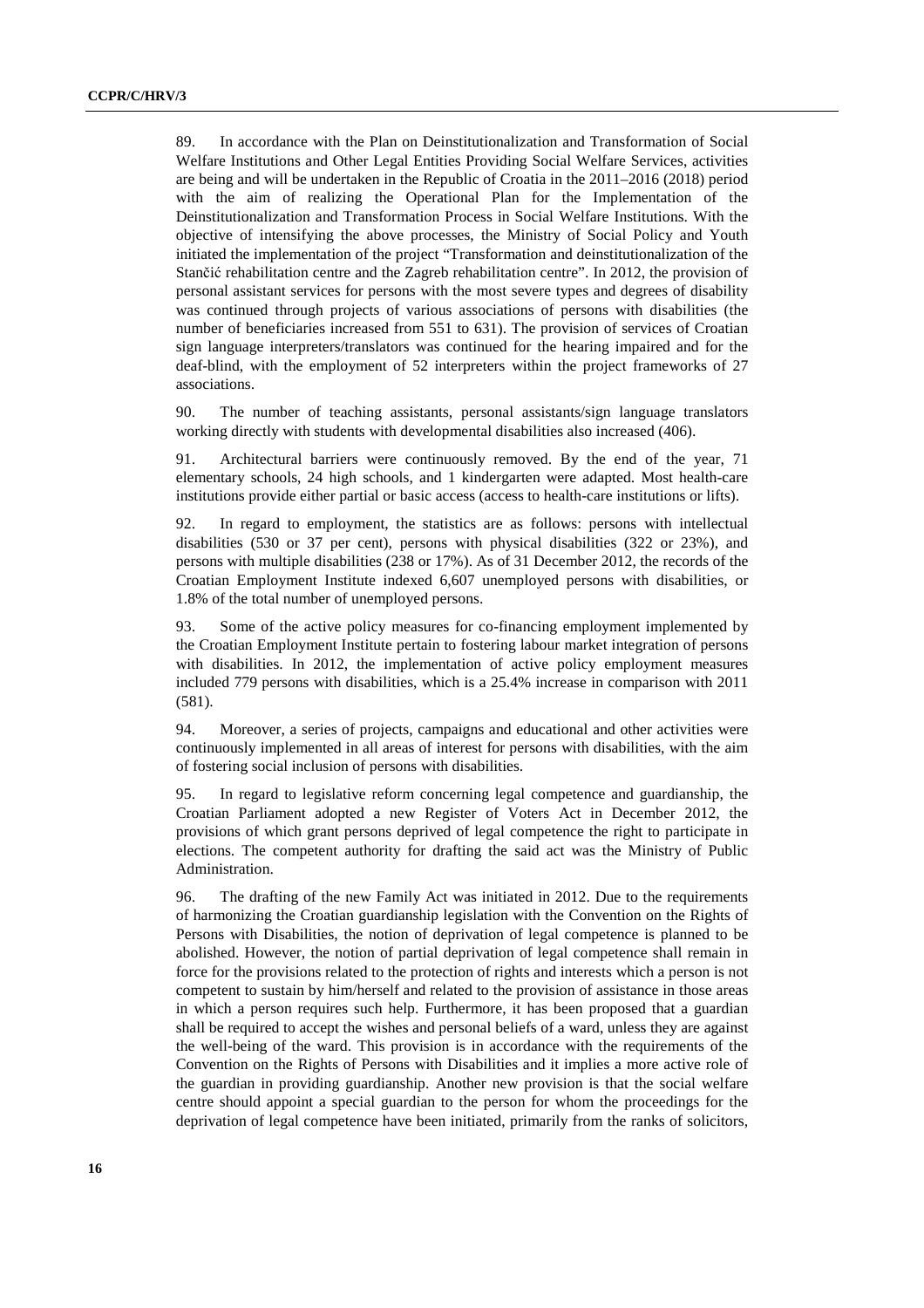89. In accordance with the Plan on Deinstitutionalization and Transformation of Social Welfare Institutions and Other Legal Entities Providing Social Welfare Services, activities are being and will be undertaken in the Republic of Croatia in the 2011–2016 (2018) period with the aim of realizing the Operational Plan for the Implementation of the Deinstitutionalization and Transformation Process in Social Welfare Institutions. With the objective of intensifying the above processes, the Ministry of Social Policy and Youth initiated the implementation of the project "Transformation and deinstitutionalization of the Stančić rehabilitation centre and the Zagreb rehabilitation centre". In 2012, the provision of personal assistant services for persons with the most severe types and degrees of disability was continued through projects of various associations of persons with disabilities (the number of beneficiaries increased from 551 to 631). The provision of services of Croatian sign language interpreters/translators was continued for the hearing impaired and for the deaf-blind, with the employment of 52 interpreters within the project frameworks of 27 associations.

90. The number of teaching assistants, personal assistants/sign language translators working directly with students with developmental disabilities also increased (406).

91. Architectural barriers were continuously removed. By the end of the year, 71 elementary schools, 24 high schools, and 1 kindergarten were adapted. Most health-care institutions provide either partial or basic access (access to health-care institutions or lifts).

92. In regard to employment, the statistics are as follows: persons with intellectual disabilities (530 or 37 per cent), persons with physical disabilities (322 or 23%), and persons with multiple disabilities (238 or 17%). As of 31 December 2012, the records of the Croatian Employment Institute indexed 6,607 unemployed persons with disabilities, or 1.8% of the total number of unemployed persons.

93. Some of the active policy measures for co-financing employment implemented by the Croatian Employment Institute pertain to fostering labour market integration of persons with disabilities. In 2012, the implementation of active policy employment measures included 779 persons with disabilities, which is a 25.4% increase in comparison with 2011 (581).

94. Moreover, a series of projects, campaigns and educational and other activities were continuously implemented in all areas of interest for persons with disabilities, with the aim of fostering social inclusion of persons with disabilities.

95. In regard to legislative reform concerning legal competence and guardianship, the Croatian Parliament adopted a new Register of Voters Act in December 2012, the provisions of which grant persons deprived of legal competence the right to participate in elections. The competent authority for drafting the said act was the Ministry of Public Administration.

96. The drafting of the new Family Act was initiated in 2012. Due to the requirements of harmonizing the Croatian guardianship legislation with the Convention on the Rights of Persons with Disabilities, the notion of deprivation of legal competence is planned to be abolished. However, the notion of partial deprivation of legal competence shall remain in force for the provisions related to the protection of rights and interests which a person is not competent to sustain by him/herself and related to the provision of assistance in those areas in which a person requires such help. Furthermore, it has been proposed that a guardian shall be required to accept the wishes and personal beliefs of a ward, unless they are against the well-being of the ward. This provision is in accordance with the requirements of the Convention on the Rights of Persons with Disabilities and it implies a more active role of the guardian in providing guardianship. Another new provision is that the social welfare centre should appoint a special guardian to the person for whom the proceedings for the deprivation of legal competence have been initiated, primarily from the ranks of solicitors,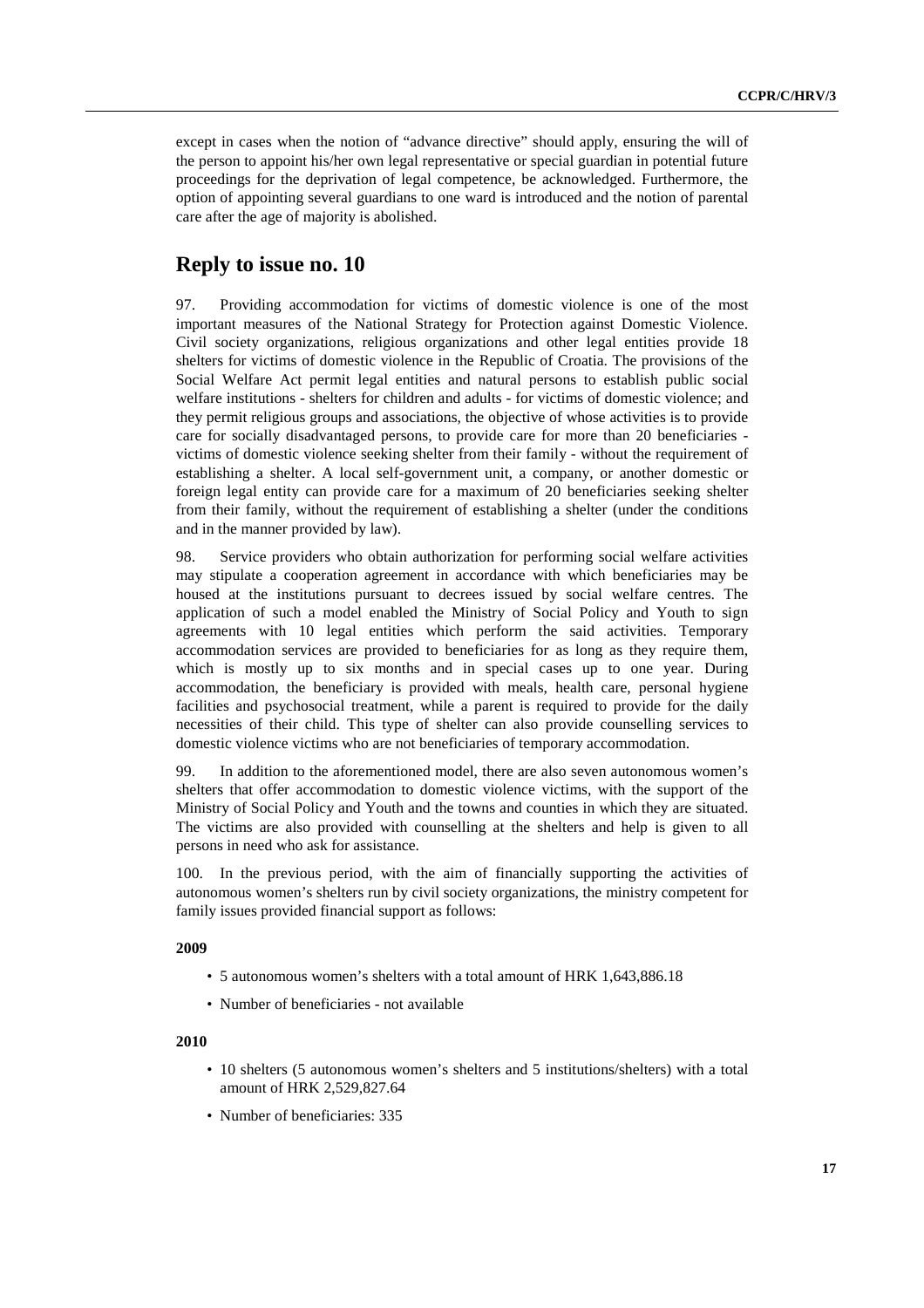except in cases when the notion of "advance directive" should apply, ensuring the will of the person to appoint his/her own legal representative or special guardian in potential future proceedings for the deprivation of legal competence, be acknowledged. Furthermore, the option of appointing several guardians to one ward is introduced and the notion of parental care after the age of majority is abolished.

# **Reply to issue no. 10**

97. Providing accommodation for victims of domestic violence is one of the most important measures of the National Strategy for Protection against Domestic Violence. Civil society organizations, religious organizations and other legal entities provide 18 shelters for victims of domestic violence in the Republic of Croatia. The provisions of the Social Welfare Act permit legal entities and natural persons to establish public social welfare institutions - shelters for children and adults - for victims of domestic violence; and they permit religious groups and associations, the objective of whose activities is to provide care for socially disadvantaged persons, to provide care for more than 20 beneficiaries victims of domestic violence seeking shelter from their family - without the requirement of establishing a shelter. A local self-government unit, a company, or another domestic or foreign legal entity can provide care for a maximum of 20 beneficiaries seeking shelter from their family, without the requirement of establishing a shelter (under the conditions and in the manner provided by law).

98. Service providers who obtain authorization for performing social welfare activities may stipulate a cooperation agreement in accordance with which beneficiaries may be housed at the institutions pursuant to decrees issued by social welfare centres. The application of such a model enabled the Ministry of Social Policy and Youth to sign agreements with 10 legal entities which perform the said activities. Temporary accommodation services are provided to beneficiaries for as long as they require them, which is mostly up to six months and in special cases up to one year. During accommodation, the beneficiary is provided with meals, health care, personal hygiene facilities and psychosocial treatment, while a parent is required to provide for the daily necessities of their child. This type of shelter can also provide counselling services to domestic violence victims who are not beneficiaries of temporary accommodation.

99. In addition to the aforementioned model, there are also seven autonomous women's shelters that offer accommodation to domestic violence victims, with the support of the Ministry of Social Policy and Youth and the towns and counties in which they are situated. The victims are also provided with counselling at the shelters and help is given to all persons in need who ask for assistance.

100. In the previous period, with the aim of financially supporting the activities of autonomous women's shelters run by civil society organizations, the ministry competent for family issues provided financial support as follows:

#### **2009**

- 5 autonomous women's shelters with a total amount of HRK 1,643,886.18
- Number of beneficiaries not available

#### **2010**

- 10 shelters (5 autonomous women's shelters and 5 institutions/shelters) with a total amount of HRK 2,529,827.64
- Number of beneficiaries: 335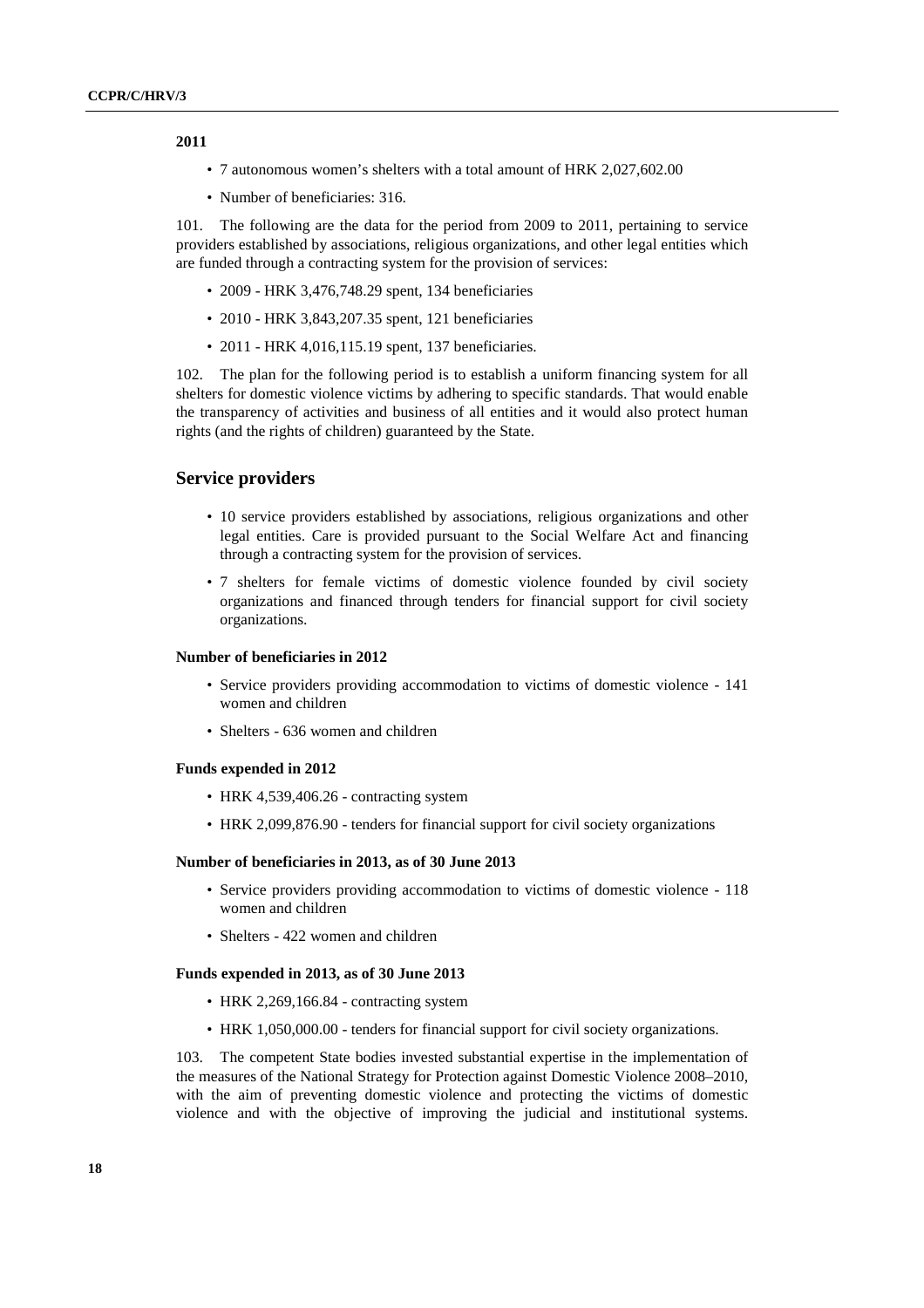#### **2011**

- 7 autonomous women's shelters with a total amount of HRK 2,027,602.00
- Number of beneficiaries: 316.

101. The following are the data for the period from 2009 to 2011, pertaining to service providers established by associations, religious organizations, and other legal entities which are funded through a contracting system for the provision of services:

- 2009 HRK 3,476,748.29 spent, 134 beneficiaries
- 2010 HRK 3,843,207.35 spent, 121 beneficiaries
- 2011 HRK 4,016,115.19 spent, 137 beneficiaries.

102. The plan for the following period is to establish a uniform financing system for all shelters for domestic violence victims by adhering to specific standards. That would enable the transparency of activities and business of all entities and it would also protect human rights (and the rights of children) guaranteed by the State.

#### **Service providers**

- 10 service providers established by associations, religious organizations and other legal entities. Care is provided pursuant to the Social Welfare Act and financing through a contracting system for the provision of services.
- 7 shelters for female victims of domestic violence founded by civil society organizations and financed through tenders for financial support for civil society organizations.

#### **Number of beneficiaries in 2012**

- Service providers providing accommodation to victims of domestic violence 141 women and children
- Shelters 636 women and children

#### **Funds expended in 2012**

- HRK 4,539,406.26 contracting system
- HRK 2,099,876.90 tenders for financial support for civil society organizations

#### **Number of beneficiaries in 2013, as of 30 June 2013**

- Service providers providing accommodation to victims of domestic violence 118 women and children
- Shelters 422 women and children

#### **Funds expended in 2013, as of 30 June 2013**

- HRK 2,269,166.84 contracting system
- HRK 1,050,000,00 tenders for financial support for civil society organizations.

103. The competent State bodies invested substantial expertise in the implementation of the measures of the National Strategy for Protection against Domestic Violence 2008–2010, with the aim of preventing domestic violence and protecting the victims of domestic violence and with the objective of improving the judicial and institutional systems.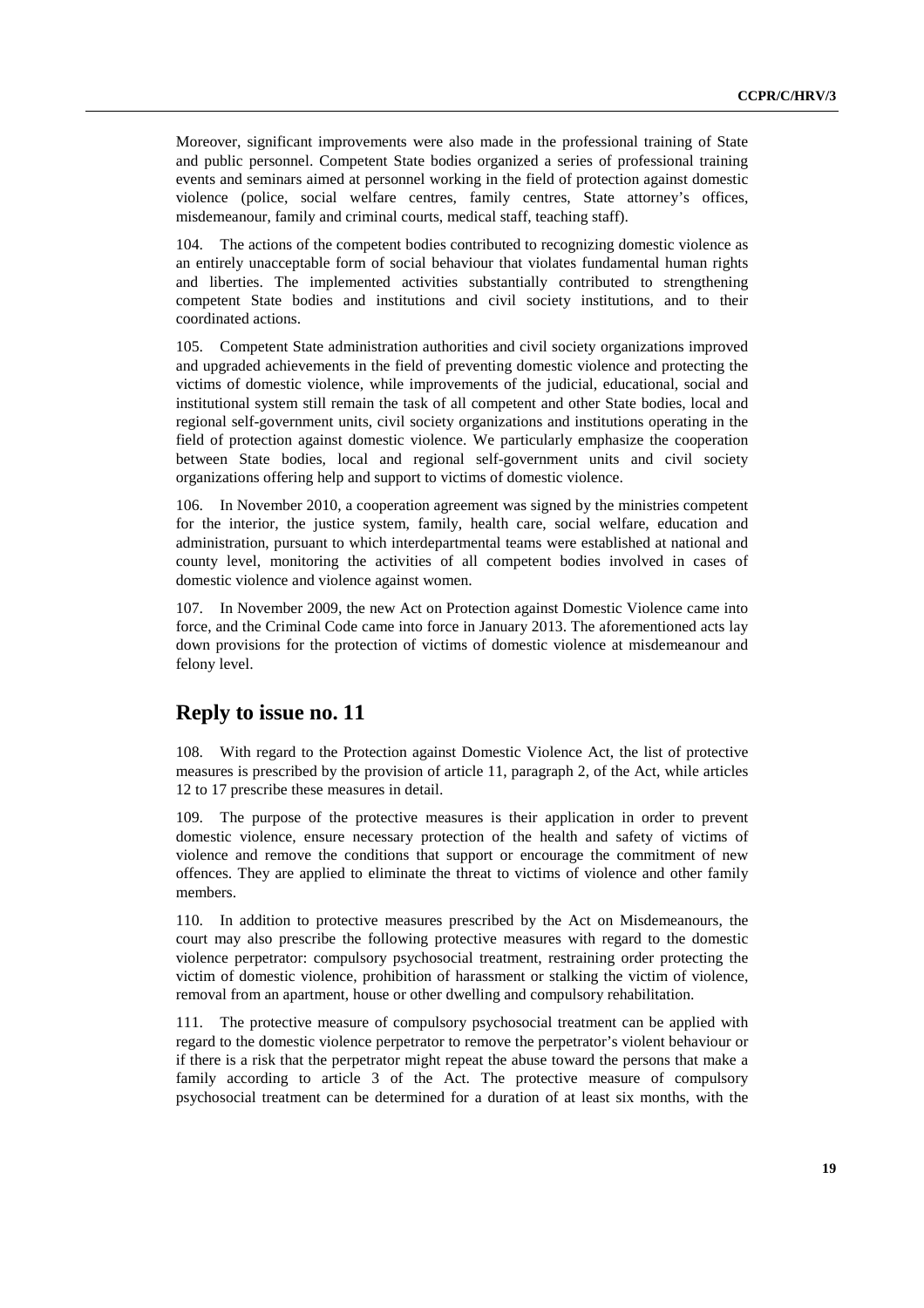Moreover, significant improvements were also made in the professional training of State and public personnel. Competent State bodies organized a series of professional training events and seminars aimed at personnel working in the field of protection against domestic violence (police, social welfare centres, family centres, State attorney's offices, misdemeanour, family and criminal courts, medical staff, teaching staff).

104. The actions of the competent bodies contributed to recognizing domestic violence as an entirely unacceptable form of social behaviour that violates fundamental human rights and liberties. The implemented activities substantially contributed to strengthening competent State bodies and institutions and civil society institutions, and to their coordinated actions.

105. Competent State administration authorities and civil society organizations improved and upgraded achievements in the field of preventing domestic violence and protecting the victims of domestic violence, while improvements of the judicial, educational, social and institutional system still remain the task of all competent and other State bodies, local and regional self-government units, civil society organizations and institutions operating in the field of protection against domestic violence. We particularly emphasize the cooperation between State bodies, local and regional self-government units and civil society organizations offering help and support to victims of domestic violence.

In November 2010, a cooperation agreement was signed by the ministries competent for the interior, the justice system, family, health care, social welfare, education and administration, pursuant to which interdepartmental teams were established at national and county level, monitoring the activities of all competent bodies involved in cases of domestic violence and violence against women.

107. In November 2009, the new Act on Protection against Domestic Violence came into force, and the Criminal Code came into force in January 2013. The aforementioned acts lay down provisions for the protection of victims of domestic violence at misdemeanour and felony level.

#### **Reply to issue no. 11**

108. With regard to the Protection against Domestic Violence Act, the list of protective measures is prescribed by the provision of article 11, paragraph 2, of the Act, while articles 12 to 17 prescribe these measures in detail.

109. The purpose of the protective measures is their application in order to prevent domestic violence, ensure necessary protection of the health and safety of victims of violence and remove the conditions that support or encourage the commitment of new offences. They are applied to eliminate the threat to victims of violence and other family members.

110. In addition to protective measures prescribed by the Act on Misdemeanours, the court may also prescribe the following protective measures with regard to the domestic violence perpetrator: compulsory psychosocial treatment, restraining order protecting the victim of domestic violence, prohibition of harassment or stalking the victim of violence, removal from an apartment, house or other dwelling and compulsory rehabilitation.

111. The protective measure of compulsory psychosocial treatment can be applied with regard to the domestic violence perpetrator to remove the perpetrator's violent behaviour or if there is a risk that the perpetrator might repeat the abuse toward the persons that make a family according to article 3 of the Act. The protective measure of compulsory psychosocial treatment can be determined for a duration of at least six months, with the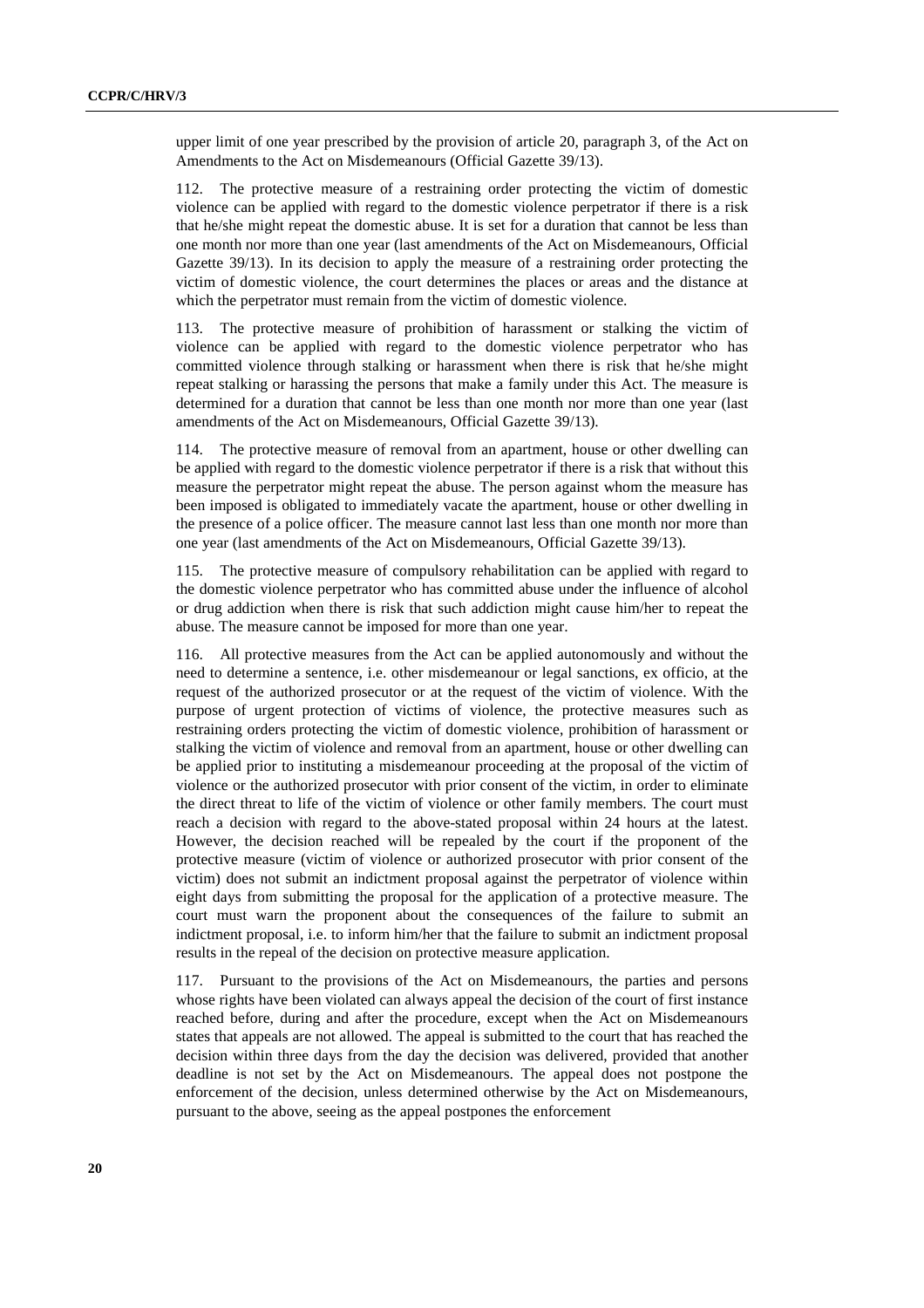upper limit of one year prescribed by the provision of article 20, paragraph 3, of the Act on Amendments to the Act on Misdemeanours (Official Gazette 39/13).

112. The protective measure of a restraining order protecting the victim of domestic violence can be applied with regard to the domestic violence perpetrator if there is a risk that he/she might repeat the domestic abuse. It is set for a duration that cannot be less than one month nor more than one year (last amendments of the Act on Misdemeanours, Official Gazette 39/13). In its decision to apply the measure of a restraining order protecting the victim of domestic violence, the court determines the places or areas and the distance at which the perpetrator must remain from the victim of domestic violence.

113. The protective measure of prohibition of harassment or stalking the victim of violence can be applied with regard to the domestic violence perpetrator who has committed violence through stalking or harassment when there is risk that he/she might repeat stalking or harassing the persons that make a family under this Act. The measure is determined for a duration that cannot be less than one month nor more than one year (last amendments of the Act on Misdemeanours, Official Gazette 39/13).

114. The protective measure of removal from an apartment, house or other dwelling can be applied with regard to the domestic violence perpetrator if there is a risk that without this measure the perpetrator might repeat the abuse. The person against whom the measure has been imposed is obligated to immediately vacate the apartment, house or other dwelling in the presence of a police officer. The measure cannot last less than one month nor more than one year (last amendments of the Act on Misdemeanours, Official Gazette 39/13).

115. The protective measure of compulsory rehabilitation can be applied with regard to the domestic violence perpetrator who has committed abuse under the influence of alcohol or drug addiction when there is risk that such addiction might cause him/her to repeat the abuse. The measure cannot be imposed for more than one year.

116. All protective measures from the Act can be applied autonomously and without the need to determine a sentence, i.e. other misdemeanour or legal sanctions, ex officio, at the request of the authorized prosecutor or at the request of the victim of violence. With the purpose of urgent protection of victims of violence, the protective measures such as restraining orders protecting the victim of domestic violence, prohibition of harassment or stalking the victim of violence and removal from an apartment, house or other dwelling can be applied prior to instituting a misdemeanour proceeding at the proposal of the victim of violence or the authorized prosecutor with prior consent of the victim, in order to eliminate the direct threat to life of the victim of violence or other family members. The court must reach a decision with regard to the above-stated proposal within 24 hours at the latest. However, the decision reached will be repealed by the court if the proponent of the protective measure (victim of violence or authorized prosecutor with prior consent of the victim) does not submit an indictment proposal against the perpetrator of violence within eight days from submitting the proposal for the application of a protective measure. The court must warn the proponent about the consequences of the failure to submit an indictment proposal, i.e. to inform him/her that the failure to submit an indictment proposal results in the repeal of the decision on protective measure application.

117. Pursuant to the provisions of the Act on Misdemeanours, the parties and persons whose rights have been violated can always appeal the decision of the court of first instance reached before, during and after the procedure, except when the Act on Misdemeanours states that appeals are not allowed. The appeal is submitted to the court that has reached the decision within three days from the day the decision was delivered, provided that another deadline is not set by the Act on Misdemeanours. The appeal does not postpone the enforcement of the decision, unless determined otherwise by the Act on Misdemeanours, pursuant to the above, seeing as the appeal postpones the enforcement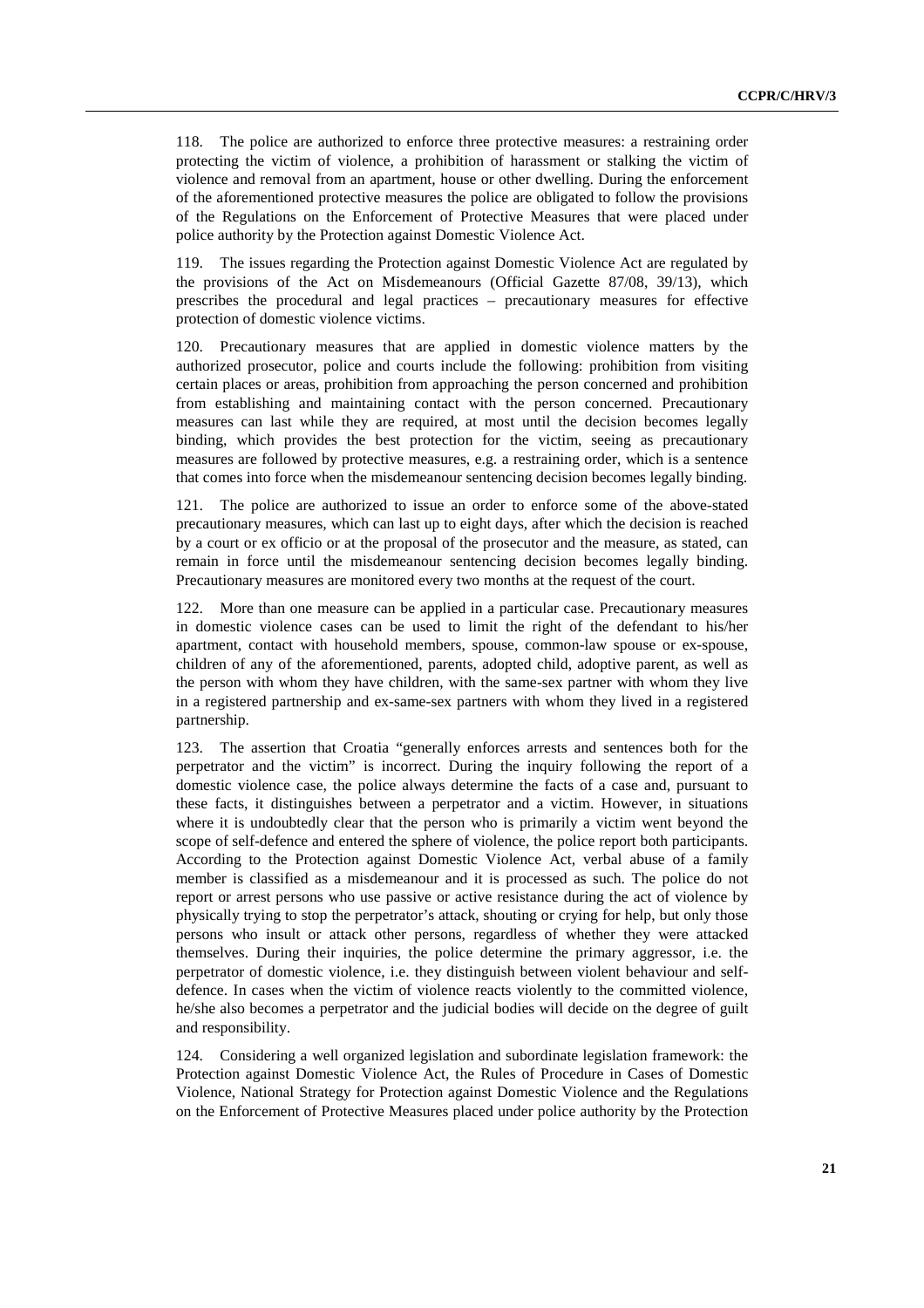118. The police are authorized to enforce three protective measures: a restraining order protecting the victim of violence, a prohibition of harassment or stalking the victim of violence and removal from an apartment, house or other dwelling. During the enforcement of the aforementioned protective measures the police are obligated to follow the provisions of the Regulations on the Enforcement of Protective Measures that were placed under police authority by the Protection against Domestic Violence Act.

119. The issues regarding the Protection against Domestic Violence Act are regulated by the provisions of the Act on Misdemeanours (Official Gazette 87/08, 39/13), which prescribes the procedural and legal practices – precautionary measures for effective protection of domestic violence victims.

120. Precautionary measures that are applied in domestic violence matters by the authorized prosecutor, police and courts include the following: prohibition from visiting certain places or areas, prohibition from approaching the person concerned and prohibition from establishing and maintaining contact with the person concerned. Precautionary measures can last while they are required, at most until the decision becomes legally binding, which provides the best protection for the victim, seeing as precautionary measures are followed by protective measures, e.g. a restraining order, which is a sentence that comes into force when the misdemeanour sentencing decision becomes legally binding.

The police are authorized to issue an order to enforce some of the above-stated precautionary measures, which can last up to eight days, after which the decision is reached by a court or ex officio or at the proposal of the prosecutor and the measure, as stated, can remain in force until the misdemeanour sentencing decision becomes legally binding. Precautionary measures are monitored every two months at the request of the court.

122. More than one measure can be applied in a particular case. Precautionary measures in domestic violence cases can be used to limit the right of the defendant to his/her apartment, contact with household members, spouse, common-law spouse or ex-spouse, children of any of the aforementioned, parents, adopted child, adoptive parent, as well as the person with whom they have children, with the same-sex partner with whom they live in a registered partnership and ex-same-sex partners with whom they lived in a registered partnership.

123. The assertion that Croatia "generally enforces arrests and sentences both for the perpetrator and the victim" is incorrect. During the inquiry following the report of a domestic violence case, the police always determine the facts of a case and, pursuant to these facts, it distinguishes between a perpetrator and a victim. However, in situations where it is undoubtedly clear that the person who is primarily a victim went beyond the scope of self-defence and entered the sphere of violence, the police report both participants. According to the Protection against Domestic Violence Act, verbal abuse of a family member is classified as a misdemeanour and it is processed as such. The police do not report or arrest persons who use passive or active resistance during the act of violence by physically trying to stop the perpetrator's attack, shouting or crying for help, but only those persons who insult or attack other persons, regardless of whether they were attacked themselves. During their inquiries, the police determine the primary aggressor, i.e. the perpetrator of domestic violence, i.e. they distinguish between violent behaviour and selfdefence. In cases when the victim of violence reacts violently to the committed violence, he/she also becomes a perpetrator and the judicial bodies will decide on the degree of guilt and responsibility.

124. Considering a well organized legislation and subordinate legislation framework: the Protection against Domestic Violence Act, the Rules of Procedure in Cases of Domestic Violence, National Strategy for Protection against Domestic Violence and the Regulations on the Enforcement of Protective Measures placed under police authority by the Protection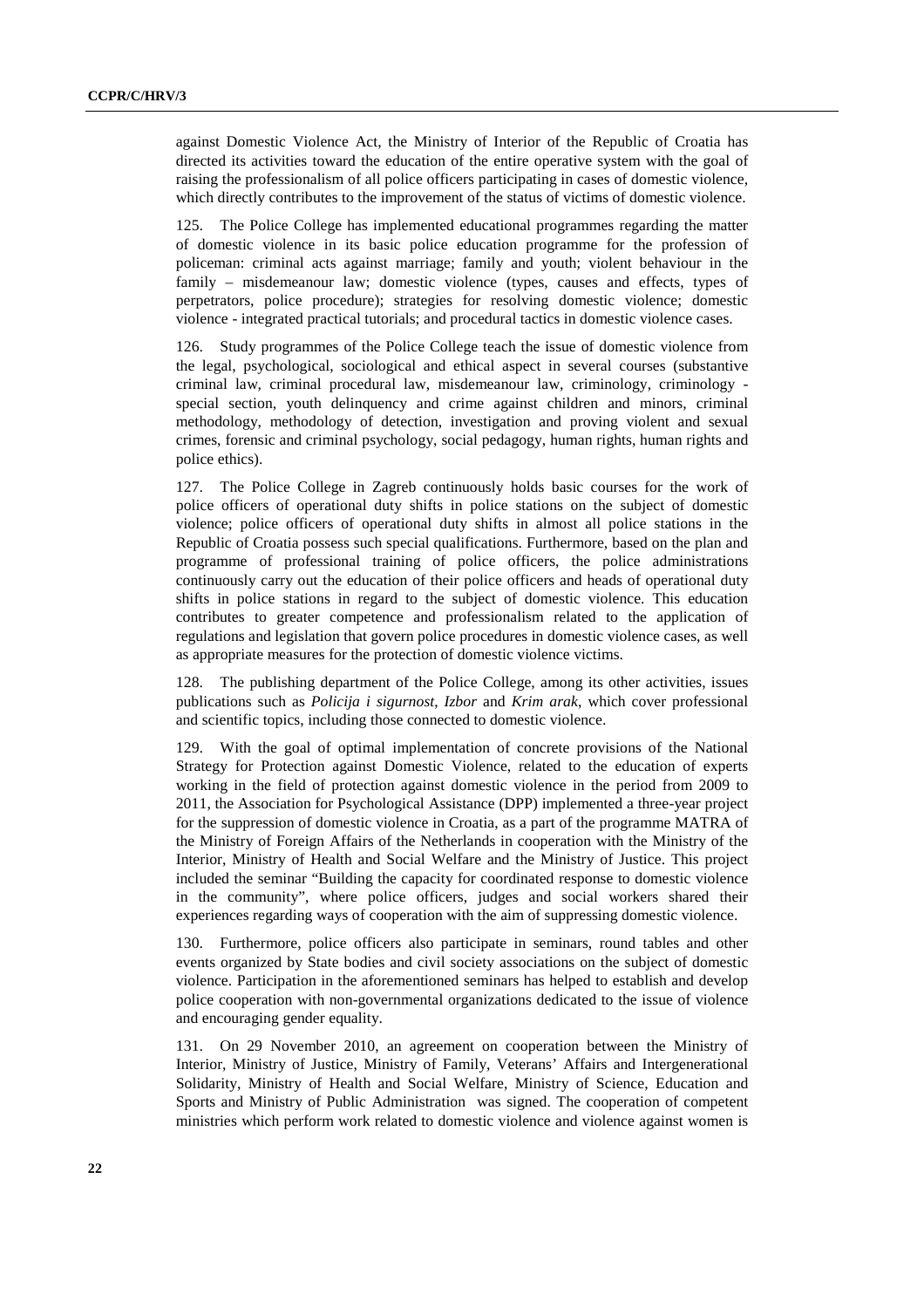against Domestic Violence Act, the Ministry of Interior of the Republic of Croatia has directed its activities toward the education of the entire operative system with the goal of raising the professionalism of all police officers participating in cases of domestic violence, which directly contributes to the improvement of the status of victims of domestic violence.

125. The Police College has implemented educational programmes regarding the matter of domestic violence in its basic police education programme for the profession of policeman: criminal acts against marriage; family and youth; violent behaviour in the family – misdemeanour law; domestic violence (types, causes and effects, types of perpetrators, police procedure); strategies for resolving domestic violence; domestic violence - integrated practical tutorials; and procedural tactics in domestic violence cases.

126. Study programmes of the Police College teach the issue of domestic violence from the legal, psychological, sociological and ethical aspect in several courses (substantive criminal law, criminal procedural law, misdemeanour law, criminology, criminology special section, youth delinquency and crime against children and minors, criminal methodology, methodology of detection, investigation and proving violent and sexual crimes, forensic and criminal psychology, social pedagogy, human rights, human rights and police ethics).

127. The Police College in Zagreb continuously holds basic courses for the work of police officers of operational duty shifts in police stations on the subject of domestic violence; police officers of operational duty shifts in almost all police stations in the Republic of Croatia possess such special qualifications. Furthermore, based on the plan and programme of professional training of police officers, the police administrations continuously carry out the education of their police officers and heads of operational duty shifts in police stations in regard to the subject of domestic violence. This education contributes to greater competence and professionalism related to the application of regulations and legislation that govern police procedures in domestic violence cases, as well as appropriate measures for the protection of domestic violence victims.

128. The publishing department of the Police College, among its other activities, issues publications such as *Policija i sigurnost*, *Izbor* and *Krim arak*, which cover professional and scientific topics, including those connected to domestic violence.

129. With the goal of optimal implementation of concrete provisions of the National Strategy for Protection against Domestic Violence, related to the education of experts working in the field of protection against domestic violence in the period from 2009 to 2011, the Association for Psychological Assistance (DPP) implemented a three-year project for the suppression of domestic violence in Croatia, as a part of the programme MATRA of the Ministry of Foreign Affairs of the Netherlands in cooperation with the Ministry of the Interior, Ministry of Health and Social Welfare and the Ministry of Justice. This project included the seminar "Building the capacity for coordinated response to domestic violence in the community", where police officers, judges and social workers shared their experiences regarding ways of cooperation with the aim of suppressing domestic violence.

130. Furthermore, police officers also participate in seminars, round tables and other events organized by State bodies and civil society associations on the subject of domestic violence. Participation in the aforementioned seminars has helped to establish and develop police cooperation with non-governmental organizations dedicated to the issue of violence and encouraging gender equality.

131. On 29 November 2010, an agreement on cooperation between the Ministry of Interior, Ministry of Justice, Ministry of Family, Veterans' Affairs and Intergenerational Solidarity, Ministry of Health and Social Welfare, Ministry of Science, Education and Sports and Ministry of Public Administration was signed. The cooperation of competent ministries which perform work related to domestic violence and violence against women is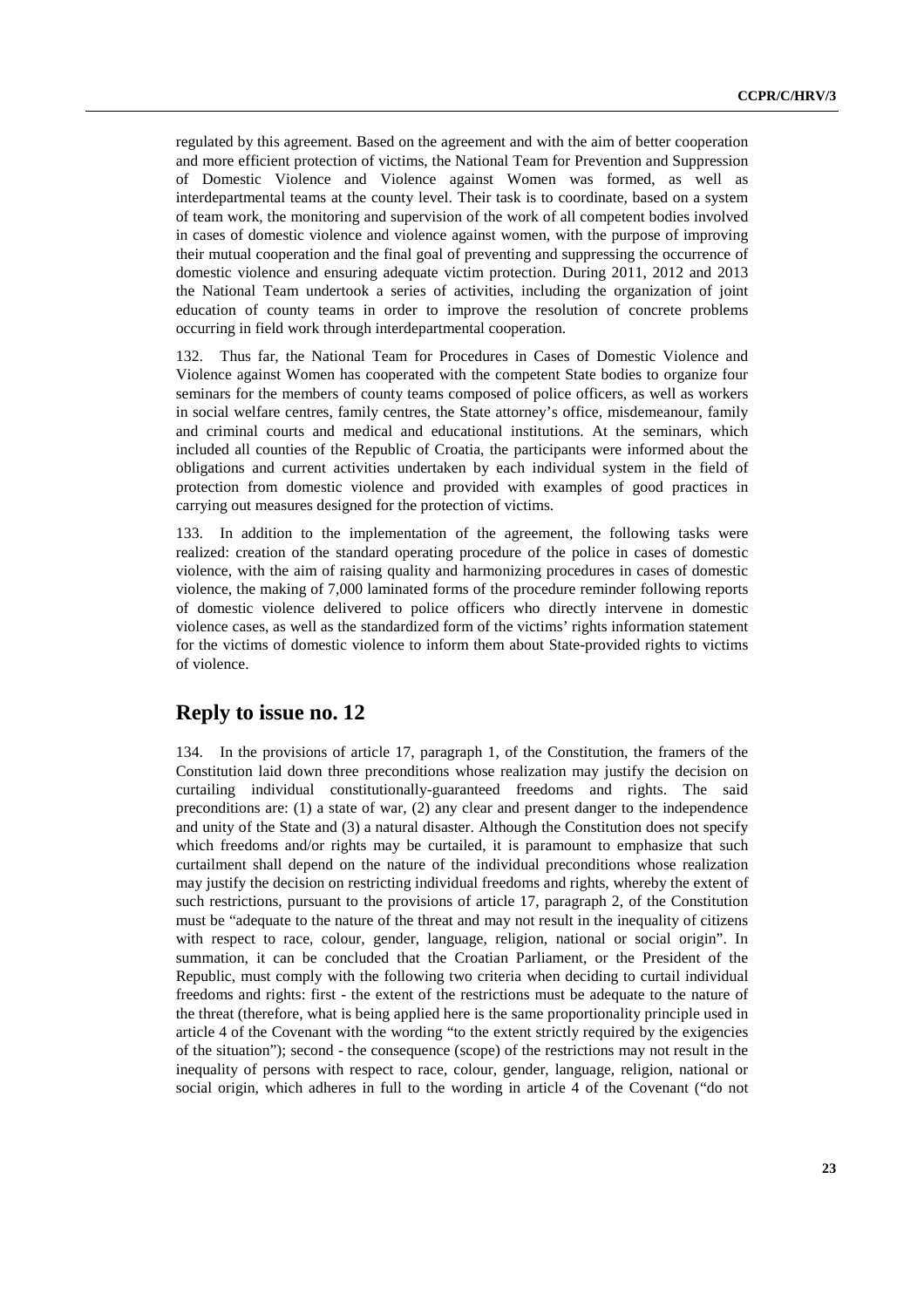regulated by this agreement. Based on the agreement and with the aim of better cooperation and more efficient protection of victims, the National Team for Prevention and Suppression of Domestic Violence and Violence against Women was formed, as well as interdepartmental teams at the county level. Their task is to coordinate, based on a system of team work, the monitoring and supervision of the work of all competent bodies involved in cases of domestic violence and violence against women, with the purpose of improving their mutual cooperation and the final goal of preventing and suppressing the occurrence of domestic violence and ensuring adequate victim protection. During 2011, 2012 and 2013 the National Team undertook a series of activities, including the organization of joint education of county teams in order to improve the resolution of concrete problems occurring in field work through interdepartmental cooperation.

132. Thus far, the National Team for Procedures in Cases of Domestic Violence and Violence against Women has cooperated with the competent State bodies to organize four seminars for the members of county teams composed of police officers, as well as workers in social welfare centres, family centres, the State attorney's office, misdemeanour, family and criminal courts and medical and educational institutions. At the seminars, which included all counties of the Republic of Croatia, the participants were informed about the obligations and current activities undertaken by each individual system in the field of protection from domestic violence and provided with examples of good practices in carrying out measures designed for the protection of victims.

133. In addition to the implementation of the agreement, the following tasks were realized: creation of the standard operating procedure of the police in cases of domestic violence, with the aim of raising quality and harmonizing procedures in cases of domestic violence, the making of 7,000 laminated forms of the procedure reminder following reports of domestic violence delivered to police officers who directly intervene in domestic violence cases, as well as the standardized form of the victims' rights information statement for the victims of domestic violence to inform them about State-provided rights to victims of violence.

#### **Reply to issue no. 12**

134. In the provisions of article 17, paragraph 1, of the Constitution, the framers of the Constitution laid down three preconditions whose realization may justify the decision on curtailing individual constitutionally-guaranteed freedoms and rights. The said preconditions are: (1) a state of war, (2) any clear and present danger to the independence and unity of the State and (3) a natural disaster. Although the Constitution does not specify which freedoms and/or rights may be curtailed, it is paramount to emphasize that such curtailment shall depend on the nature of the individual preconditions whose realization may justify the decision on restricting individual freedoms and rights, whereby the extent of such restrictions, pursuant to the provisions of article 17, paragraph 2, of the Constitution must be "adequate to the nature of the threat and may not result in the inequality of citizens with respect to race, colour, gender, language, religion, national or social origin". In summation, it can be concluded that the Croatian Parliament, or the President of the Republic, must comply with the following two criteria when deciding to curtail individual freedoms and rights: first - the extent of the restrictions must be adequate to the nature of the threat (therefore, what is being applied here is the same proportionality principle used in article 4 of the Covenant with the wording "to the extent strictly required by the exigencies of the situation"); second - the consequence (scope) of the restrictions may not result in the inequality of persons with respect to race, colour, gender, language, religion, national or social origin, which adheres in full to the wording in article 4 of the Covenant ("do not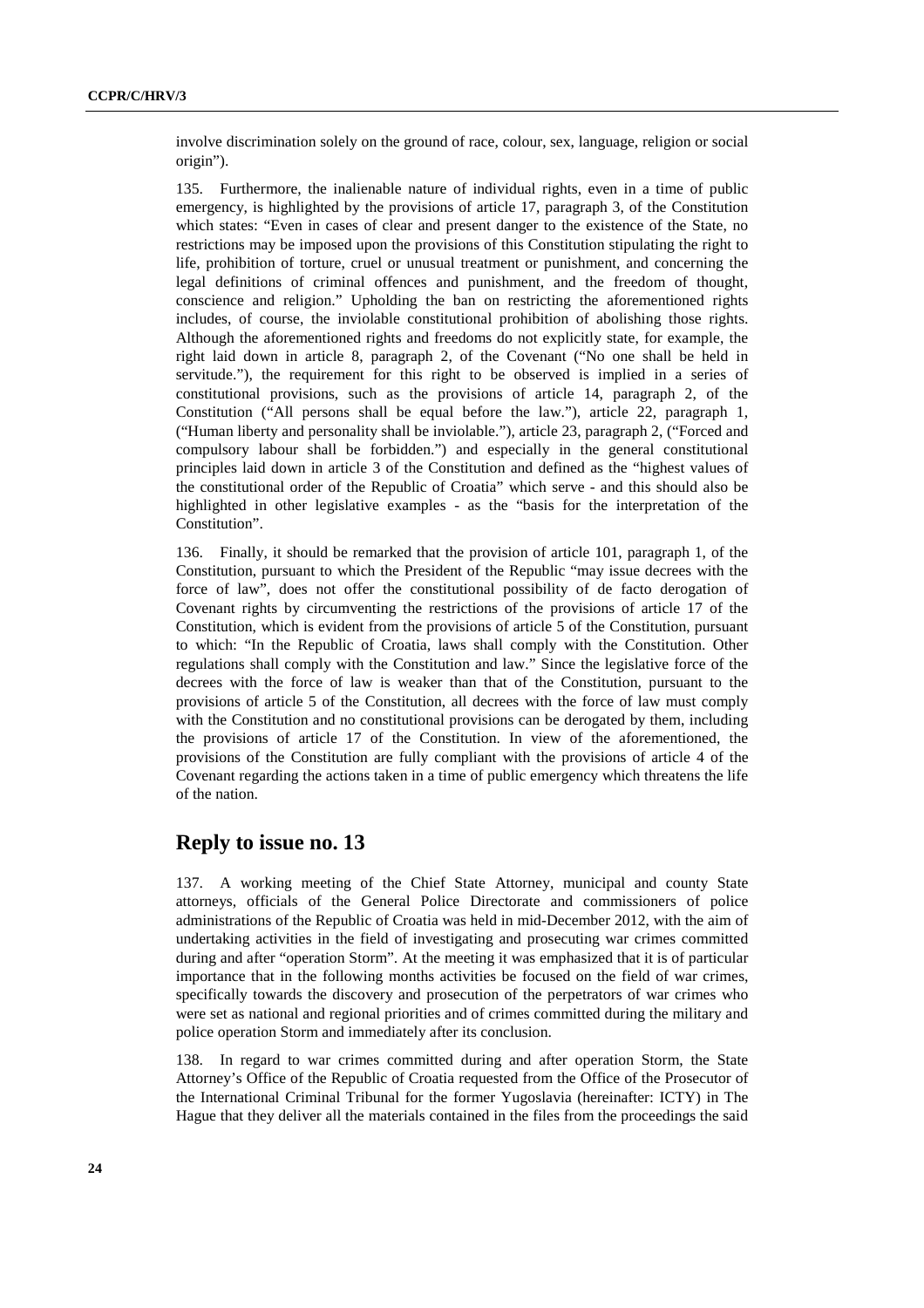involve discrimination solely on the ground of race, colour, sex, language, religion or social origin").

135. Furthermore, the inalienable nature of individual rights, even in a time of public emergency, is highlighted by the provisions of article 17, paragraph 3, of the Constitution which states: "Even in cases of clear and present danger to the existence of the State, no restrictions may be imposed upon the provisions of this Constitution stipulating the right to life, prohibition of torture, cruel or unusual treatment or punishment, and concerning the legal definitions of criminal offences and punishment, and the freedom of thought, conscience and religion." Upholding the ban on restricting the aforementioned rights includes, of course, the inviolable constitutional prohibition of abolishing those rights. Although the aforementioned rights and freedoms do not explicitly state, for example, the right laid down in article 8, paragraph 2, of the Covenant ("No one shall be held in servitude."), the requirement for this right to be observed is implied in a series of constitutional provisions, such as the provisions of article 14, paragraph 2, of the Constitution ("All persons shall be equal before the law."), article 22, paragraph 1, ("Human liberty and personality shall be inviolable."), article 23, paragraph 2, ("Forced and compulsory labour shall be forbidden.") and especially in the general constitutional principles laid down in article 3 of the Constitution and defined as the "highest values of the constitutional order of the Republic of Croatia" which serve - and this should also be highlighted in other legislative examples - as the "basis for the interpretation of the Constitution".

136. Finally, it should be remarked that the provision of article 101, paragraph 1, of the Constitution, pursuant to which the President of the Republic "may issue decrees with the force of law", does not offer the constitutional possibility of de facto derogation of Covenant rights by circumventing the restrictions of the provisions of article 17 of the Constitution, which is evident from the provisions of article 5 of the Constitution, pursuant to which: "In the Republic of Croatia, laws shall comply with the Constitution. Other regulations shall comply with the Constitution and law." Since the legislative force of the decrees with the force of law is weaker than that of the Constitution, pursuant to the provisions of article 5 of the Constitution, all decrees with the force of law must comply with the Constitution and no constitutional provisions can be derogated by them, including the provisions of article 17 of the Constitution. In view of the aforementioned, the provisions of the Constitution are fully compliant with the provisions of article 4 of the Covenant regarding the actions taken in a time of public emergency which threatens the life of the nation.

# **Reply to issue no. 13**

137. A working meeting of the Chief State Attorney, municipal and county State attorneys, officials of the General Police Directorate and commissioners of police administrations of the Republic of Croatia was held in mid-December 2012, with the aim of undertaking activities in the field of investigating and prosecuting war crimes committed during and after "operation Storm". At the meeting it was emphasized that it is of particular importance that in the following months activities be focused on the field of war crimes, specifically towards the discovery and prosecution of the perpetrators of war crimes who were set as national and regional priorities and of crimes committed during the military and police operation Storm and immediately after its conclusion.

138. In regard to war crimes committed during and after operation Storm, the State Attorney's Office of the Republic of Croatia requested from the Office of the Prosecutor of the International Criminal Tribunal for the former Yugoslavia (hereinafter: ICTY) in The Hague that they deliver all the materials contained in the files from the proceedings the said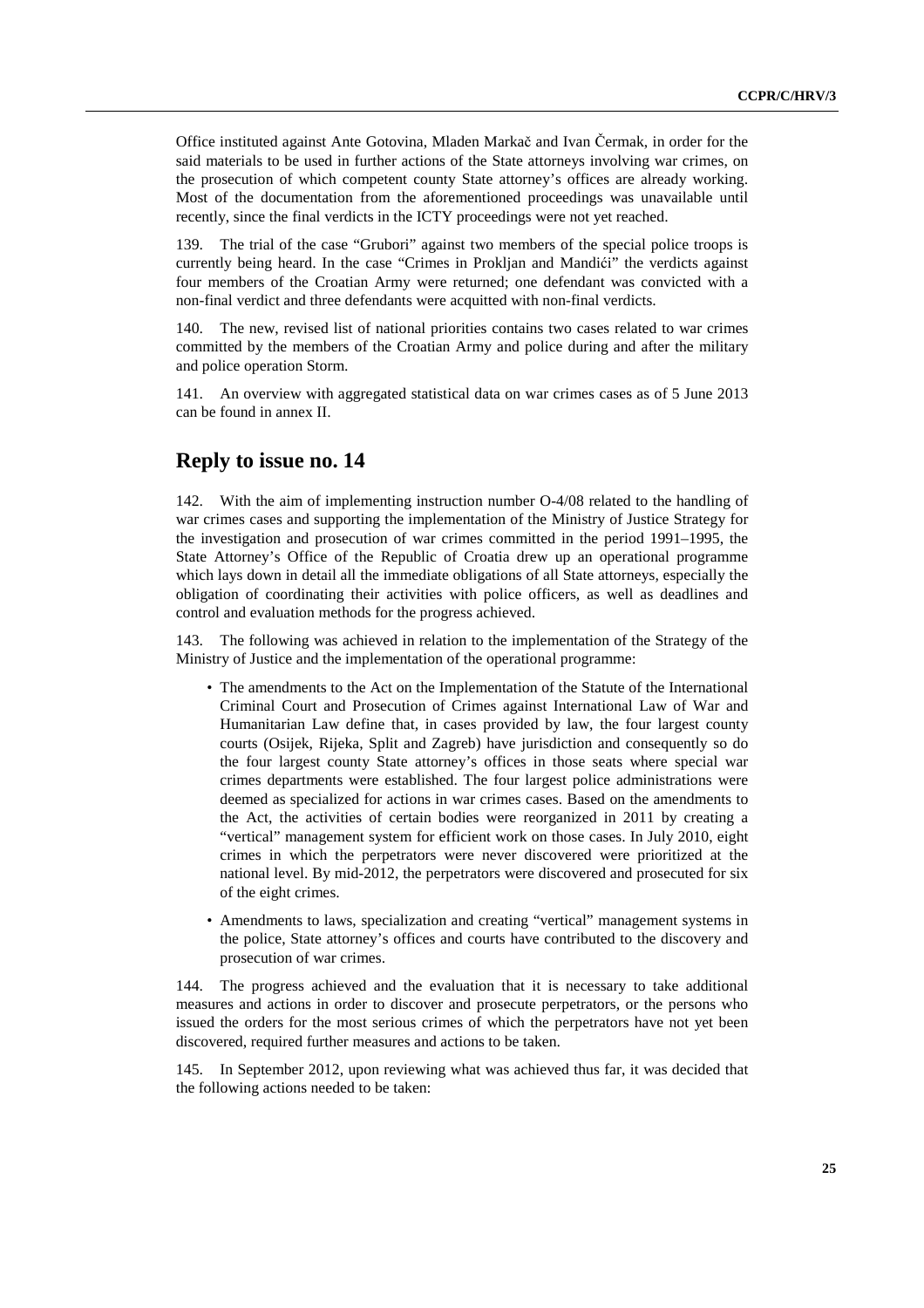Office instituted against Ante Gotovina, Mladen Markač and Ivan Čermak, in order for the said materials to be used in further actions of the State attorneys involving war crimes, on the prosecution of which competent county State attorney's offices are already working. Most of the documentation from the aforementioned proceedings was unavailable until recently, since the final verdicts in the ICTY proceedings were not yet reached.

139. The trial of the case "Grubori" against two members of the special police troops is currently being heard. In the case "Crimes in Prokljan and Mandići" the verdicts against four members of the Croatian Army were returned; one defendant was convicted with a non-final verdict and three defendants were acquitted with non-final verdicts.

140. The new, revised list of national priorities contains two cases related to war crimes committed by the members of the Croatian Army and police during and after the military and police operation Storm.

141. An overview with aggregated statistical data on war crimes cases as of 5 June 2013 can be found in annex II.

### **Reply to issue no. 14**

With the aim of implementing instruction number O-4/08 related to the handling of war crimes cases and supporting the implementation of the Ministry of Justice Strategy for the investigation and prosecution of war crimes committed in the period 1991–1995, the State Attorney's Office of the Republic of Croatia drew up an operational programme which lays down in detail all the immediate obligations of all State attorneys, especially the obligation of coordinating their activities with police officers, as well as deadlines and control and evaluation methods for the progress achieved.

The following was achieved in relation to the implementation of the Strategy of the Ministry of Justice and the implementation of the operational programme:

- The amendments to the Act on the Implementation of the Statute of the International Criminal Court and Prosecution of Crimes against International Law of War and Humanitarian Law define that, in cases provided by law, the four largest county courts (Osijek, Rijeka, Split and Zagreb) have jurisdiction and consequently so do the four largest county State attorney's offices in those seats where special war crimes departments were established. The four largest police administrations were deemed as specialized for actions in war crimes cases. Based on the amendments to the Act, the activities of certain bodies were reorganized in 2011 by creating a "vertical" management system for efficient work on those cases. In July 2010, eight crimes in which the perpetrators were never discovered were prioritized at the national level. By mid-2012, the perpetrators were discovered and prosecuted for six of the eight crimes.
- Amendments to laws, specialization and creating "vertical" management systems in the police, State attorney's offices and courts have contributed to the discovery and prosecution of war crimes.

144. The progress achieved and the evaluation that it is necessary to take additional measures and actions in order to discover and prosecute perpetrators, or the persons who issued the orders for the most serious crimes of which the perpetrators have not yet been discovered, required further measures and actions to be taken.

145. In September 2012, upon reviewing what was achieved thus far, it was decided that the following actions needed to be taken: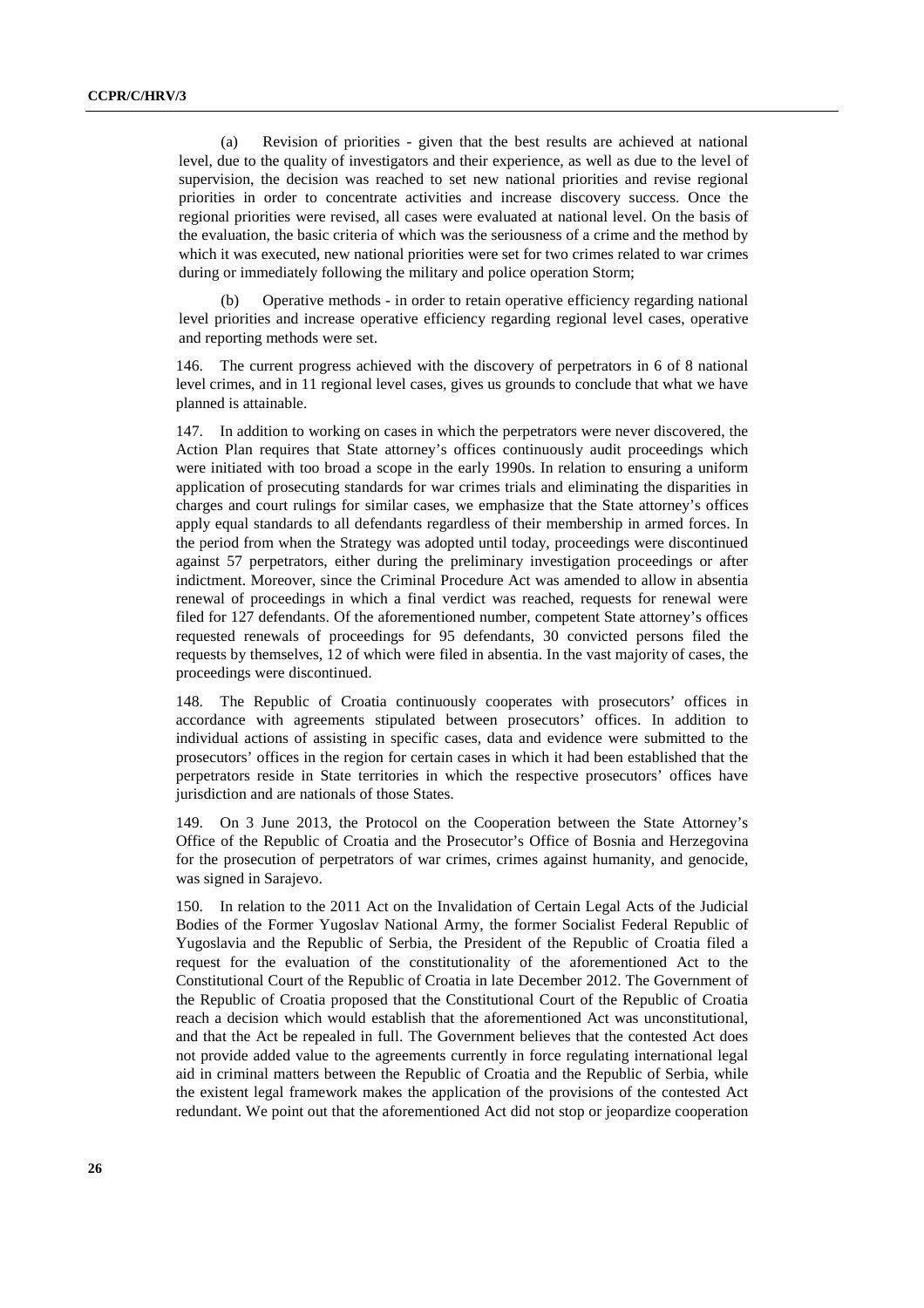(a) Revision of priorities - given that the best results are achieved at national level, due to the quality of investigators and their experience, as well as due to the level of supervision, the decision was reached to set new national priorities and revise regional priorities in order to concentrate activities and increase discovery success. Once the regional priorities were revised, all cases were evaluated at national level. On the basis of the evaluation, the basic criteria of which was the seriousness of a crime and the method by which it was executed, new national priorities were set for two crimes related to war crimes during or immediately following the military and police operation Storm;

(b) Operative methods - in order to retain operative efficiency regarding national level priorities and increase operative efficiency regarding regional level cases, operative and reporting methods were set.

146. The current progress achieved with the discovery of perpetrators in 6 of 8 national level crimes, and in 11 regional level cases, gives us grounds to conclude that what we have planned is attainable.

147. In addition to working on cases in which the perpetrators were never discovered, the Action Plan requires that State attorney's offices continuously audit proceedings which were initiated with too broad a scope in the early 1990s. In relation to ensuring a uniform application of prosecuting standards for war crimes trials and eliminating the disparities in charges and court rulings for similar cases, we emphasize that the State attorney's offices apply equal standards to all defendants regardless of their membership in armed forces. In the period from when the Strategy was adopted until today, proceedings were discontinued against 57 perpetrators, either during the preliminary investigation proceedings or after indictment. Moreover, since the Criminal Procedure Act was amended to allow in absentia renewal of proceedings in which a final verdict was reached, requests for renewal were filed for 127 defendants. Of the aforementioned number, competent State attorney's offices requested renewals of proceedings for 95 defendants, 30 convicted persons filed the requests by themselves, 12 of which were filed in absentia. In the vast majority of cases, the proceedings were discontinued.

148. The Republic of Croatia continuously cooperates with prosecutors' offices in accordance with agreements stipulated between prosecutors' offices. In addition to individual actions of assisting in specific cases, data and evidence were submitted to the prosecutors' offices in the region for certain cases in which it had been established that the perpetrators reside in State territories in which the respective prosecutors' offices have jurisdiction and are nationals of those States.

149. On 3 June 2013, the Protocol on the Cooperation between the State Attorney's Office of the Republic of Croatia and the Prosecutor's Office of Bosnia and Herzegovina for the prosecution of perpetrators of war crimes, crimes against humanity, and genocide, was signed in Sarajevo.

150. In relation to the 2011 Act on the Invalidation of Certain Legal Acts of the Judicial Bodies of the Former Yugoslav National Army, the former Socialist Federal Republic of Yugoslavia and the Republic of Serbia, the President of the Republic of Croatia filed a request for the evaluation of the constitutionality of the aforementioned Act to the Constitutional Court of the Republic of Croatia in late December 2012. The Government of the Republic of Croatia proposed that the Constitutional Court of the Republic of Croatia reach a decision which would establish that the aforementioned Act was unconstitutional, and that the Act be repealed in full. The Government believes that the contested Act does not provide added value to the agreements currently in force regulating international legal aid in criminal matters between the Republic of Croatia and the Republic of Serbia, while the existent legal framework makes the application of the provisions of the contested Act redundant. We point out that the aforementioned Act did not stop or jeopardize cooperation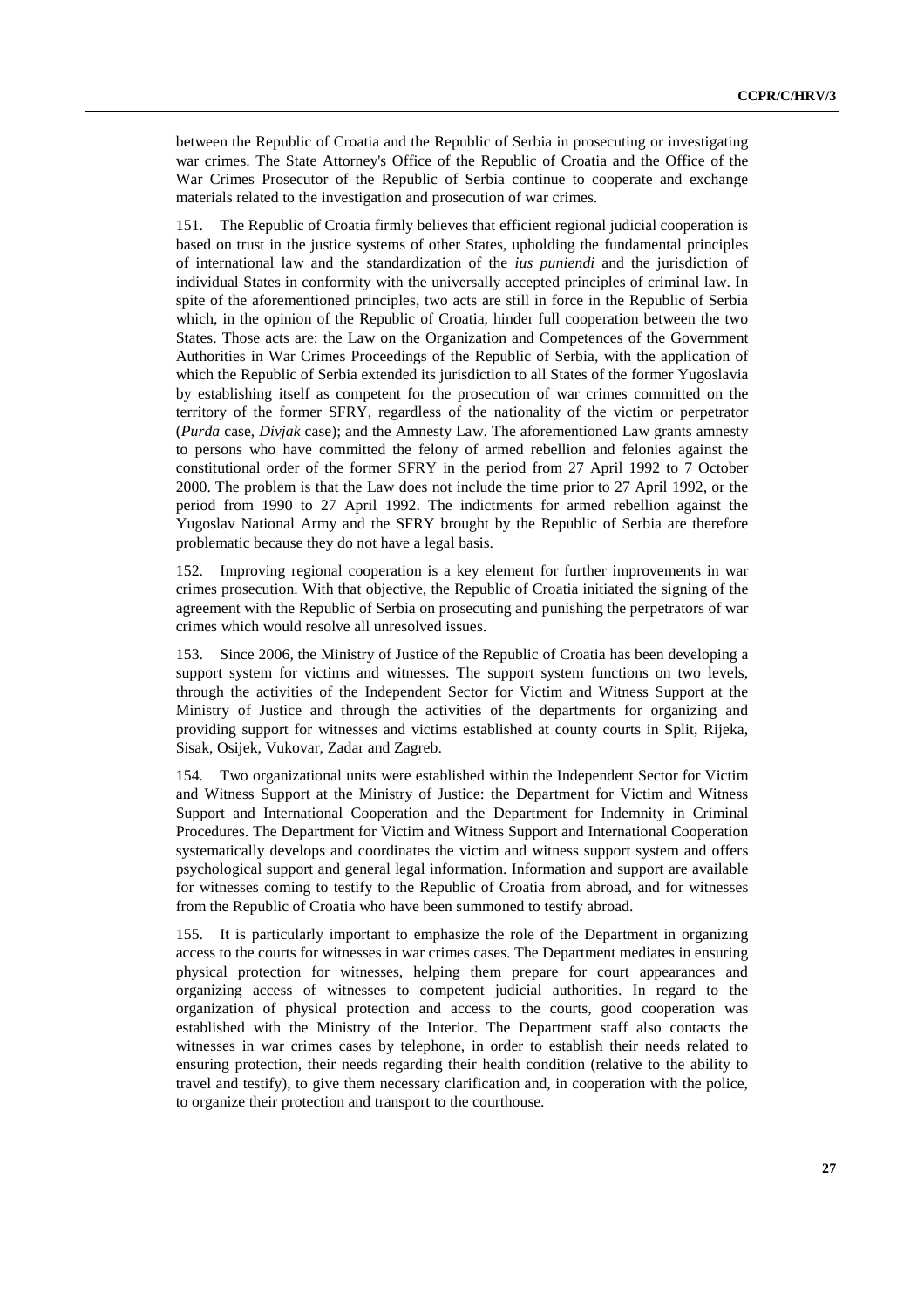between the Republic of Croatia and the Republic of Serbia in prosecuting or investigating war crimes. The State Attorney's Office of the Republic of Croatia and the Office of the War Crimes Prosecutor of the Republic of Serbia continue to cooperate and exchange materials related to the investigation and prosecution of war crimes.

151. The Republic of Croatia firmly believes that efficient regional judicial cooperation is based on trust in the justice systems of other States, upholding the fundamental principles of international law and the standardization of the *ius puniendi* and the jurisdiction of individual States in conformity with the universally accepted principles of criminal law. In spite of the aforementioned principles, two acts are still in force in the Republic of Serbia which, in the opinion of the Republic of Croatia, hinder full cooperation between the two States. Those acts are: the Law on the Organization and Competences of the Government Authorities in War Crimes Proceedings of the Republic of Serbia, with the application of which the Republic of Serbia extended its jurisdiction to all States of the former Yugoslavia by establishing itself as competent for the prosecution of war crimes committed on the territory of the former SFRY, regardless of the nationality of the victim or perpetrator (*Purda* case, *Divjak* case); and the Amnesty Law. The aforementioned Law grants amnesty to persons who have committed the felony of armed rebellion and felonies against the constitutional order of the former SFRY in the period from 27 April 1992 to 7 October 2000. The problem is that the Law does not include the time prior to 27 April 1992, or the period from 1990 to 27 April 1992. The indictments for armed rebellion against the Yugoslav National Army and the SFRY brought by the Republic of Serbia are therefore problematic because they do not have a legal basis.

152. Improving regional cooperation is a key element for further improvements in war crimes prosecution. With that objective, the Republic of Croatia initiated the signing of the agreement with the Republic of Serbia on prosecuting and punishing the perpetrators of war crimes which would resolve all unresolved issues.

153. Since 2006, the Ministry of Justice of the Republic of Croatia has been developing a support system for victims and witnesses. The support system functions on two levels, through the activities of the Independent Sector for Victim and Witness Support at the Ministry of Justice and through the activities of the departments for organizing and providing support for witnesses and victims established at county courts in Split, Rijeka, Sisak, Osijek, Vukovar, Zadar and Zagreb.

154. Two organizational units were established within the Independent Sector for Victim and Witness Support at the Ministry of Justice: the Department for Victim and Witness Support and International Cooperation and the Department for Indemnity in Criminal Procedures. The Department for Victim and Witness Support and International Cooperation systematically develops and coordinates the victim and witness support system and offers psychological support and general legal information. Information and support are available for witnesses coming to testify to the Republic of Croatia from abroad, and for witnesses from the Republic of Croatia who have been summoned to testify abroad.

155. It is particularly important to emphasize the role of the Department in organizing access to the courts for witnesses in war crimes cases. The Department mediates in ensuring physical protection for witnesses, helping them prepare for court appearances and organizing access of witnesses to competent judicial authorities. In regard to the organization of physical protection and access to the courts, good cooperation was established with the Ministry of the Interior. The Department staff also contacts the witnesses in war crimes cases by telephone, in order to establish their needs related to ensuring protection, their needs regarding their health condition (relative to the ability to travel and testify), to give them necessary clarification and, in cooperation with the police, to organize their protection and transport to the courthouse.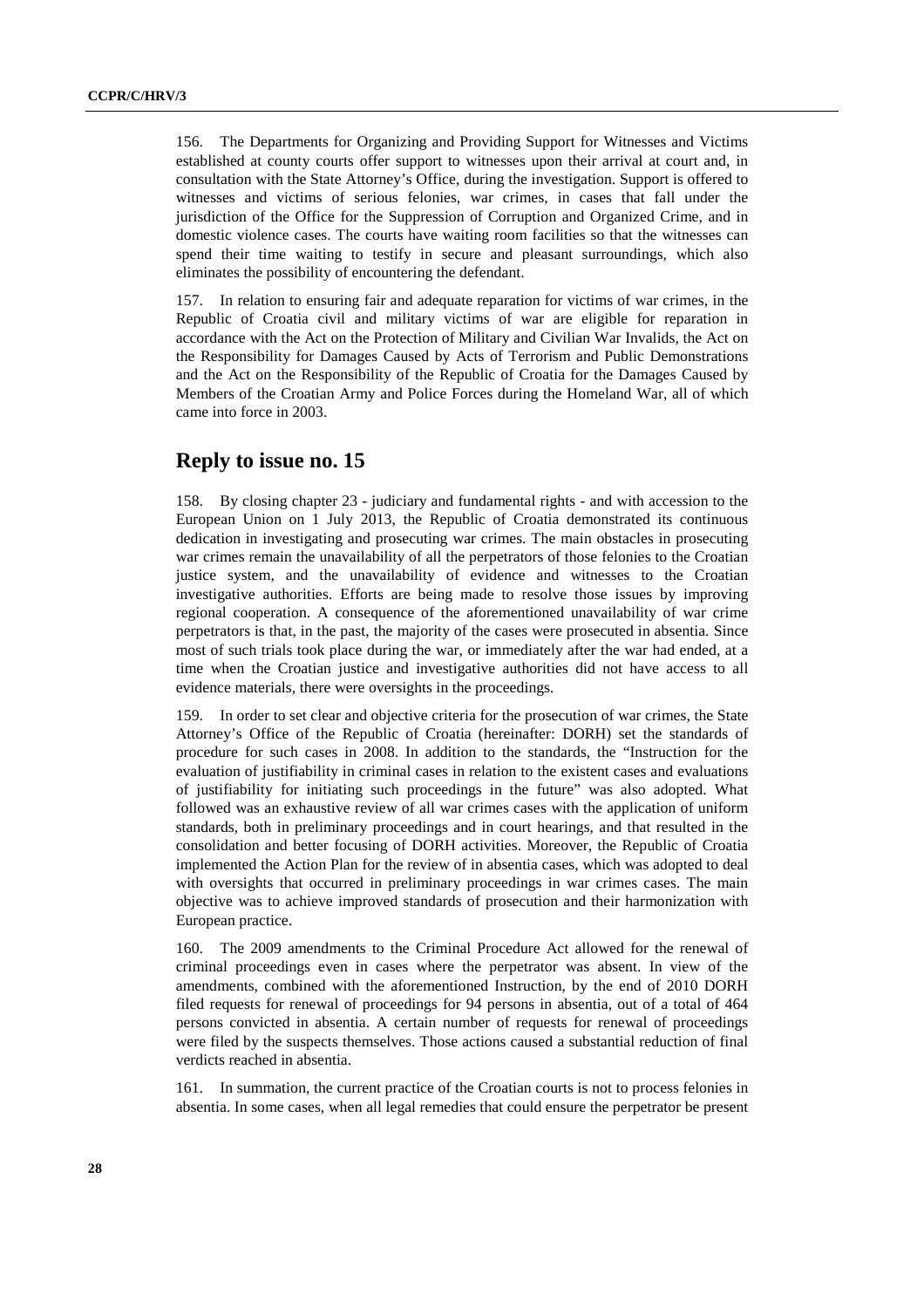156. The Departments for Organizing and Providing Support for Witnesses and Victims established at county courts offer support to witnesses upon their arrival at court and, in consultation with the State Attorney's Office, during the investigation. Support is offered to witnesses and victims of serious felonies, war crimes, in cases that fall under the jurisdiction of the Office for the Suppression of Corruption and Organized Crime, and in domestic violence cases. The courts have waiting room facilities so that the witnesses can spend their time waiting to testify in secure and pleasant surroundings, which also eliminates the possibility of encountering the defendant.

157. In relation to ensuring fair and adequate reparation for victims of war crimes, in the Republic of Croatia civil and military victims of war are eligible for reparation in accordance with the Act on the Protection of Military and Civilian War Invalids, the Act on the Responsibility for Damages Caused by Acts of Terrorism and Public Demonstrations and the Act on the Responsibility of the Republic of Croatia for the Damages Caused by Members of the Croatian Army and Police Forces during the Homeland War, all of which came into force in 2003.

#### **Reply to issue no. 15**

158. By closing chapter 23 - judiciary and fundamental rights - and with accession to the European Union on 1 July 2013, the Republic of Croatia demonstrated its continuous dedication in investigating and prosecuting war crimes. The main obstacles in prosecuting war crimes remain the unavailability of all the perpetrators of those felonies to the Croatian justice system, and the unavailability of evidence and witnesses to the Croatian investigative authorities. Efforts are being made to resolve those issues by improving regional cooperation. A consequence of the aforementioned unavailability of war crime perpetrators is that, in the past, the majority of the cases were prosecuted in absentia. Since most of such trials took place during the war, or immediately after the war had ended, at a time when the Croatian justice and investigative authorities did not have access to all evidence materials, there were oversights in the proceedings.

159. In order to set clear and objective criteria for the prosecution of war crimes, the State Attorney's Office of the Republic of Croatia (hereinafter: DORH) set the standards of procedure for such cases in 2008. In addition to the standards, the "Instruction for the evaluation of justifiability in criminal cases in relation to the existent cases and evaluations of justifiability for initiating such proceedings in the future" was also adopted. What followed was an exhaustive review of all war crimes cases with the application of uniform standards, both in preliminary proceedings and in court hearings, and that resulted in the consolidation and better focusing of DORH activities. Moreover, the Republic of Croatia implemented the Action Plan for the review of in absentia cases, which was adopted to deal with oversights that occurred in preliminary proceedings in war crimes cases. The main objective was to achieve improved standards of prosecution and their harmonization with European practice.

160. The 2009 amendments to the Criminal Procedure Act allowed for the renewal of criminal proceedings even in cases where the perpetrator was absent. In view of the amendments, combined with the aforementioned Instruction, by the end of 2010 DORH filed requests for renewal of proceedings for 94 persons in absentia, out of a total of 464 persons convicted in absentia. A certain number of requests for renewal of proceedings were filed by the suspects themselves. Those actions caused a substantial reduction of final verdicts reached in absentia.

161. In summation, the current practice of the Croatian courts is not to process felonies in absentia. In some cases, when all legal remedies that could ensure the perpetrator be present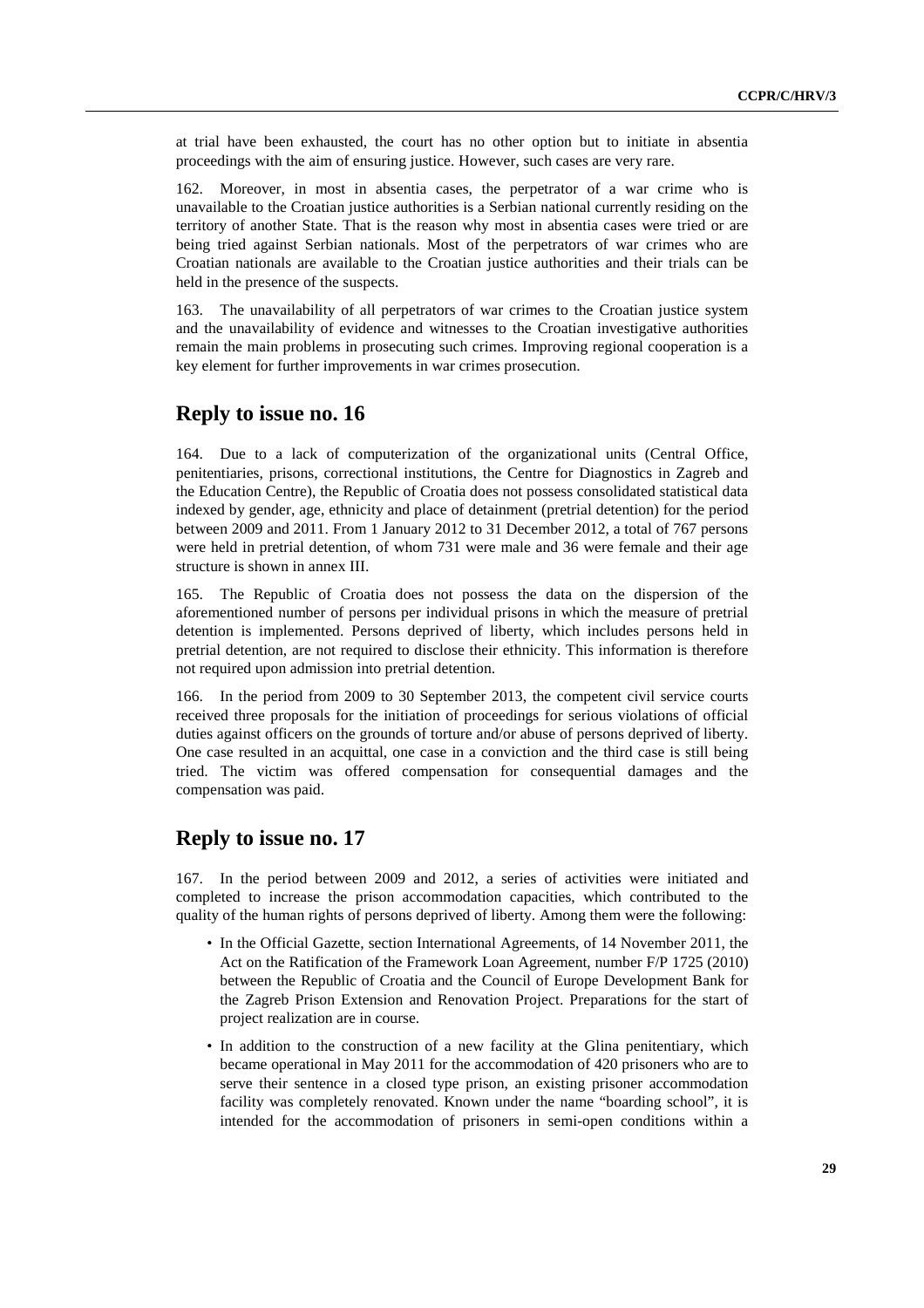at trial have been exhausted, the court has no other option but to initiate in absentia proceedings with the aim of ensuring justice. However, such cases are very rare.

162. Moreover, in most in absentia cases, the perpetrator of a war crime who is unavailable to the Croatian justice authorities is a Serbian national currently residing on the territory of another State. That is the reason why most in absentia cases were tried or are being tried against Serbian nationals. Most of the perpetrators of war crimes who are Croatian nationals are available to the Croatian justice authorities and their trials can be held in the presence of the suspects.

163. The unavailability of all perpetrators of war crimes to the Croatian justice system and the unavailability of evidence and witnesses to the Croatian investigative authorities remain the main problems in prosecuting such crimes. Improving regional cooperation is a key element for further improvements in war crimes prosecution.

### **Reply to issue no. 16**

164. Due to a lack of computerization of the organizational units (Central Office, penitentiaries, prisons, correctional institutions, the Centre for Diagnostics in Zagreb and the Education Centre), the Republic of Croatia does not possess consolidated statistical data indexed by gender, age, ethnicity and place of detainment (pretrial detention) for the period between 2009 and 2011. From 1 January 2012 to 31 December 2012, a total of 767 persons were held in pretrial detention, of whom 731 were male and 36 were female and their age structure is shown in annex III.

165. The Republic of Croatia does not possess the data on the dispersion of the aforementioned number of persons per individual prisons in which the measure of pretrial detention is implemented. Persons deprived of liberty, which includes persons held in pretrial detention, are not required to disclose their ethnicity. This information is therefore not required upon admission into pretrial detention.

166. In the period from 2009 to 30 September 2013, the competent civil service courts received three proposals for the initiation of proceedings for serious violations of official duties against officers on the grounds of torture and/or abuse of persons deprived of liberty. One case resulted in an acquittal, one case in a conviction and the third case is still being tried. The victim was offered compensation for consequential damages and the compensation was paid.

# **Reply to issue no. 17**

167. In the period between 2009 and 2012, a series of activities were initiated and completed to increase the prison accommodation capacities, which contributed to the quality of the human rights of persons deprived of liberty. Among them were the following:

- In the Official Gazette, section International Agreements, of 14 November 2011, the Act on the Ratification of the Framework Loan Agreement, number F/P 1725 (2010) between the Republic of Croatia and the Council of Europe Development Bank for the Zagreb Prison Extension and Renovation Project. Preparations for the start of project realization are in course.
- In addition to the construction of a new facility at the Glina penitentiary, which became operational in May 2011 for the accommodation of 420 prisoners who are to serve their sentence in a closed type prison, an existing prisoner accommodation facility was completely renovated. Known under the name "boarding school", it is intended for the accommodation of prisoners in semi-open conditions within a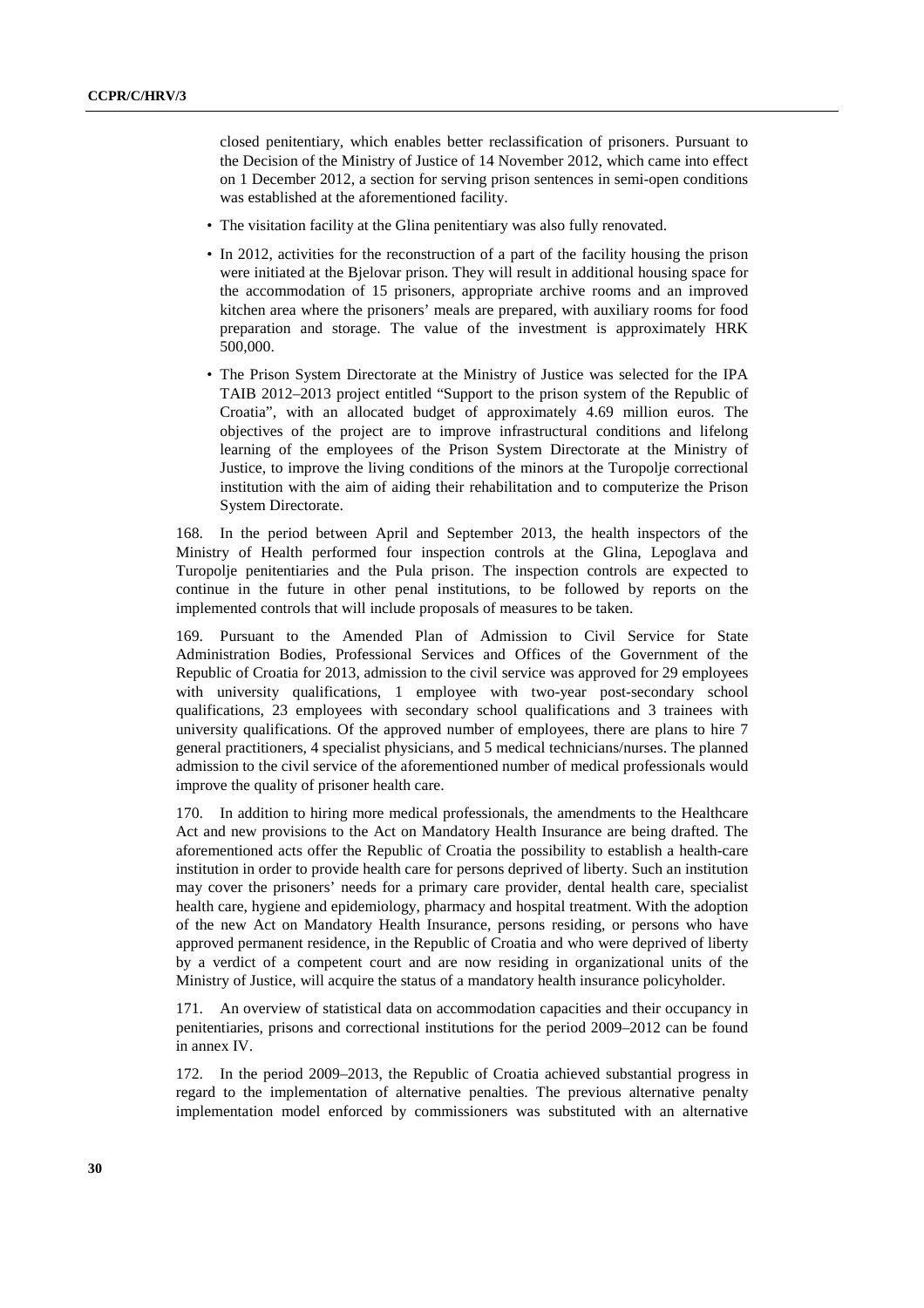closed penitentiary, which enables better reclassification of prisoners. Pursuant to the Decision of the Ministry of Justice of 14 November 2012, which came into effect on 1 December 2012, a section for serving prison sentences in semi-open conditions was established at the aforementioned facility.

- The visitation facility at the Glina penitentiary was also fully renovated.
- In 2012, activities for the reconstruction of a part of the facility housing the prison were initiated at the Bjelovar prison. They will result in additional housing space for the accommodation of 15 prisoners, appropriate archive rooms and an improved kitchen area where the prisoners' meals are prepared, with auxiliary rooms for food preparation and storage. The value of the investment is approximately HRK 500,000.
- The Prison System Directorate at the Ministry of Justice was selected for the IPA TAIB 2012–2013 project entitled "Support to the prison system of the Republic of Croatia", with an allocated budget of approximately 4.69 million euros. The objectives of the project are to improve infrastructural conditions and lifelong learning of the employees of the Prison System Directorate at the Ministry of Justice, to improve the living conditions of the minors at the Turopolje correctional institution with the aim of aiding their rehabilitation and to computerize the Prison System Directorate.

168. In the period between April and September 2013, the health inspectors of the Ministry of Health performed four inspection controls at the Glina, Lepoglava and Turopolje penitentiaries and the Pula prison. The inspection controls are expected to continue in the future in other penal institutions, to be followed by reports on the implemented controls that will include proposals of measures to be taken.

169. Pursuant to the Amended Plan of Admission to Civil Service for State Administration Bodies, Professional Services and Offices of the Government of the Republic of Croatia for 2013, admission to the civil service was approved for 29 employees with university qualifications, 1 employee with two-year post-secondary school qualifications, 23 employees with secondary school qualifications and 3 trainees with university qualifications. Of the approved number of employees, there are plans to hire 7 general practitioners, 4 specialist physicians, and 5 medical technicians/nurses. The planned admission to the civil service of the aforementioned number of medical professionals would improve the quality of prisoner health care.

170. In addition to hiring more medical professionals, the amendments to the Healthcare Act and new provisions to the Act on Mandatory Health Insurance are being drafted. The aforementioned acts offer the Republic of Croatia the possibility to establish a health-care institution in order to provide health care for persons deprived of liberty. Such an institution may cover the prisoners' needs for a primary care provider, dental health care, specialist health care, hygiene and epidemiology, pharmacy and hospital treatment. With the adoption of the new Act on Mandatory Health Insurance, persons residing, or persons who have approved permanent residence, in the Republic of Croatia and who were deprived of liberty by a verdict of a competent court and are now residing in organizational units of the Ministry of Justice, will acquire the status of a mandatory health insurance policyholder.

171. An overview of statistical data on accommodation capacities and their occupancy in penitentiaries, prisons and correctional institutions for the period 2009–2012 can be found in annex IV.

172. In the period 2009–2013, the Republic of Croatia achieved substantial progress in regard to the implementation of alternative penalties. The previous alternative penalty implementation model enforced by commissioners was substituted with an alternative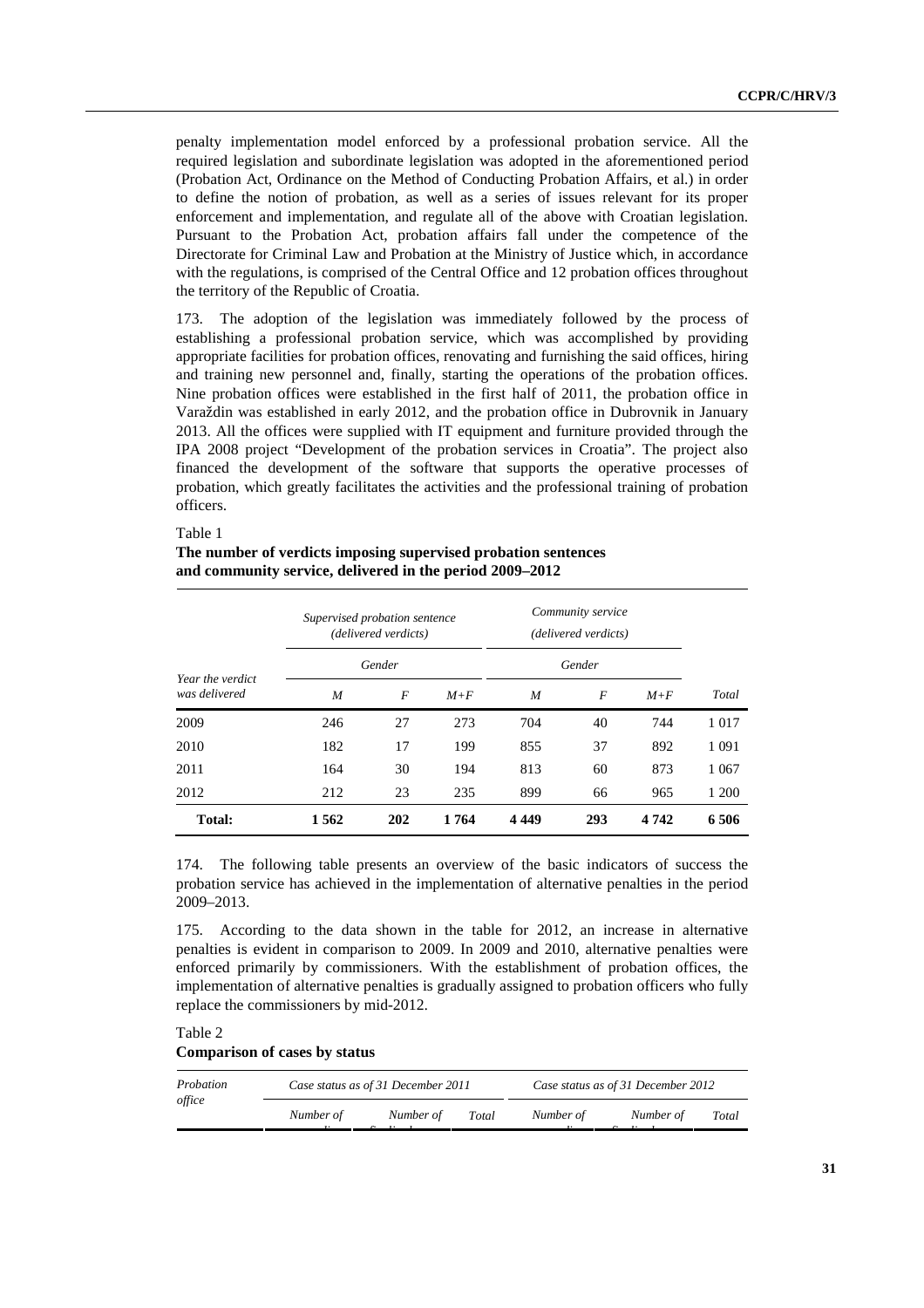penalty implementation model enforced by a professional probation service. All the required legislation and subordinate legislation was adopted in the aforementioned period (Probation Act, Ordinance on the Method of Conducting Probation Affairs, et al.) in order to define the notion of probation, as well as a series of issues relevant for its proper enforcement and implementation, and regulate all of the above with Croatian legislation. Pursuant to the Probation Act, probation affairs fall under the competence of the Directorate for Criminal Law and Probation at the Ministry of Justice which, in accordance with the regulations, is comprised of the Central Office and 12 probation offices throughout the territory of the Republic of Croatia.

173. The adoption of the legislation was immediately followed by the process of establishing a professional probation service, which was accomplished by providing appropriate facilities for probation offices, renovating and furnishing the said offices, hiring and training new personnel and, finally, starting the operations of the probation offices. Nine probation offices were established in the first half of 2011, the probation office in Varaždin was established in early 2012, and the probation office in Dubrovnik in January 2013. All the offices were supplied with IT equipment and furniture provided through the IPA 2008 project "Development of the probation services in Croatia". The project also financed the development of the software that supports the operative processes of probation, which greatly facilitates the activities and the professional training of probation officers.

#### Table 1

#### **The number of verdicts imposing supervised probation sentences and community service, delivered in the period 2009–2012**

| Year the verdict<br>was delivered | Supervised probation sentence<br>(delivered verdicts) |     | Community service<br>(delivered verdicts)<br>Gender |      |     |         |         |
|-----------------------------------|-------------------------------------------------------|-----|-----------------------------------------------------|------|-----|---------|---------|
|                                   | Gender                                                |     |                                                     |      |     |         |         |
|                                   | M                                                     | F   | $M+F$                                               | M    | F   | $M+F$   | Total   |
| 2009                              | 246                                                   | 27  | 273                                                 | 704  | 40  | 744     | 1017    |
| 2010                              | 182                                                   | 17  | 199                                                 | 855  | 37  | 892     | 1 0 9 1 |
| 2011                              | 164                                                   | 30  | 194                                                 | 813  | 60  | 873     | 1 0 6 7 |
| 2012                              | 212                                                   | 23  | 235                                                 | 899  | 66  | 965     | 1 200   |
| <b>Total:</b>                     | 1562                                                  | 202 | 1764                                                | 4449 | 293 | 4 7 4 2 | 6506    |

174. The following table presents an overview of the basic indicators of success the probation service has achieved in the implementation of alternative penalties in the period 2009–2013.

175. According to the data shown in the table for 2012, an increase in alternative penalties is evident in comparison to 2009. In 2009 and 2010, alternative penalties were enforced primarily by commissioners. With the establishment of probation offices, the implementation of alternative penalties is gradually assigned to probation officers who fully replace the commissioners by mid-2012.

Table 2

#### **Comparison of cases by status**

| Probation<br>office |           | Case status as of 31 December 2011 |       |           | Case status as of 31 December 2012 |       |  |
|---------------------|-----------|------------------------------------|-------|-----------|------------------------------------|-------|--|
|                     | Number of | Number of                          | Total | Number of | Number of                          | Total |  |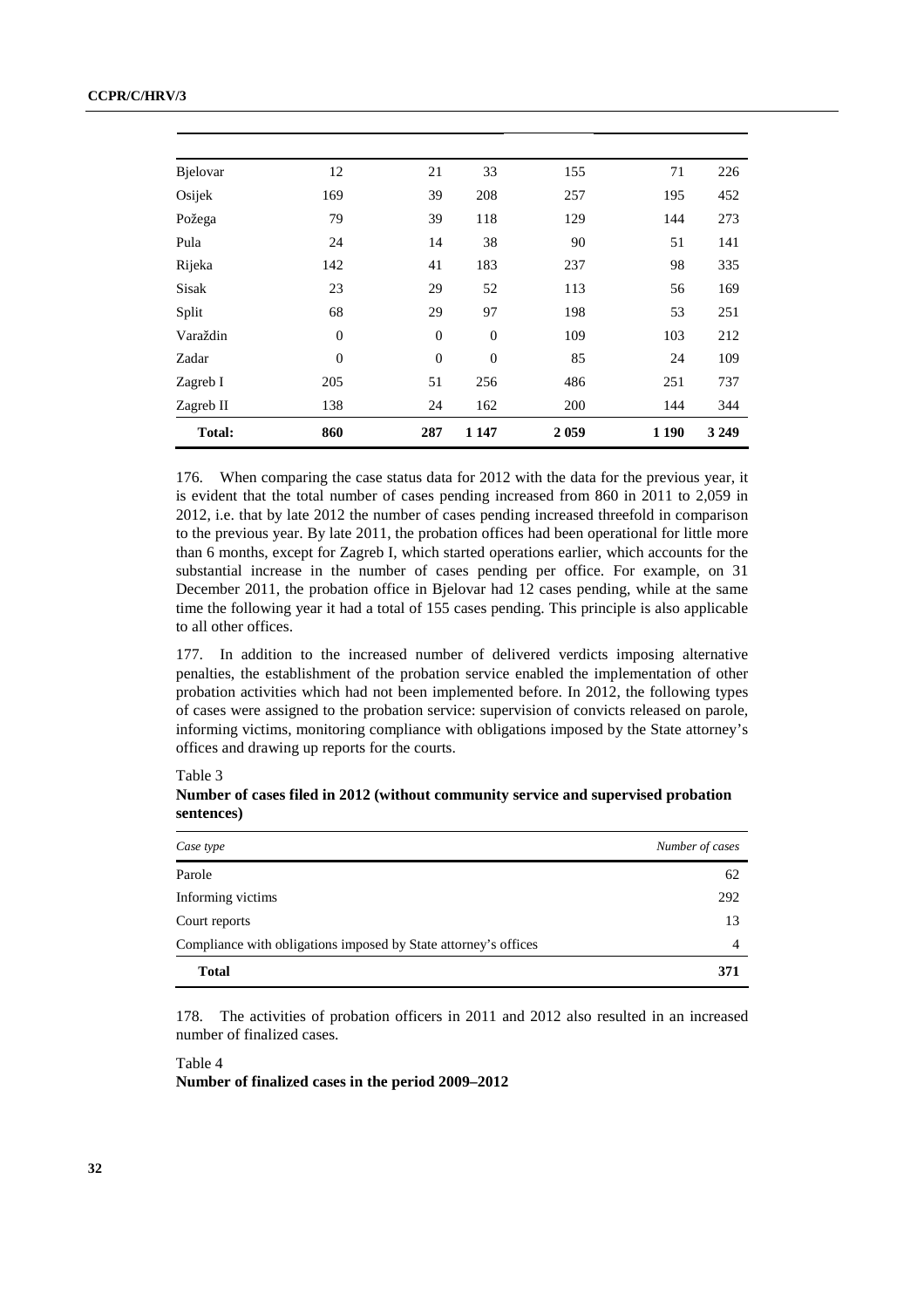| <b>B</b> jelovar | 12             | 21               | 33       | 155     | 71      | 226     |
|------------------|----------------|------------------|----------|---------|---------|---------|
| Osijek           | 169            | 39               | 208      | 257     | 195     | 452     |
| Požega           | 79             | 39               | 118      | 129     | 144     | 273     |
| Pula             | 24             | 14               | 38       | 90      | 51      | 141     |
| Rijeka           | 142            | 41               | 183      | 237     | 98      | 335     |
| Sisak            | 23             | 29               | 52       | 113     | 56      | 169     |
| Split            | 68             | 29               | 97       | 198     | 53      | 251     |
| Varaždin         | $\overline{0}$ | $\boldsymbol{0}$ | $\theta$ | 109     | 103     | 212     |
| Zadar            | $\overline{0}$ | $\overline{0}$   | $\theta$ | 85      | 24      | 109     |
| Zagreb I         | 205            | 51               | 256      | 486     | 251     | 737     |
| Zagreb II        | 138            | 24               | 162      | 200     | 144     | 344     |
| <b>Total:</b>    | 860            | 287              | 1 1 4 7  | 2 0 5 9 | 1 1 9 0 | 3 2 4 9 |

176. When comparing the case status data for 2012 with the data for the previous year, it is evident that the total number of cases pending increased from 860 in 2011 to 2,059 in 2012, i.e. that by late 2012 the number of cases pending increased threefold in comparison to the previous year. By late 2011, the probation offices had been operational for little more than 6 months, except for Zagreb I, which started operations earlier, which accounts for the substantial increase in the number of cases pending per office. For example, on 31 December 2011, the probation office in Bjelovar had 12 cases pending, while at the same time the following year it had a total of 155 cases pending. This principle is also applicable to all other offices.

177. In addition to the increased number of delivered verdicts imposing alternative penalties, the establishment of the probation service enabled the implementation of other probation activities which had not been implemented before. In 2012, the following types of cases were assigned to the probation service: supervision of convicts released on parole, informing victims, monitoring compliance with obligations imposed by the State attorney's offices and drawing up reports for the courts.

Table 3

**Number of cases filed in 2012 (without community service and supervised probation sentences)**

| Case type                                                       | Number of cases |
|-----------------------------------------------------------------|-----------------|
| Parole                                                          | 62              |
| Informing victims                                               | 292             |
| Court reports                                                   | 13              |
| Compliance with obligations imposed by State attorney's offices | $\overline{4}$  |
| <b>Total</b>                                                    | 371             |

178. The activities of probation officers in 2011 and 2012 also resulted in an increased number of finalized cases.

Table 4

**Number of finalized cases in the period 2009–2012**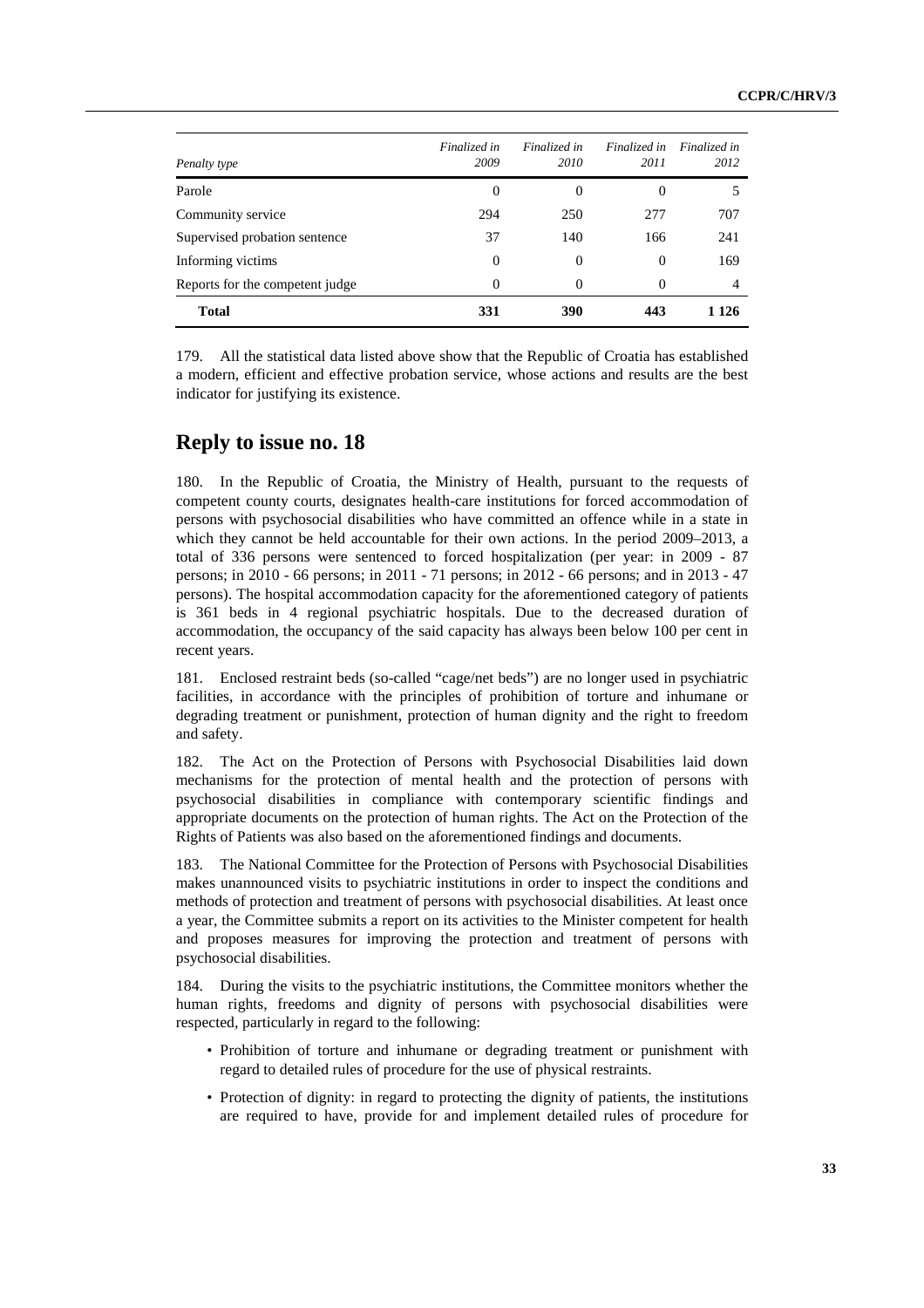| Penalty type                    | Finalized in<br>2009 | Finalized in<br>2010 | Finalized in<br>2011 | Finalized in<br>2012 |
|---------------------------------|----------------------|----------------------|----------------------|----------------------|
| Parole                          | 0                    | $\Omega$             | $\theta$             | 5                    |
| Community service               | 294                  | 250                  | 277                  | 707                  |
| Supervised probation sentence   | 37                   | 140                  | 166                  | 241                  |
| Informing victims               | $\Omega$             | $\Omega$             | $\Omega$             | 169                  |
| Reports for the competent judge | $\Omega$             | $\Omega$             | $\Omega$             | 4                    |
| <b>Total</b>                    | 331                  | 390                  | 443                  | 1 1 2 6              |

179. All the statistical data listed above show that the Republic of Croatia has established a modern, efficient and effective probation service, whose actions and results are the best indicator for justifying its existence.

#### **Reply to issue no. 18**

180. In the Republic of Croatia, the Ministry of Health, pursuant to the requests of competent county courts, designates health-care institutions for forced accommodation of persons with psychosocial disabilities who have committed an offence while in a state in which they cannot be held accountable for their own actions. In the period 2009–2013, a total of 336 persons were sentenced to forced hospitalization (per year: in 2009 - 87 persons; in 2010 - 66 persons; in 2011 - 71 persons; in 2012 - 66 persons; and in 2013 - 47 persons). The hospital accommodation capacity for the aforementioned category of patients is 361 beds in 4 regional psychiatric hospitals. Due to the decreased duration of accommodation, the occupancy of the said capacity has always been below 100 per cent in recent years.

181. Enclosed restraint beds (so-called "cage/net beds") are no longer used in psychiatric facilities, in accordance with the principles of prohibition of torture and inhumane or degrading treatment or punishment, protection of human dignity and the right to freedom and safety.

182. The Act on the Protection of Persons with Psychosocial Disabilities laid down mechanisms for the protection of mental health and the protection of persons with psychosocial disabilities in compliance with contemporary scientific findings and appropriate documents on the protection of human rights. The Act on the Protection of the Rights of Patients was also based on the aforementioned findings and documents.

183. The National Committee for the Protection of Persons with Psychosocial Disabilities makes unannounced visits to psychiatric institutions in order to inspect the conditions and methods of protection and treatment of persons with psychosocial disabilities. At least once a year, the Committee submits a report on its activities to the Minister competent for health and proposes measures for improving the protection and treatment of persons with psychosocial disabilities.

184. During the visits to the psychiatric institutions, the Committee monitors whether the human rights, freedoms and dignity of persons with psychosocial disabilities were respected, particularly in regard to the following:

- Prohibition of torture and inhumane or degrading treatment or punishment with regard to detailed rules of procedure for the use of physical restraints.
- Protection of dignity: in regard to protecting the dignity of patients, the institutions are required to have, provide for and implement detailed rules of procedure for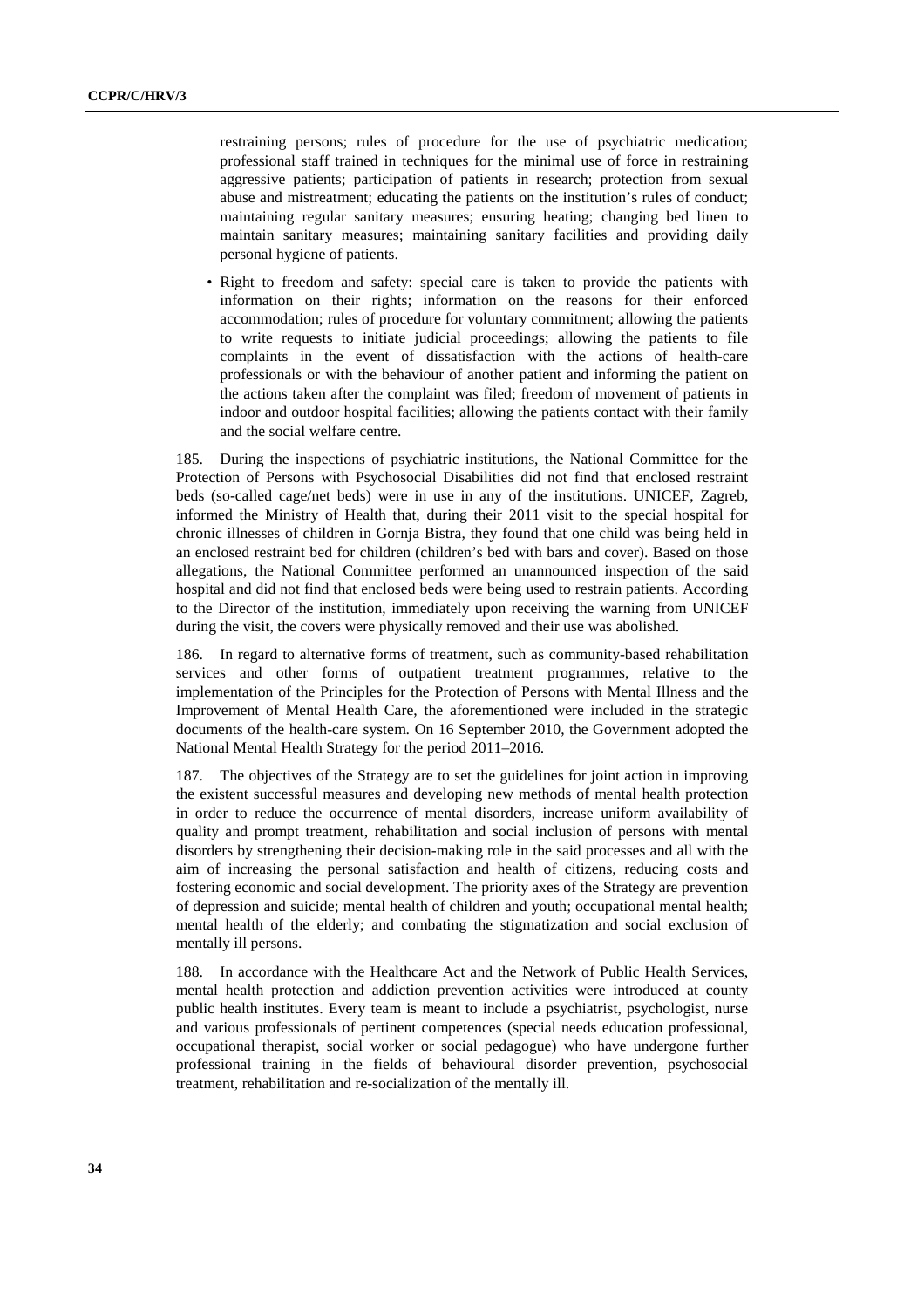restraining persons; rules of procedure for the use of psychiatric medication; professional staff trained in techniques for the minimal use of force in restraining aggressive patients; participation of patients in research; protection from sexual abuse and mistreatment; educating the patients on the institution's rules of conduct; maintaining regular sanitary measures; ensuring heating; changing bed linen to maintain sanitary measures; maintaining sanitary facilities and providing daily personal hygiene of patients.

• Right to freedom and safety: special care is taken to provide the patients with information on their rights; information on the reasons for their enforced accommodation; rules of procedure for voluntary commitment; allowing the patients to write requests to initiate judicial proceedings; allowing the patients to file complaints in the event of dissatisfaction with the actions of health-care professionals or with the behaviour of another patient and informing the patient on the actions taken after the complaint was filed; freedom of movement of patients in indoor and outdoor hospital facilities; allowing the patients contact with their family and the social welfare centre.

185. During the inspections of psychiatric institutions, the National Committee for the Protection of Persons with Psychosocial Disabilities did not find that enclosed restraint beds (so-called cage/net beds) were in use in any of the institutions. UNICEF, Zagreb, informed the Ministry of Health that, during their 2011 visit to the special hospital for chronic illnesses of children in Gornja Bistra, they found that one child was being held in an enclosed restraint bed for children (children's bed with bars and cover). Based on those allegations, the National Committee performed an unannounced inspection of the said hospital and did not find that enclosed beds were being used to restrain patients. According to the Director of the institution, immediately upon receiving the warning from UNICEF during the visit, the covers were physically removed and their use was abolished.

186. In regard to alternative forms of treatment, such as community-based rehabilitation services and other forms of outpatient treatment programmes, relative to the implementation of the Principles for the Protection of Persons with Mental Illness and the Improvement of Mental Health Care, the aforementioned were included in the strategic documents of the health-care system. On 16 September 2010, the Government adopted the National Mental Health Strategy for the period 2011–2016.

187. The objectives of the Strategy are to set the guidelines for joint action in improving the existent successful measures and developing new methods of mental health protection in order to reduce the occurrence of mental disorders, increase uniform availability of quality and prompt treatment, rehabilitation and social inclusion of persons with mental disorders by strengthening their decision-making role in the said processes and all with the aim of increasing the personal satisfaction and health of citizens, reducing costs and fostering economic and social development. The priority axes of the Strategy are prevention of depression and suicide; mental health of children and youth; occupational mental health; mental health of the elderly; and combating the stigmatization and social exclusion of mentally ill persons.

188. In accordance with the Healthcare Act and the Network of Public Health Services, mental health protection and addiction prevention activities were introduced at county public health institutes. Every team is meant to include a psychiatrist, psychologist, nurse and various professionals of pertinent competences (special needs education professional, occupational therapist, social worker or social pedagogue) who have undergone further professional training in the fields of behavioural disorder prevention, psychosocial treatment, rehabilitation and re-socialization of the mentally ill.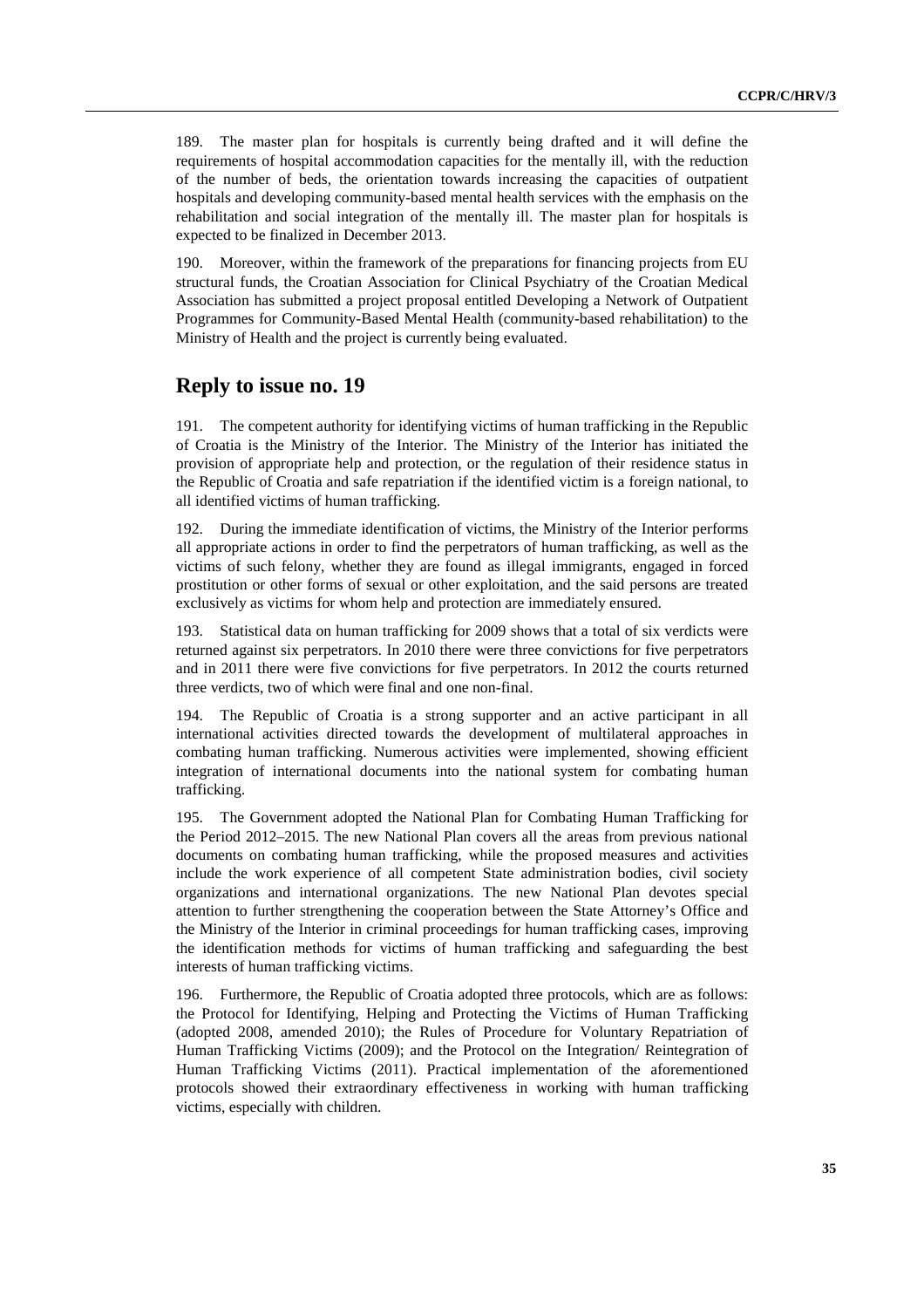189. The master plan for hospitals is currently being drafted and it will define the requirements of hospital accommodation capacities for the mentally ill, with the reduction of the number of beds, the orientation towards increasing the capacities of outpatient hospitals and developing community-based mental health services with the emphasis on the rehabilitation and social integration of the mentally ill. The master plan for hospitals is expected to be finalized in December 2013.

190. Moreover, within the framework of the preparations for financing projects from EU structural funds, the Croatian Association for Clinical Psychiatry of the Croatian Medical Association has submitted a project proposal entitled Developing a Network of Outpatient Programmes for Community-Based Mental Health (community-based rehabilitation) to the Ministry of Health and the project is currently being evaluated.

#### **Reply to issue no. 19**

191. The competent authority for identifying victims of human trafficking in the Republic of Croatia is the Ministry of the Interior. The Ministry of the Interior has initiated the provision of appropriate help and protection, or the regulation of their residence status in the Republic of Croatia and safe repatriation if the identified victim is a foreign national, to all identified victims of human trafficking.

192. During the immediate identification of victims, the Ministry of the Interior performs all appropriate actions in order to find the perpetrators of human trafficking, as well as the victims of such felony, whether they are found as illegal immigrants, engaged in forced prostitution or other forms of sexual or other exploitation, and the said persons are treated exclusively as victims for whom help and protection are immediately ensured.

193. Statistical data on human trafficking for 2009 shows that a total of six verdicts were returned against six perpetrators. In 2010 there were three convictions for five perpetrators and in 2011 there were five convictions for five perpetrators. In 2012 the courts returned three verdicts, two of which were final and one non-final.

194. The Republic of Croatia is a strong supporter and an active participant in all international activities directed towards the development of multilateral approaches in combating human trafficking. Numerous activities were implemented, showing efficient integration of international documents into the national system for combating human trafficking.

195. The Government adopted the National Plan for Combating Human Trafficking for the Period 2012–2015. The new National Plan covers all the areas from previous national documents on combating human trafficking, while the proposed measures and activities include the work experience of all competent State administration bodies, civil society organizations and international organizations. The new National Plan devotes special attention to further strengthening the cooperation between the State Attorney's Office and the Ministry of the Interior in criminal proceedings for human trafficking cases, improving the identification methods for victims of human trafficking and safeguarding the best interests of human trafficking victims.

196. Furthermore, the Republic of Croatia adopted three protocols, which are as follows: the Protocol for Identifying, Helping and Protecting the Victims of Human Trafficking (adopted 2008, amended 2010); the Rules of Procedure for Voluntary Repatriation of Human Trafficking Victims (2009); and the Protocol on the Integration/ Reintegration of Human Trafficking Victims (2011). Practical implementation of the aforementioned protocols showed their extraordinary effectiveness in working with human trafficking victims, especially with children.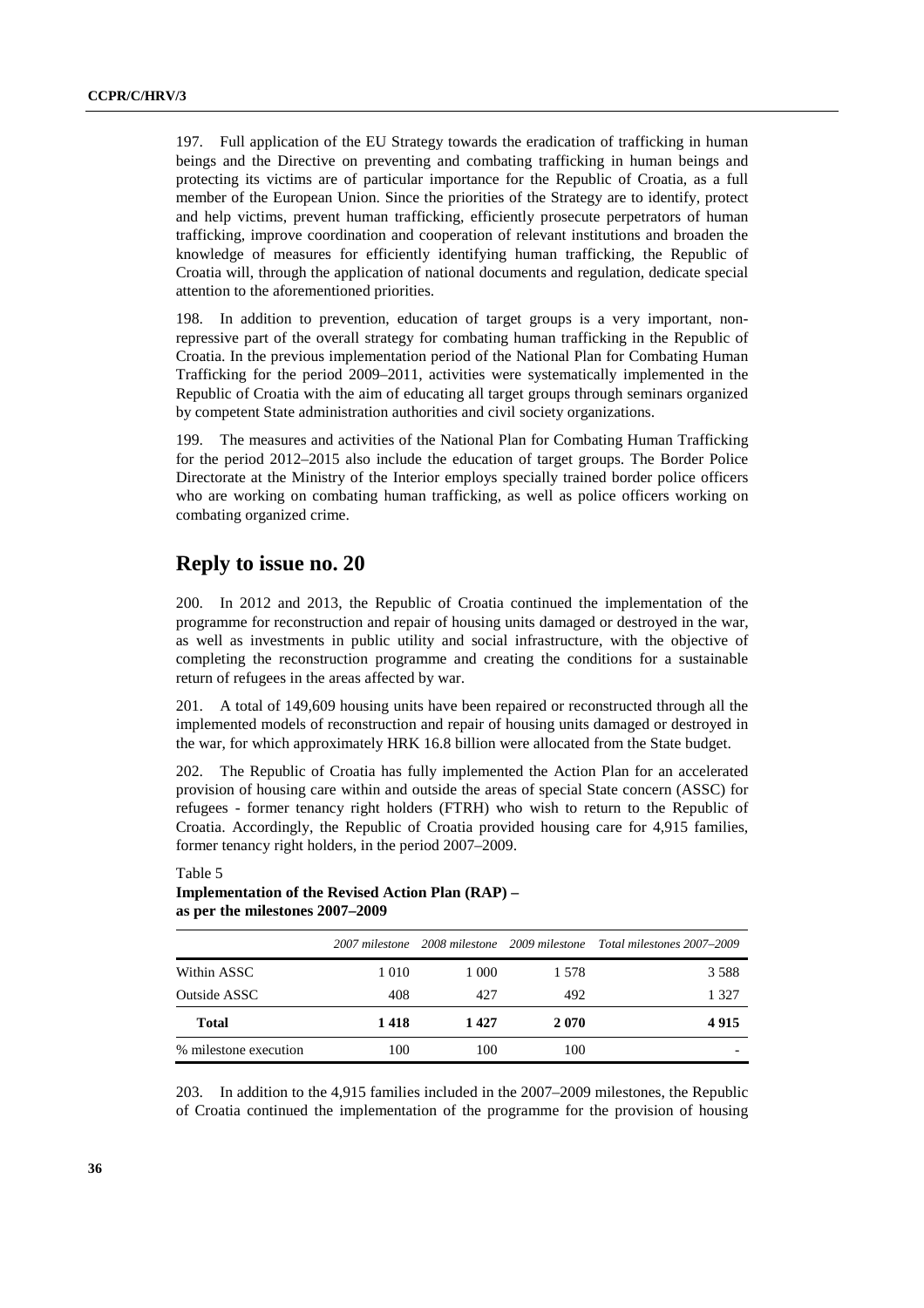197. Full application of the EU Strategy towards the eradication of trafficking in human beings and the Directive on preventing and combating trafficking in human beings and protecting its victims are of particular importance for the Republic of Croatia, as a full member of the European Union. Since the priorities of the Strategy are to identify, protect and help victims, prevent human trafficking, efficiently prosecute perpetrators of human trafficking, improve coordination and cooperation of relevant institutions and broaden the knowledge of measures for efficiently identifying human trafficking, the Republic of Croatia will, through the application of national documents and regulation, dedicate special attention to the aforementioned priorities.

198. In addition to prevention, education of target groups is a very important, nonrepressive part of the overall strategy for combating human trafficking in the Republic of Croatia. In the previous implementation period of the National Plan for Combating Human Trafficking for the period 2009–2011, activities were systematically implemented in the Republic of Croatia with the aim of educating all target groups through seminars organized by competent State administration authorities and civil society organizations.

199. The measures and activities of the National Plan for Combating Human Trafficking for the period 2012–2015 also include the education of target groups. The Border Police Directorate at the Ministry of the Interior employs specially trained border police officers who are working on combating human trafficking, as well as police officers working on combating organized crime.

#### **Reply to issue no. 20**

200. In 2012 and 2013, the Republic of Croatia continued the implementation of the programme for reconstruction and repair of housing units damaged or destroyed in the war, as well as investments in public utility and social infrastructure, with the objective of completing the reconstruction programme and creating the conditions for a sustainable return of refugees in the areas affected by war.

201. A total of 149,609 housing units have been repaired or reconstructed through all the implemented models of reconstruction and repair of housing units damaged or destroyed in the war, for which approximately HRK 16.8 billion were allocated from the State budget.

202. The Republic of Croatia has fully implemented the Action Plan for an accelerated provision of housing care within and outside the areas of special State concern (ASSC) for refugees - former tenancy right holders (FTRH) who wish to return to the Republic of Croatia. Accordingly, the Republic of Croatia provided housing care for 4,915 families, former tenancy right holders, in the period 2007–2009.

#### Table 5

#### **Implementation of the Revised Action Plan (RAP) – as per the milestones 2007–2009**

|                       |         |       |       | 2007 milestone 2008 milestone 2009 milestone Total milestones 2007–2009 |
|-----------------------|---------|-------|-------|-------------------------------------------------------------------------|
| Within ASSC           | 1 0 1 0 | 1 000 | 1.578 | 3588                                                                    |
| Outside ASSC          | 408     | 427   | 492   | 1 327                                                                   |
| <b>Total</b>          | 1418    | 1427  | 2070  | 4915                                                                    |
| % milestone execution | 100     | 100   | 100   |                                                                         |

203. In addition to the 4,915 families included in the 2007–2009 milestones, the Republic of Croatia continued the implementation of the programme for the provision of housing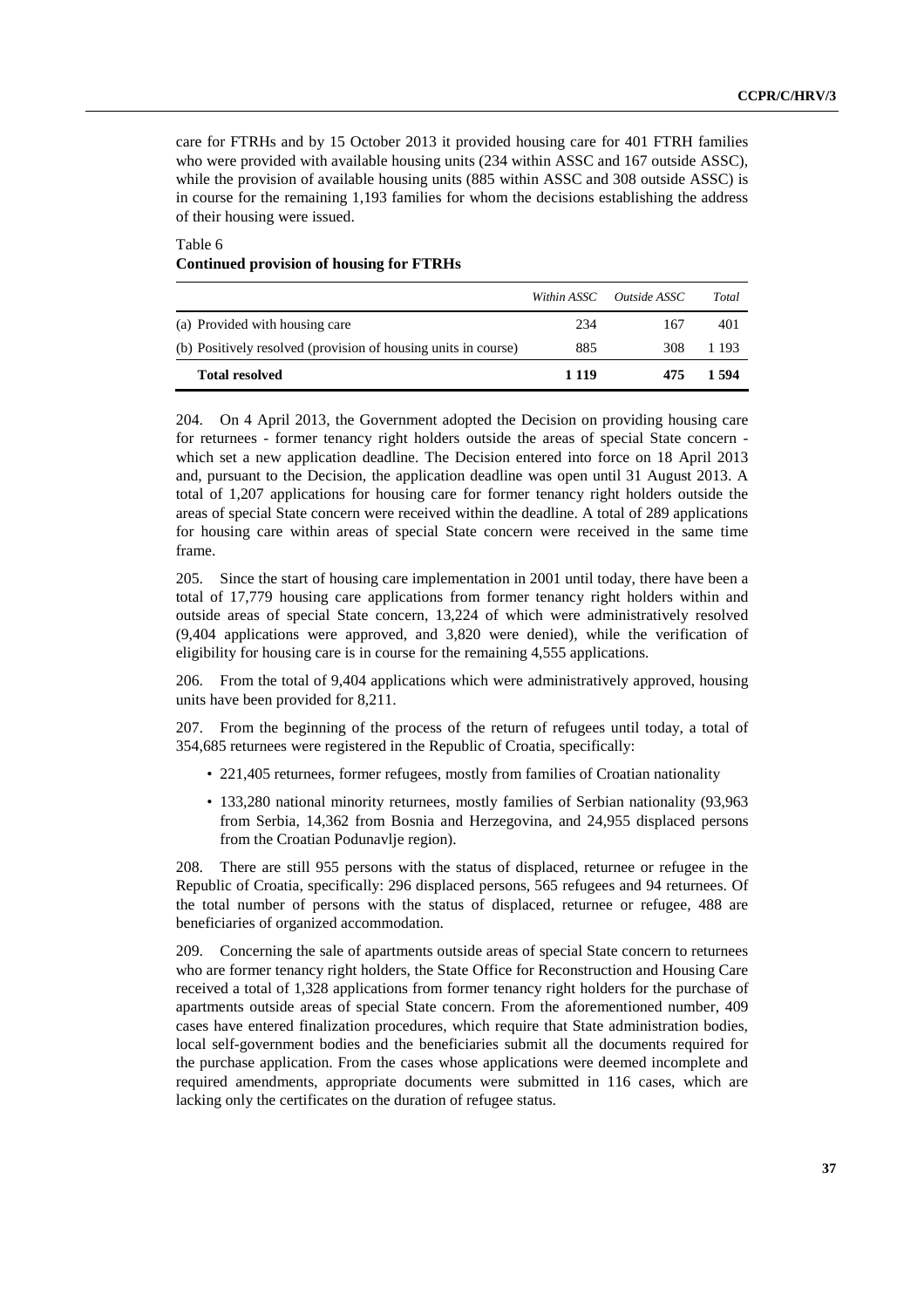care for FTRHs and by 15 October 2013 it provided housing care for 401 FTRH families who were provided with available housing units (234 within ASSC and 167 outside ASSC), while the provision of available housing units (885 within ASSC and 308 outside ASSC) is in course for the remaining 1,193 families for whom the decisions establishing the address of their housing were issued.

Table 6 **Continued provision of housing for FTRHs** 

|                                                                | Within ASSC | <i>Outside ASSC</i> | Total |
|----------------------------------------------------------------|-------------|---------------------|-------|
| (a) Provided with housing care                                 | 234         | 167                 | 401   |
| (b) Positively resolved (provision of housing units in course) | 885         | 308                 | 1 193 |
| <b>Total resolved</b>                                          | 1 1 1 9     | 475                 | 1.594 |

204. On 4 April 2013, the Government adopted the Decision on providing housing care for returnees - former tenancy right holders outside the areas of special State concern which set a new application deadline. The Decision entered into force on 18 April 2013 and, pursuant to the Decision, the application deadline was open until 31 August 2013. A total of 1,207 applications for housing care for former tenancy right holders outside the areas of special State concern were received within the deadline. A total of 289 applications for housing care within areas of special State concern were received in the same time frame.

205. Since the start of housing care implementation in 2001 until today, there have been a total of 17,779 housing care applications from former tenancy right holders within and outside areas of special State concern, 13,224 of which were administratively resolved (9,404 applications were approved, and 3,820 were denied), while the verification of eligibility for housing care is in course for the remaining 4,555 applications.

206. From the total of 9,404 applications which were administratively approved, housing units have been provided for 8,211.

207. From the beginning of the process of the return of refugees until today, a total of 354,685 returnees were registered in the Republic of Croatia, specifically:

- 221,405 returnees, former refugees, mostly from families of Croatian nationality
- 133,280 national minority returnees, mostly families of Serbian nationality (93,963 from Serbia, 14,362 from Bosnia and Herzegovina, and 24,955 displaced persons from the Croatian Podunavlje region).

208. There are still 955 persons with the status of displaced, returnee or refugee in the Republic of Croatia, specifically: 296 displaced persons, 565 refugees and 94 returnees. Of the total number of persons with the status of displaced, returnee or refugee, 488 are beneficiaries of organized accommodation.

209. Concerning the sale of apartments outside areas of special State concern to returnees who are former tenancy right holders, the State Office for Reconstruction and Housing Care received a total of 1,328 applications from former tenancy right holders for the purchase of apartments outside areas of special State concern. From the aforementioned number, 409 cases have entered finalization procedures, which require that State administration bodies, local self-government bodies and the beneficiaries submit all the documents required for the purchase application. From the cases whose applications were deemed incomplete and required amendments, appropriate documents were submitted in 116 cases, which are lacking only the certificates on the duration of refugee status.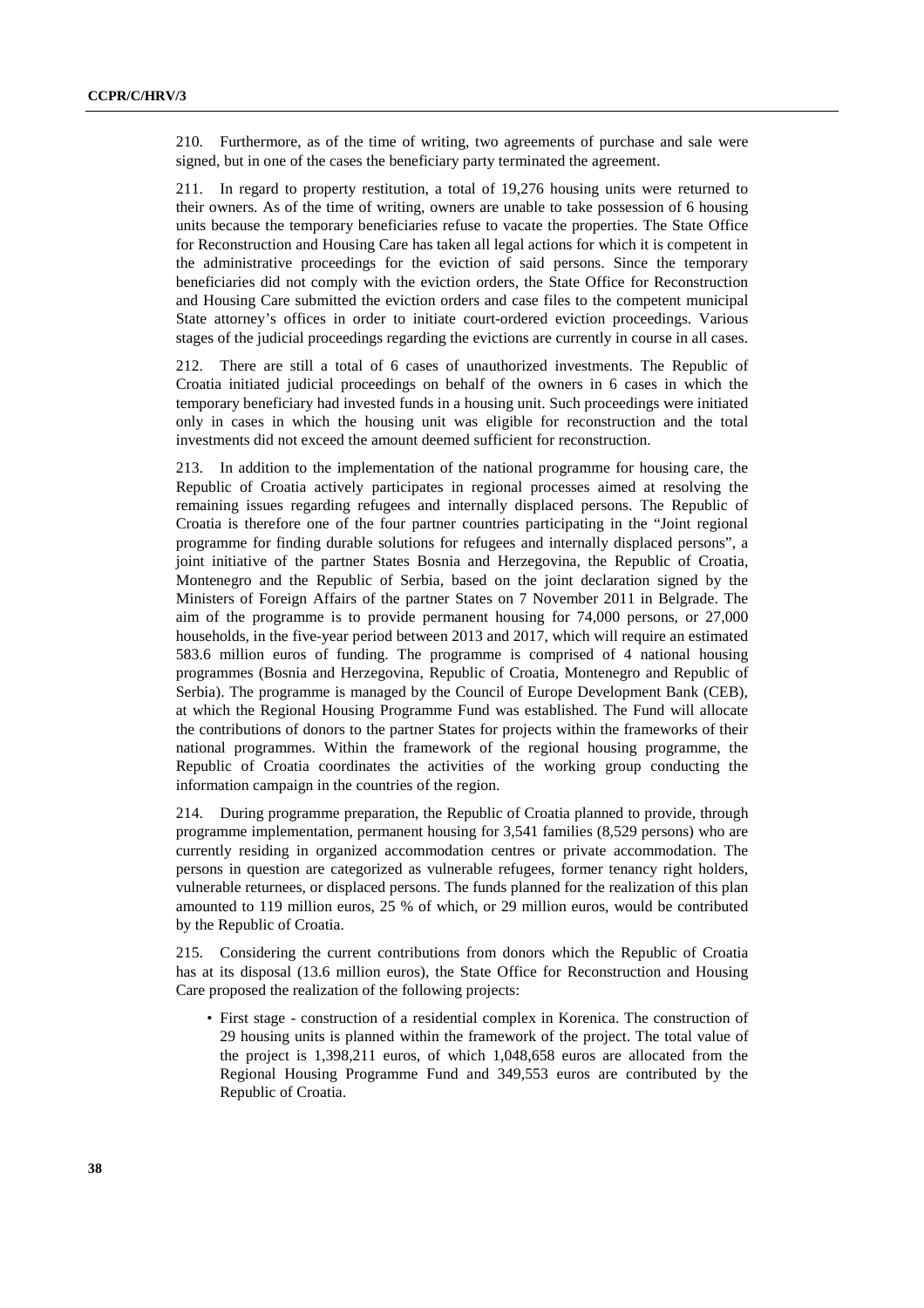210. Furthermore, as of the time of writing, two agreements of purchase and sale were signed, but in one of the cases the beneficiary party terminated the agreement.

211. In regard to property restitution, a total of 19,276 housing units were returned to their owners. As of the time of writing, owners are unable to take possession of 6 housing units because the temporary beneficiaries refuse to vacate the properties. The State Office for Reconstruction and Housing Care has taken all legal actions for which it is competent in the administrative proceedings for the eviction of said persons. Since the temporary beneficiaries did not comply with the eviction orders, the State Office for Reconstruction and Housing Care submitted the eviction orders and case files to the competent municipal State attorney's offices in order to initiate court-ordered eviction proceedings. Various stages of the judicial proceedings regarding the evictions are currently in course in all cases.

212. There are still a total of 6 cases of unauthorized investments. The Republic of Croatia initiated judicial proceedings on behalf of the owners in 6 cases in which the temporary beneficiary had invested funds in a housing unit. Such proceedings were initiated only in cases in which the housing unit was eligible for reconstruction and the total investments did not exceed the amount deemed sufficient for reconstruction.

213. In addition to the implementation of the national programme for housing care, the Republic of Croatia actively participates in regional processes aimed at resolving the remaining issues regarding refugees and internally displaced persons. The Republic of Croatia is therefore one of the four partner countries participating in the "Joint regional programme for finding durable solutions for refugees and internally displaced persons", a joint initiative of the partner States Bosnia and Herzegovina, the Republic of Croatia, Montenegro and the Republic of Serbia, based on the joint declaration signed by the Ministers of Foreign Affairs of the partner States on 7 November 2011 in Belgrade. The aim of the programme is to provide permanent housing for 74,000 persons, or 27,000 households, in the five-year period between 2013 and 2017, which will require an estimated 583.6 million euros of funding. The programme is comprised of 4 national housing programmes (Bosnia and Herzegovina, Republic of Croatia, Montenegro and Republic of Serbia). The programme is managed by the Council of Europe Development Bank (CEB), at which the Regional Housing Programme Fund was established. The Fund will allocate the contributions of donors to the partner States for projects within the frameworks of their national programmes. Within the framework of the regional housing programme, the Republic of Croatia coordinates the activities of the working group conducting the information campaign in the countries of the region.

214. During programme preparation, the Republic of Croatia planned to provide, through programme implementation, permanent housing for 3,541 families (8,529 persons) who are currently residing in organized accommodation centres or private accommodation. The persons in question are categorized as vulnerable refugees, former tenancy right holders, vulnerable returnees, or displaced persons. The funds planned for the realization of this plan amounted to 119 million euros, 25 % of which, or 29 million euros, would be contributed by the Republic of Croatia.

215. Considering the current contributions from donors which the Republic of Croatia has at its disposal (13.6 million euros), the State Office for Reconstruction and Housing Care proposed the realization of the following projects:

• First stage - construction of a residential complex in Korenica. The construction of 29 housing units is planned within the framework of the project. The total value of the project is 1,398,211 euros, of which 1,048,658 euros are allocated from the Regional Housing Programme Fund and 349,553 euros are contributed by the Republic of Croatia.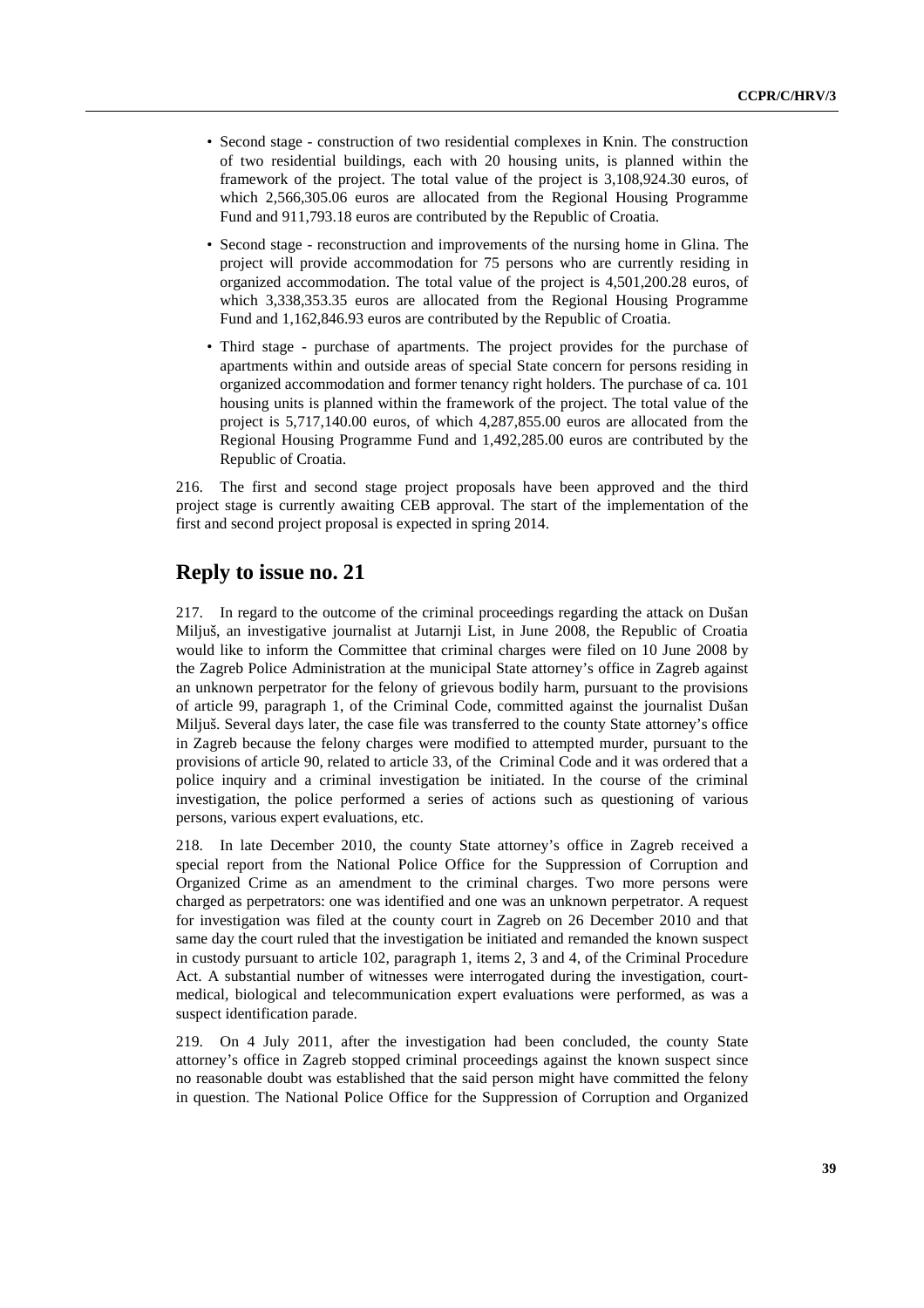- Second stage construction of two residential complexes in Knin. The construction of two residential buildings, each with 20 housing units, is planned within the framework of the project. The total value of the project is 3,108,924.30 euros, of which 2,566,305.06 euros are allocated from the Regional Housing Programme Fund and 911,793.18 euros are contributed by the Republic of Croatia.
- Second stage reconstruction and improvements of the nursing home in Glina. The project will provide accommodation for 75 persons who are currently residing in organized accommodation. The total value of the project is 4,501,200.28 euros, of which 3,338,353.35 euros are allocated from the Regional Housing Programme Fund and 1,162,846.93 euros are contributed by the Republic of Croatia.
- Third stage purchase of apartments. The project provides for the purchase of apartments within and outside areas of special State concern for persons residing in organized accommodation and former tenancy right holders. The purchase of ca. 101 housing units is planned within the framework of the project. The total value of the project is 5,717,140.00 euros, of which 4,287,855.00 euros are allocated from the Regional Housing Programme Fund and 1,492,285.00 euros are contributed by the Republic of Croatia.

216. The first and second stage project proposals have been approved and the third project stage is currently awaiting CEB approval. The start of the implementation of the first and second project proposal is expected in spring 2014.

# **Reply to issue no. 21**

217. In regard to the outcome of the criminal proceedings regarding the attack on Dušan Miljuš, an investigative journalist at Jutarnji List, in June 2008, the Republic of Croatia would like to inform the Committee that criminal charges were filed on 10 June 2008 by the Zagreb Police Administration at the municipal State attorney's office in Zagreb against an unknown perpetrator for the felony of grievous bodily harm, pursuant to the provisions of article 99, paragraph 1, of the Criminal Code, committed against the journalist Dušan Miljuš. Several days later, the case file was transferred to the county State attorney's office in Zagreb because the felony charges were modified to attempted murder, pursuant to the provisions of article 90, related to article 33, of the Criminal Code and it was ordered that a police inquiry and a criminal investigation be initiated. In the course of the criminal investigation, the police performed a series of actions such as questioning of various persons, various expert evaluations, etc.

218. In late December 2010, the county State attorney's office in Zagreb received a special report from the National Police Office for the Suppression of Corruption and Organized Crime as an amendment to the criminal charges. Two more persons were charged as perpetrators: one was identified and one was an unknown perpetrator. A request for investigation was filed at the county court in Zagreb on 26 December 2010 and that same day the court ruled that the investigation be initiated and remanded the known suspect in custody pursuant to article 102, paragraph 1, items 2, 3 and 4, of the Criminal Procedure Act. A substantial number of witnesses were interrogated during the investigation, courtmedical, biological and telecommunication expert evaluations were performed, as was a suspect identification parade.

219. On 4 July 2011, after the investigation had been concluded, the county State attorney's office in Zagreb stopped criminal proceedings against the known suspect since no reasonable doubt was established that the said person might have committed the felony in question. The National Police Office for the Suppression of Corruption and Organized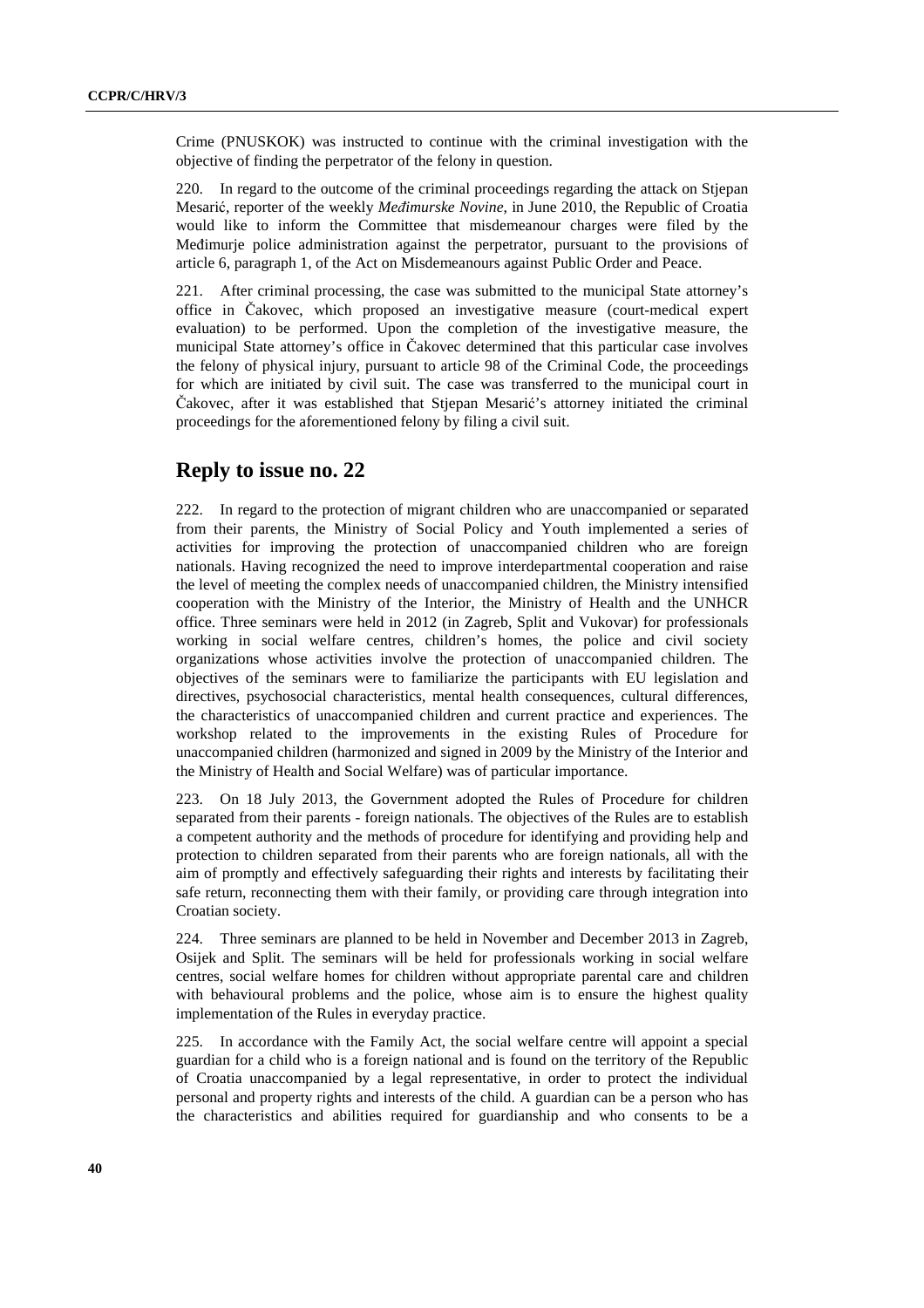Crime (PNUSKOK) was instructed to continue with the criminal investigation with the objective of finding the perpetrator of the felony in question.

220. In regard to the outcome of the criminal proceedings regarding the attack on Stjepan Mesarić, reporter of the weekly *Međimurske Novine*, in June 2010, the Republic of Croatia would like to inform the Committee that misdemeanour charges were filed by the Međimurje police administration against the perpetrator, pursuant to the provisions of article 6, paragraph 1, of the Act on Misdemeanours against Public Order and Peace.

221. After criminal processing, the case was submitted to the municipal State attorney's office in Čakovec, which proposed an investigative measure (court-medical expert evaluation) to be performed. Upon the completion of the investigative measure, the municipal State attorney's office in Čakovec determined that this particular case involves the felony of physical injury, pursuant to article 98 of the Criminal Code, the proceedings for which are initiated by civil suit. The case was transferred to the municipal court in Čakovec, after it was established that Stjepan Mesarić's attorney initiated the criminal proceedings for the aforementioned felony by filing a civil suit.

### **Reply to issue no. 22**

222. In regard to the protection of migrant children who are unaccompanied or separated from their parents, the Ministry of Social Policy and Youth implemented a series of activities for improving the protection of unaccompanied children who are foreign nationals. Having recognized the need to improve interdepartmental cooperation and raise the level of meeting the complex needs of unaccompanied children, the Ministry intensified cooperation with the Ministry of the Interior, the Ministry of Health and the UNHCR office. Three seminars were held in 2012 (in Zagreb, Split and Vukovar) for professionals working in social welfare centres, children's homes, the police and civil society organizations whose activities involve the protection of unaccompanied children. The objectives of the seminars were to familiarize the participants with EU legislation and directives, psychosocial characteristics, mental health consequences, cultural differences, the characteristics of unaccompanied children and current practice and experiences. The workshop related to the improvements in the existing Rules of Procedure for unaccompanied children (harmonized and signed in 2009 by the Ministry of the Interior and the Ministry of Health and Social Welfare) was of particular importance.

223. On 18 July 2013, the Government adopted the Rules of Procedure for children separated from their parents - foreign nationals. The objectives of the Rules are to establish a competent authority and the methods of procedure for identifying and providing help and protection to children separated from their parents who are foreign nationals, all with the aim of promptly and effectively safeguarding their rights and interests by facilitating their safe return, reconnecting them with their family, or providing care through integration into Croatian society.

224. Three seminars are planned to be held in November and December 2013 in Zagreb, Osijek and Split. The seminars will be held for professionals working in social welfare centres, social welfare homes for children without appropriate parental care and children with behavioural problems and the police, whose aim is to ensure the highest quality implementation of the Rules in everyday practice.

225. In accordance with the Family Act, the social welfare centre will appoint a special guardian for a child who is a foreign national and is found on the territory of the Republic of Croatia unaccompanied by a legal representative, in order to protect the individual personal and property rights and interests of the child. A guardian can be a person who has the characteristics and abilities required for guardianship and who consents to be a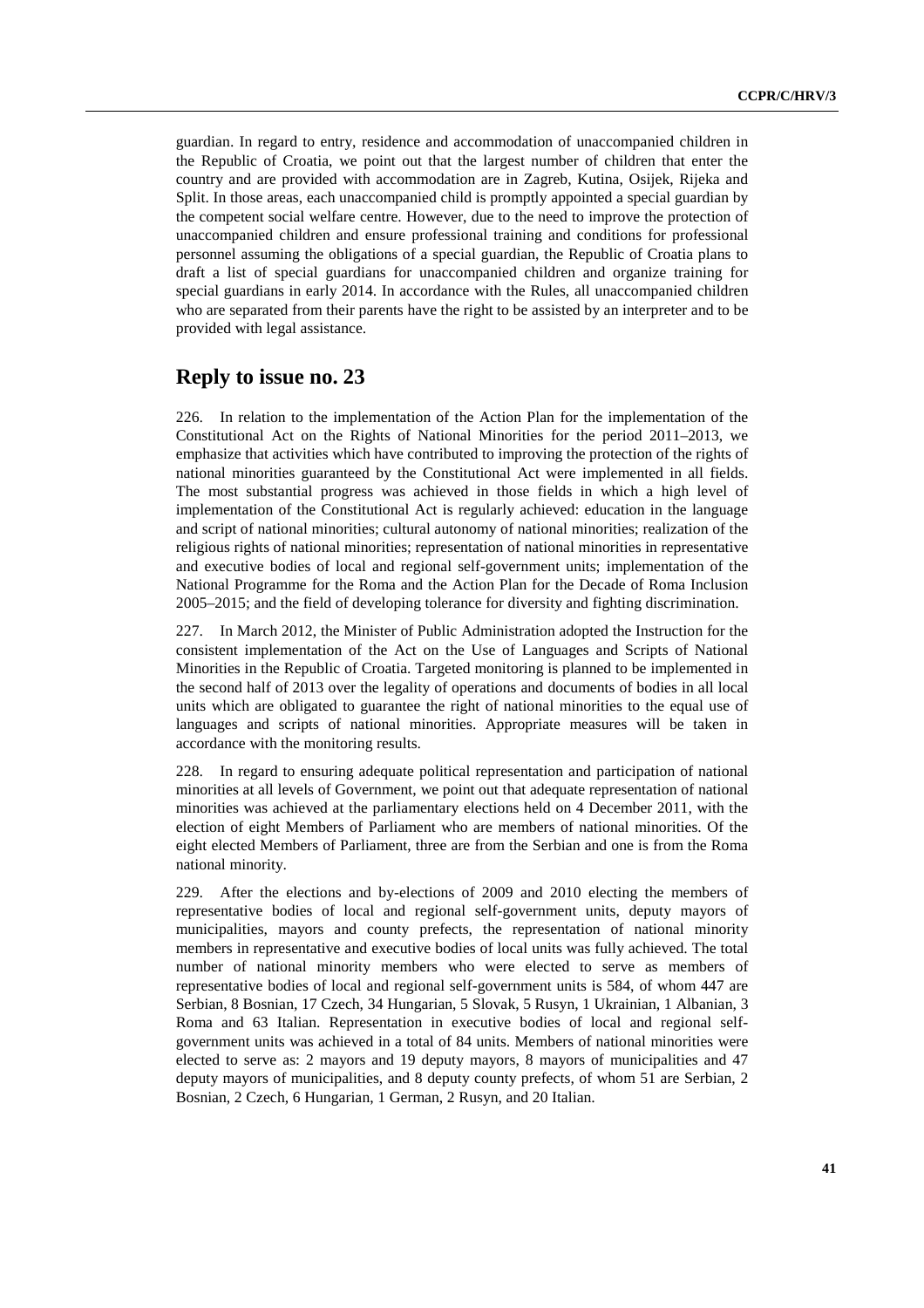guardian. In regard to entry, residence and accommodation of unaccompanied children in the Republic of Croatia, we point out that the largest number of children that enter the country and are provided with accommodation are in Zagreb, Kutina, Osijek, Rijeka and Split. In those areas, each unaccompanied child is promptly appointed a special guardian by the competent social welfare centre. However, due to the need to improve the protection of unaccompanied children and ensure professional training and conditions for professional personnel assuming the obligations of a special guardian, the Republic of Croatia plans to draft a list of special guardians for unaccompanied children and organize training for special guardians in early 2014. In accordance with the Rules, all unaccompanied children who are separated from their parents have the right to be assisted by an interpreter and to be provided with legal assistance.

### **Reply to issue no. 23**

226. In relation to the implementation of the Action Plan for the implementation of the Constitutional Act on the Rights of National Minorities for the period 2011–2013, we emphasize that activities which have contributed to improving the protection of the rights of national minorities guaranteed by the Constitutional Act were implemented in all fields. The most substantial progress was achieved in those fields in which a high level of implementation of the Constitutional Act is regularly achieved: education in the language and script of national minorities; cultural autonomy of national minorities; realization of the religious rights of national minorities; representation of national minorities in representative and executive bodies of local and regional self-government units; implementation of the National Programme for the Roma and the Action Plan for the Decade of Roma Inclusion 2005–2015; and the field of developing tolerance for diversity and fighting discrimination.

227. In March 2012, the Minister of Public Administration adopted the Instruction for the consistent implementation of the Act on the Use of Languages and Scripts of National Minorities in the Republic of Croatia. Targeted monitoring is planned to be implemented in the second half of 2013 over the legality of operations and documents of bodies in all local units which are obligated to guarantee the right of national minorities to the equal use of languages and scripts of national minorities. Appropriate measures will be taken in accordance with the monitoring results.

228. In regard to ensuring adequate political representation and participation of national minorities at all levels of Government, we point out that adequate representation of national minorities was achieved at the parliamentary elections held on 4 December 2011, with the election of eight Members of Parliament who are members of national minorities. Of the eight elected Members of Parliament, three are from the Serbian and one is from the Roma national minority.

229. After the elections and by-elections of 2009 and 2010 electing the members of representative bodies of local and regional self-government units, deputy mayors of municipalities, mayors and county prefects, the representation of national minority members in representative and executive bodies of local units was fully achieved. The total number of national minority members who were elected to serve as members of representative bodies of local and regional self-government units is 584, of whom 447 are Serbian, 8 Bosnian, 17 Czech, 34 Hungarian, 5 Slovak, 5 Rusyn, 1 Ukrainian, 1 Albanian, 3 Roma and 63 Italian. Representation in executive bodies of local and regional selfgovernment units was achieved in a total of 84 units. Members of national minorities were elected to serve as: 2 mayors and 19 deputy mayors, 8 mayors of municipalities and 47 deputy mayors of municipalities, and 8 deputy county prefects, of whom 51 are Serbian, 2 Bosnian, 2 Czech, 6 Hungarian, 1 German, 2 Rusyn, and 20 Italian.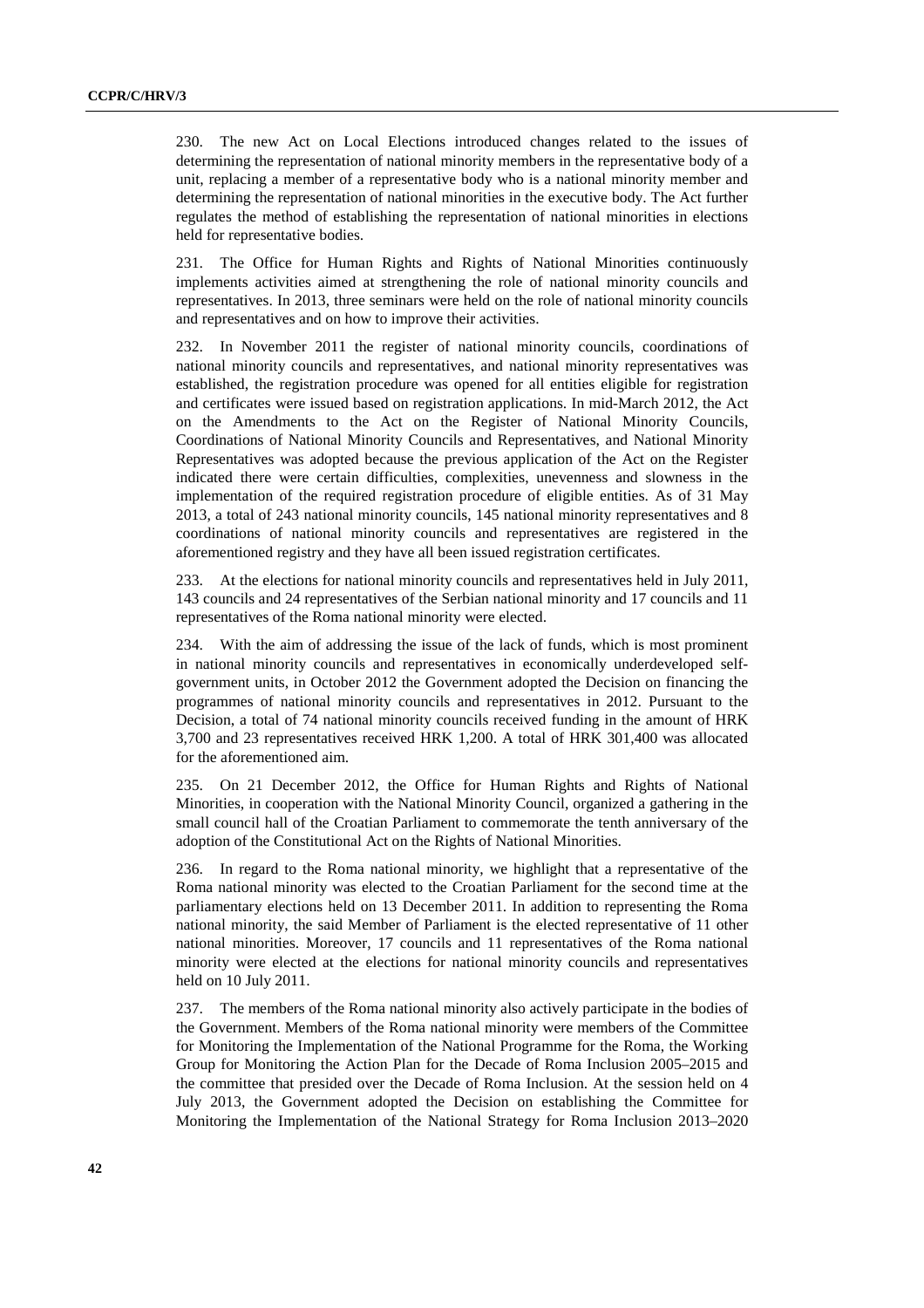230. The new Act on Local Elections introduced changes related to the issues of determining the representation of national minority members in the representative body of a unit, replacing a member of a representative body who is a national minority member and determining the representation of national minorities in the executive body. The Act further regulates the method of establishing the representation of national minorities in elections held for representative bodies.

231. The Office for Human Rights and Rights of National Minorities continuously implements activities aimed at strengthening the role of national minority councils and representatives. In 2013, three seminars were held on the role of national minority councils and representatives and on how to improve their activities.

232. In November 2011 the register of national minority councils, coordinations of national minority councils and representatives, and national minority representatives was established, the registration procedure was opened for all entities eligible for registration and certificates were issued based on registration applications. In mid-March 2012, the Act on the Amendments to the Act on the Register of National Minority Councils, Coordinations of National Minority Councils and Representatives, and National Minority Representatives was adopted because the previous application of the Act on the Register indicated there were certain difficulties, complexities, unevenness and slowness in the implementation of the required registration procedure of eligible entities. As of 31 May 2013, a total of 243 national minority councils, 145 national minority representatives and 8 coordinations of national minority councils and representatives are registered in the aforementioned registry and they have all been issued registration certificates.

233. At the elections for national minority councils and representatives held in July 2011, 143 councils and 24 representatives of the Serbian national minority and 17 councils and 11 representatives of the Roma national minority were elected.

234. With the aim of addressing the issue of the lack of funds, which is most prominent in national minority councils and representatives in economically underdeveloped selfgovernment units, in October 2012 the Government adopted the Decision on financing the programmes of national minority councils and representatives in 2012. Pursuant to the Decision, a total of 74 national minority councils received funding in the amount of HRK 3,700 and 23 representatives received HRK 1,200. A total of HRK 301,400 was allocated for the aforementioned aim.

235. On 21 December 2012, the Office for Human Rights and Rights of National Minorities, in cooperation with the National Minority Council, organized a gathering in the small council hall of the Croatian Parliament to commemorate the tenth anniversary of the adoption of the Constitutional Act on the Rights of National Minorities.

236. In regard to the Roma national minority, we highlight that a representative of the Roma national minority was elected to the Croatian Parliament for the second time at the parliamentary elections held on 13 December 2011. In addition to representing the Roma national minority, the said Member of Parliament is the elected representative of 11 other national minorities. Moreover, 17 councils and 11 representatives of the Roma national minority were elected at the elections for national minority councils and representatives held on 10 July 2011.

237. The members of the Roma national minority also actively participate in the bodies of the Government. Members of the Roma national minority were members of the Committee for Monitoring the Implementation of the National Programme for the Roma, the Working Group for Monitoring the Action Plan for the Decade of Roma Inclusion 2005–2015 and the committee that presided over the Decade of Roma Inclusion. At the session held on 4 July 2013, the Government adopted the Decision on establishing the Committee for Monitoring the Implementation of the National Strategy for Roma Inclusion 2013–2020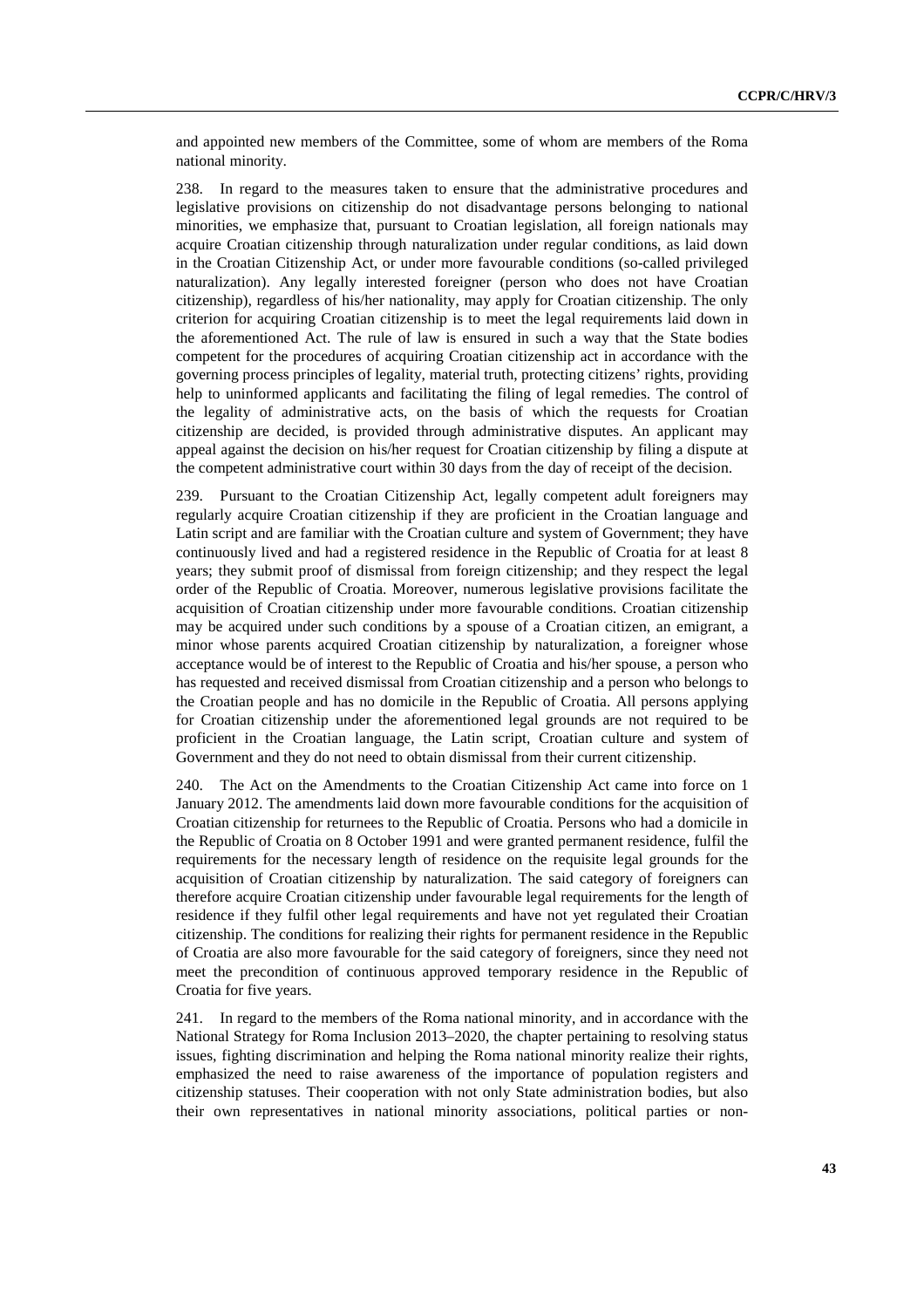and appointed new members of the Committee, some of whom are members of the Roma national minority.

238. In regard to the measures taken to ensure that the administrative procedures and legislative provisions on citizenship do not disadvantage persons belonging to national minorities, we emphasize that, pursuant to Croatian legislation, all foreign nationals may acquire Croatian citizenship through naturalization under regular conditions, as laid down in the Croatian Citizenship Act, or under more favourable conditions (so-called privileged naturalization). Any legally interested foreigner (person who does not have Croatian citizenship), regardless of his/her nationality, may apply for Croatian citizenship. The only criterion for acquiring Croatian citizenship is to meet the legal requirements laid down in the aforementioned Act. The rule of law is ensured in such a way that the State bodies competent for the procedures of acquiring Croatian citizenship act in accordance with the governing process principles of legality, material truth, protecting citizens' rights, providing help to uninformed applicants and facilitating the filing of legal remedies. The control of the legality of administrative acts, on the basis of which the requests for Croatian citizenship are decided, is provided through administrative disputes. An applicant may appeal against the decision on his/her request for Croatian citizenship by filing a dispute at the competent administrative court within 30 days from the day of receipt of the decision.

239. Pursuant to the Croatian Citizenship Act, legally competent adult foreigners may regularly acquire Croatian citizenship if they are proficient in the Croatian language and Latin script and are familiar with the Croatian culture and system of Government; they have continuously lived and had a registered residence in the Republic of Croatia for at least 8 years; they submit proof of dismissal from foreign citizenship; and they respect the legal order of the Republic of Croatia. Moreover, numerous legislative provisions facilitate the acquisition of Croatian citizenship under more favourable conditions. Croatian citizenship may be acquired under such conditions by a spouse of a Croatian citizen, an emigrant, a minor whose parents acquired Croatian citizenship by naturalization, a foreigner whose acceptance would be of interest to the Republic of Croatia and his/her spouse, a person who has requested and received dismissal from Croatian citizenship and a person who belongs to the Croatian people and has no domicile in the Republic of Croatia. All persons applying for Croatian citizenship under the aforementioned legal grounds are not required to be proficient in the Croatian language, the Latin script, Croatian culture and system of Government and they do not need to obtain dismissal from their current citizenship.

240. The Act on the Amendments to the Croatian Citizenship Act came into force on 1 January 2012. The amendments laid down more favourable conditions for the acquisition of Croatian citizenship for returnees to the Republic of Croatia. Persons who had a domicile in the Republic of Croatia on 8 October 1991 and were granted permanent residence, fulfil the requirements for the necessary length of residence on the requisite legal grounds for the acquisition of Croatian citizenship by naturalization. The said category of foreigners can therefore acquire Croatian citizenship under favourable legal requirements for the length of residence if they fulfil other legal requirements and have not yet regulated their Croatian citizenship. The conditions for realizing their rights for permanent residence in the Republic of Croatia are also more favourable for the said category of foreigners, since they need not meet the precondition of continuous approved temporary residence in the Republic of Croatia for five years.

241. In regard to the members of the Roma national minority, and in accordance with the National Strategy for Roma Inclusion 2013–2020, the chapter pertaining to resolving status issues, fighting discrimination and helping the Roma national minority realize their rights, emphasized the need to raise awareness of the importance of population registers and citizenship statuses. Their cooperation with not only State administration bodies, but also their own representatives in national minority associations, political parties or non-